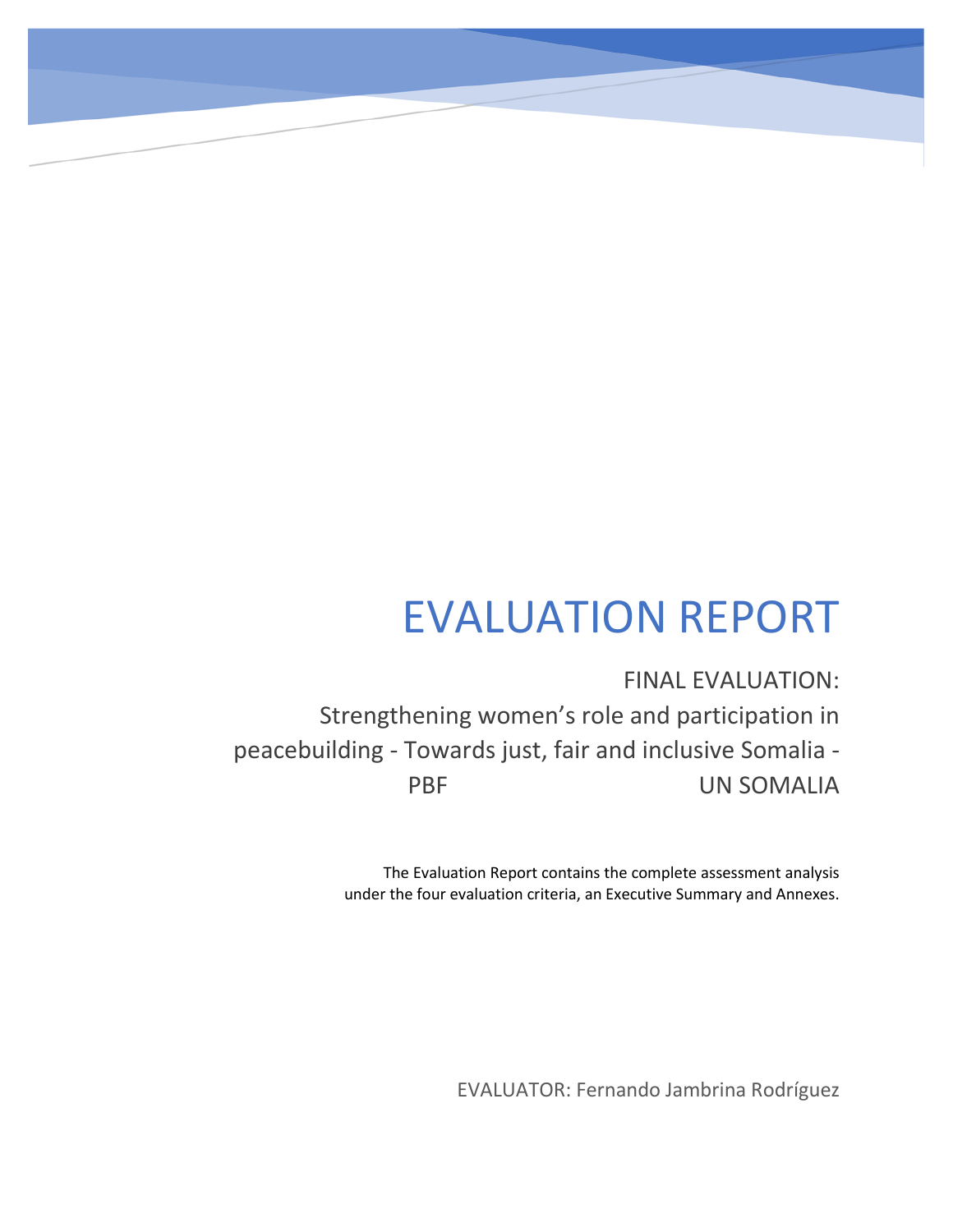# EVALUATION REPORT

FINAL EVALUATION: Strengthening women's role and participation in peacebuilding - Towards just, fair and inclusive Somalia - PBF UN SOMALIA

> The Evaluation Report contains the complete assessment analysis under the four evaluation criteria, an Executive Summary and Annexes.

> > EVALUATOR: Fernando Jambrina Rodríguez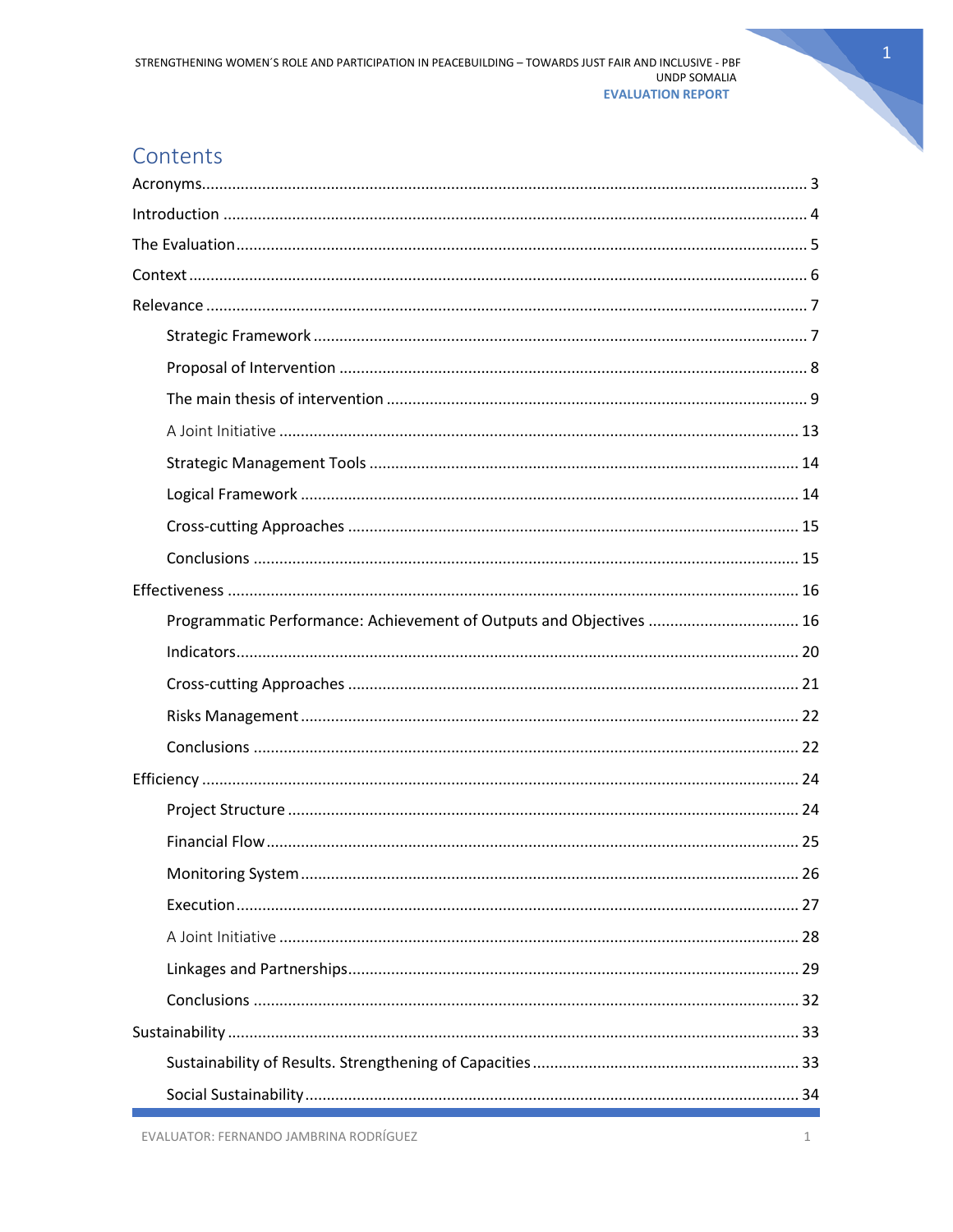# Contents

| Programmatic Performance: Achievement of Outputs and Objectives  16 |
|---------------------------------------------------------------------|
|                                                                     |
|                                                                     |
|                                                                     |
|                                                                     |
|                                                                     |
|                                                                     |
|                                                                     |
| 26                                                                  |
|                                                                     |
|                                                                     |
|                                                                     |
|                                                                     |
|                                                                     |
|                                                                     |
|                                                                     |

 $\mathbf{1}$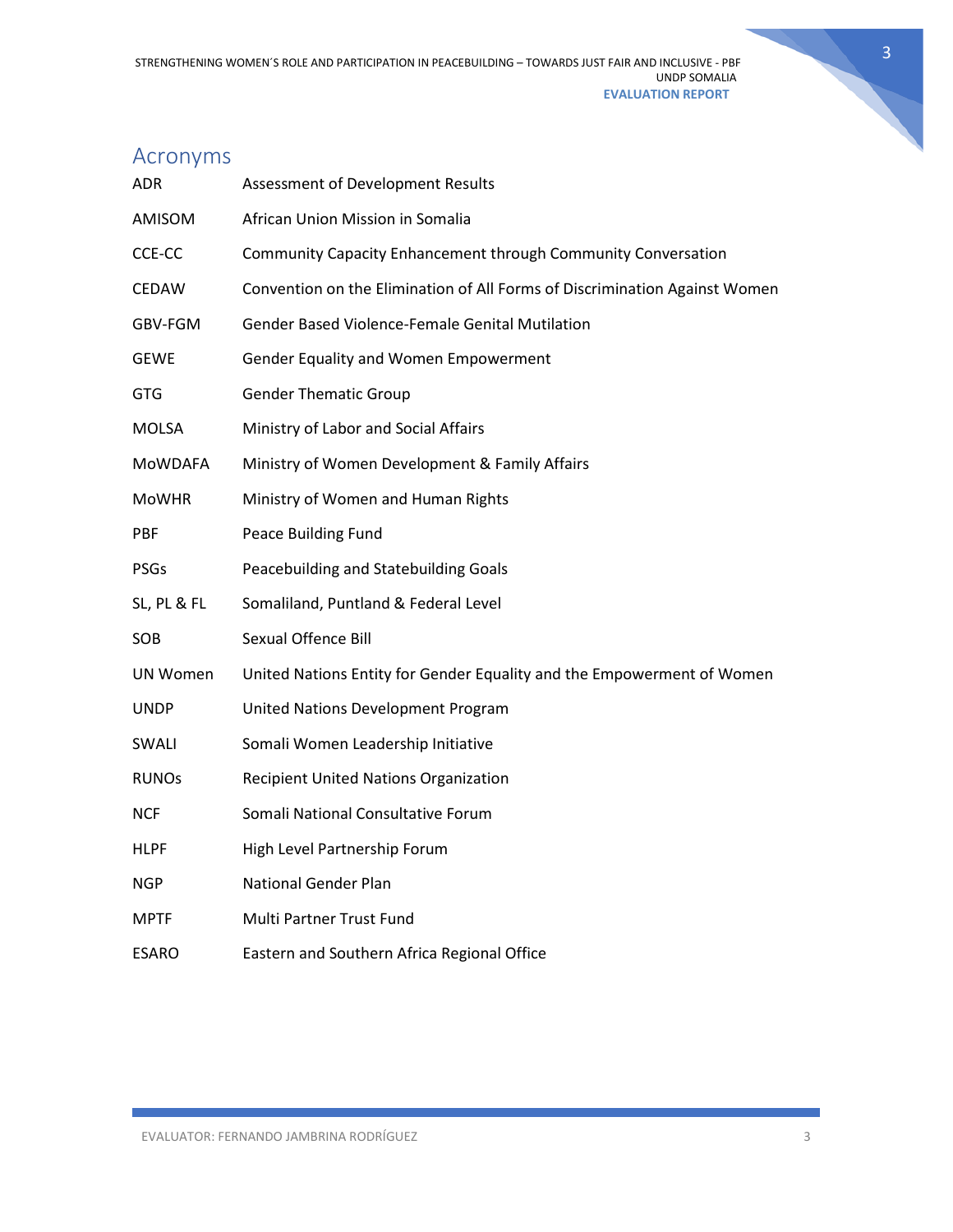

# <span id="page-3-0"></span>Acronyms

| <b>ADR</b>      | Assessment of Development Results                                          |
|-----------------|----------------------------------------------------------------------------|
| AMISOM          | African Union Mission in Somalia                                           |
| CCE-CC          | Community Capacity Enhancement through Community Conversation              |
| <b>CEDAW</b>    | Convention on the Elimination of All Forms of Discrimination Against Women |
| GBV-FGM         | Gender Based Violence-Female Genital Mutilation                            |
| <b>GEWE</b>     | Gender Equality and Women Empowerment                                      |
| GTG             | <b>Gender Thematic Group</b>                                               |
| <b>MOLSA</b>    | Ministry of Labor and Social Affairs                                       |
| <b>MOWDAFA</b>  | Ministry of Women Development & Family Affairs                             |
| <b>MoWHR</b>    | Ministry of Women and Human Rights                                         |
| PBF             | Peace Building Fund                                                        |
| <b>PSGs</b>     | Peacebuilding and Statebuilding Goals                                      |
| SL, PL & FL     | Somaliland, Puntland & Federal Level                                       |
| SOB             | Sexual Offence Bill                                                        |
| <b>UN Women</b> | United Nations Entity for Gender Equality and the Empowerment of Women     |
| <b>UNDP</b>     | United Nations Development Program                                         |
| SWALI           | Somali Women Leadership Initiative                                         |
| <b>RUNOs</b>    | <b>Recipient United Nations Organization</b>                               |
| <b>NCF</b>      | Somali National Consultative Forum                                         |
| <b>HLPF</b>     | High Level Partnership Forum                                               |
| <b>NGP</b>      | <b>National Gender Plan</b>                                                |
| MPTF            | Multi Partner Trust Fund                                                   |
| <b>ESARO</b>    | Eastern and Southern Africa Regional Office                                |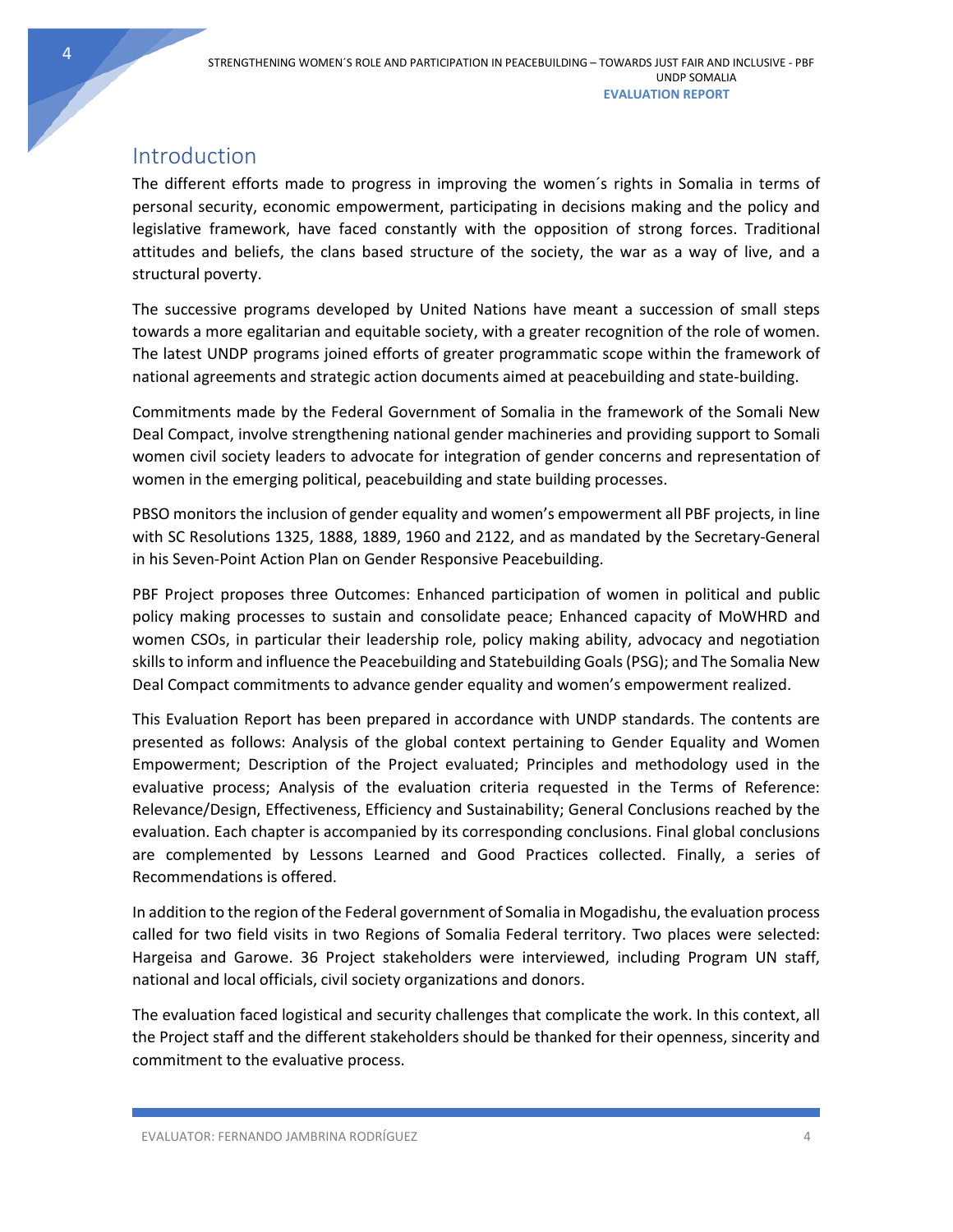# <span id="page-4-0"></span>Introduction

The different efforts made to progress in improving the women´s rights in Somalia in terms of personal security, economic empowerment, participating in decisions making and the policy and legislative framework, have faced constantly with the opposition of strong forces. Traditional attitudes and beliefs, the clans based structure of the society, the war as a way of live, and a structural poverty.

The successive programs developed by United Nations have meant a succession of small steps towards a more egalitarian and equitable society, with a greater recognition of the role of women. The latest UNDP programs joined efforts of greater programmatic scope within the framework of national agreements and strategic action documents aimed at peacebuilding and state-building.

Commitments made by the Federal Government of Somalia in the framework of the Somali New Deal Compact, involve strengthening national gender machineries and providing support to Somali women civil society leaders to advocate for integration of gender concerns and representation of women in the emerging political, peacebuilding and state building processes.

PBSO monitors the inclusion of gender equality and women's empowerment all PBF projects, in line with SC Resolutions 1325, 1888, 1889, 1960 and 2122, and as mandated by the Secretary-General in his Seven-Point Action Plan on Gender Responsive Peacebuilding.

PBF Project proposes three Outcomes: Enhanced participation of women in political and public policy making processes to sustain and consolidate peace; Enhanced capacity of MoWHRD and women CSOs, in particular their leadership role, policy making ability, advocacy and negotiation skills to inform and influence the Peacebuilding and Statebuilding Goals (PSG); and The Somalia New Deal Compact commitments to advance gender equality and women's empowerment realized.

This Evaluation Report has been prepared in accordance with UNDP standards. The contents are presented as follows: Analysis of the global context pertaining to Gender Equality and Women Empowerment; Description of the Project evaluated; Principles and methodology used in the evaluative process; Analysis of the evaluation criteria requested in the Terms of Reference: Relevance/Design, Effectiveness, Efficiency and Sustainability; General Conclusions reached by the evaluation. Each chapter is accompanied by its corresponding conclusions. Final global conclusions are complemented by Lessons Learned and Good Practices collected. Finally, a series of Recommendations is offered.

In addition to the region of the Federal government of Somalia in Mogadishu, the evaluation process called for two field visits in two Regions of Somalia Federal territory. Two places were selected: Hargeisa and Garowe. 36 Project stakeholders were interviewed, including Program UN staff, national and local officials, civil society organizations and donors.

The evaluation faced logistical and security challenges that complicate the work. In this context, all the Project staff and the different stakeholders should be thanked for their openness, sincerity and commitment to the evaluative process.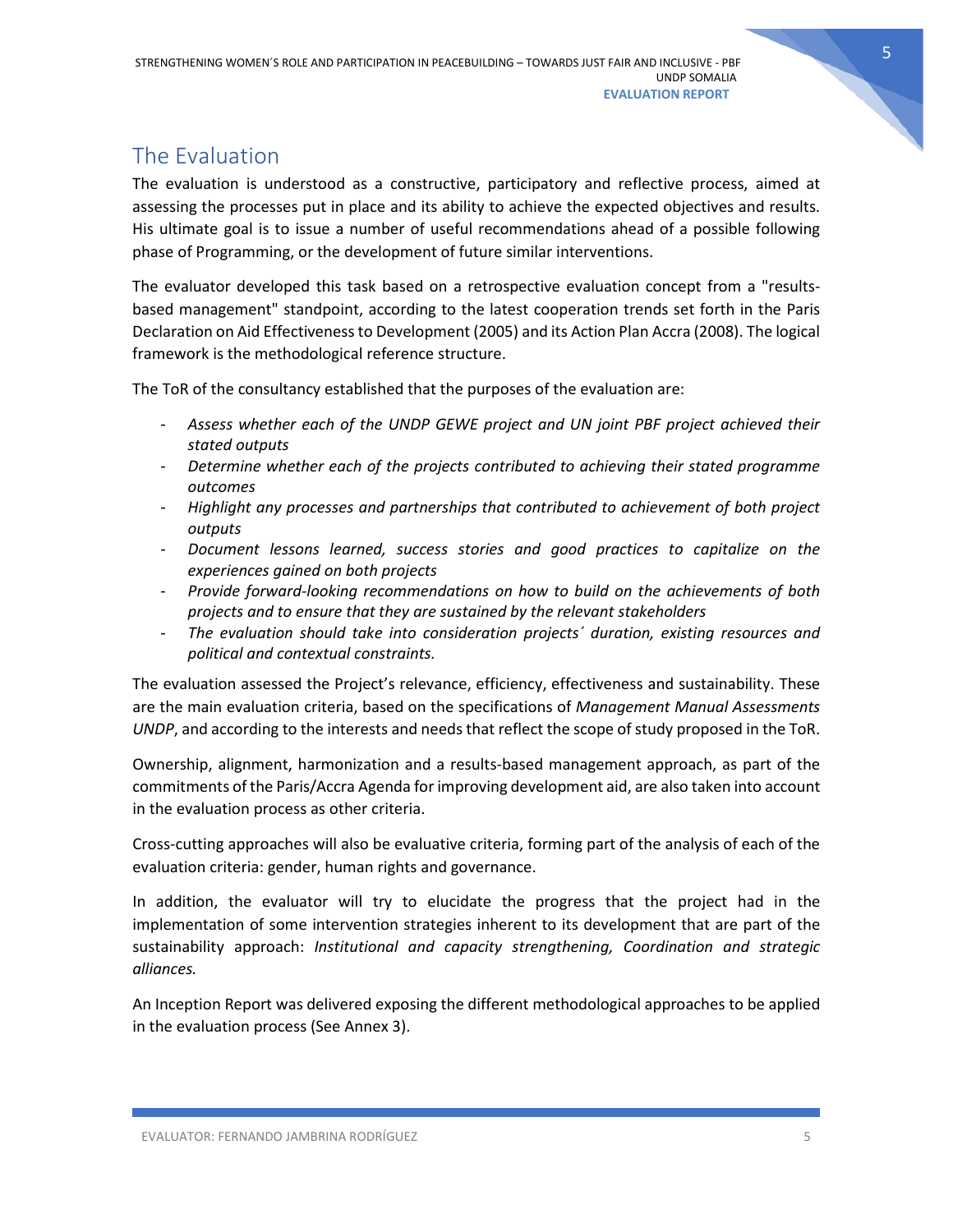# <span id="page-5-0"></span>The Evaluation

The evaluation is understood as a constructive, participatory and reflective process, aimed at assessing the processes put in place and its ability to achieve the expected objectives and results. His ultimate goal is to issue a number of useful recommendations ahead of a possible following phase of Programming, or the development of future similar interventions.

The evaluator developed this task based on a retrospective evaluation concept from a "resultsbased management" standpoint, according to the latest cooperation trends set forth in the Paris Declaration on Aid Effectiveness to Development (2005) and its Action Plan Accra (2008). The logical framework is the methodological reference structure.

The ToR of the consultancy established that the purposes of the evaluation are:

- *Assess whether each of the UNDP GEWE project and UN joint PBF project achieved their stated outputs*
- *Determine whether each of the projects contributed to achieving their stated programme outcomes*
- *Highlight any processes and partnerships that contributed to achievement of both project outputs*
- *Document lessons learned, success stories and good practices to capitalize on the experiences gained on both projects*
- *Provide forward-looking recommendations on how to build on the achievements of both projects and to ensure that they are sustained by the relevant stakeholders*
- *The evaluation should take into consideration projects´ duration, existing resources and political and contextual constraints.*

The evaluation assessed the Project's relevance, efficiency, effectiveness and sustainability. These are the main evaluation criteria, based on the specifications of *Management Manual Assessments UNDP*, and according to the interests and needs that reflect the scope of study proposed in the ToR.

Ownership, alignment, harmonization and a results-based management approach, as part of the commitments of the Paris/Accra Agenda for improving development aid, are also taken into account in the evaluation process as other criteria.

Cross-cutting approaches will also be evaluative criteria, forming part of the analysis of each of the evaluation criteria: gender, human rights and governance.

In addition, the evaluator will try to elucidate the progress that the project had in the implementation of some intervention strategies inherent to its development that are part of the sustainability approach: *Institutional and capacity strengthening, Coordination and strategic alliances.*

An Inception Report was delivered exposing the different methodological approaches to be applied in the evaluation process (See Annex 3).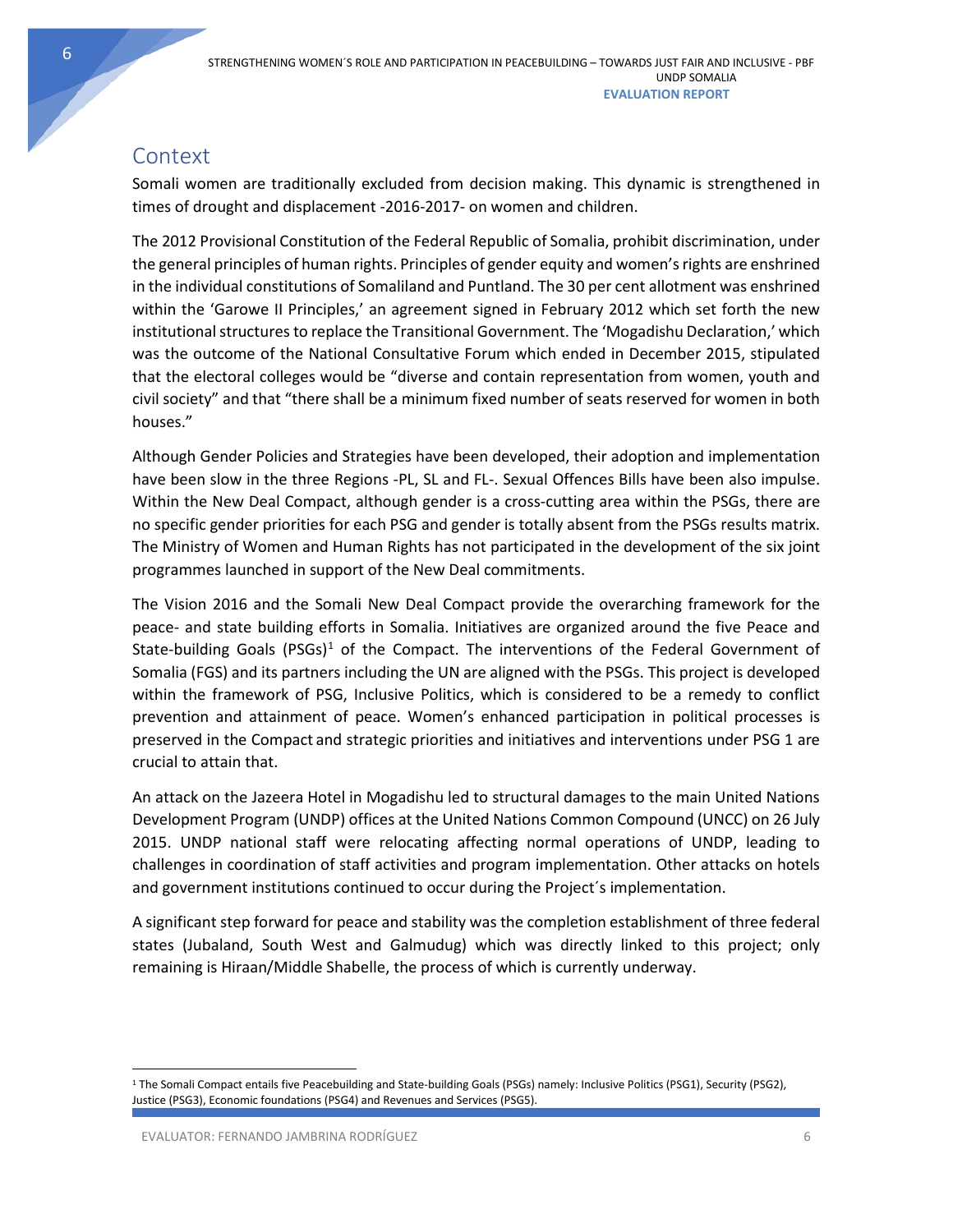# <span id="page-6-0"></span>**Context**

Somali women are traditionally excluded from decision making. This dynamic is strengthened in times of drought and displacement -2016-2017- on women and children.

The 2012 Provisional Constitution of the Federal Republic of Somalia, prohibit discrimination, under the general principles of human rights. Principles of gender equity and women's rights are enshrined in the individual constitutions of Somaliland and Puntland. The 30 per cent allotment was enshrined within the 'Garowe II Principles,' an agreement signed in February 2012 which set forth the new institutional structures to replace the Transitional Government. The 'Mogadishu Declaration,' which was the outcome of the National Consultative Forum which ended in December 2015, stipulated that the electoral colleges would be "diverse and contain representation from women, youth and civil society" and that "there shall be a minimum fixed number of seats reserved for women in both houses."

Although Gender Policies and Strategies have been developed, their adoption and implementation have been slow in the three Regions -PL, SL and FL-. Sexual Offences Bills have been also impulse. Within the New Deal Compact, although gender is a cross-cutting area within the PSGs, there are no specific gender priorities for each PSG and gender is totally absent from the PSGs results matrix. The Ministry of Women and Human Rights has not participated in the development of the six joint programmes launched in support of the New Deal commitments.

The Vision 2016 and the Somali New Deal Compact provide the overarching framework for the peace- and state building efforts in Somalia. Initiatives are organized around the five Peace and State-building Goals (PSGs)<sup>[1](#page-6-1)</sup> of the Compact. The interventions of the Federal Government of Somalia (FGS) and its partners including the UN are aligned with the PSGs. This project is developed within the framework of PSG, Inclusive Politics, which is considered to be a remedy to conflict prevention and attainment of peace. Women's enhanced participation in political processes is preserved in the Compact and strategic priorities and initiatives and interventions under PSG 1 are crucial to attain that.

An attack on the Jazeera Hotel in Mogadishu led to structural damages to the main United Nations Development Program (UNDP) offices at the United Nations Common Compound (UNCC) on 26 July 2015. UNDP national staff were relocating affecting normal operations of UNDP, leading to challenges in coordination of staff activities and program implementation. Other attacks on hotels and government institutions continued to occur during the Project´s implementation.

A significant step forward for peace and stability was the completion establishment of three federal states (Jubaland, South West and Galmudug) which was directly linked to this project; only remaining is Hiraan/Middle Shabelle, the process of which is currently underway.

<span id="page-6-1"></span> <sup>1</sup> The Somali Compact entails five Peacebuilding and State-building Goals (PSGs) namely: Inclusive Politics (PSG1), Security (PSG2), Justice (PSG3), Economic foundations (PSG4) and Revenues and Services (PSG5).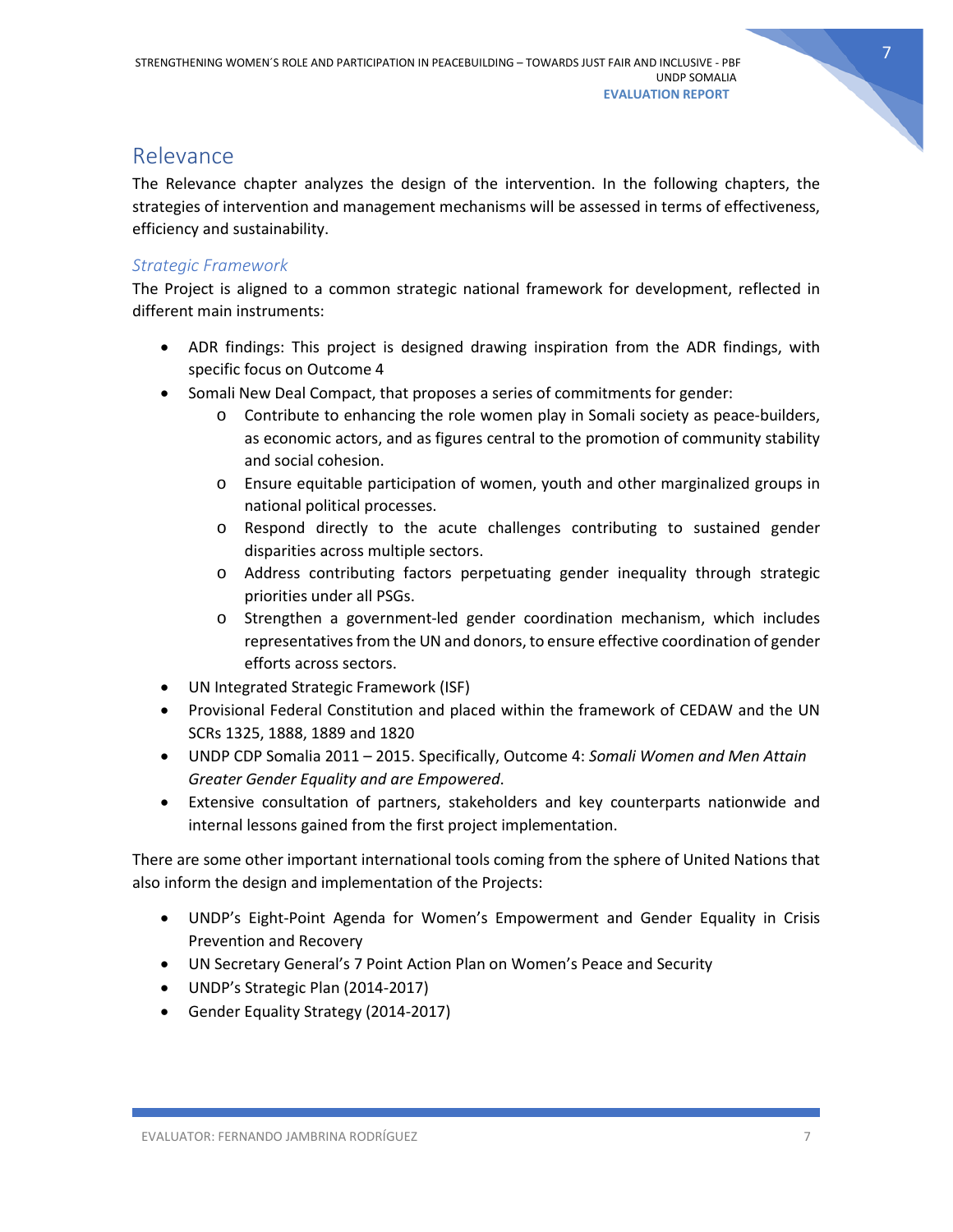

# <span id="page-7-0"></span>Relevance

The Relevance chapter analyzes the design of the intervention. In the following chapters, the strategies of intervention and management mechanisms will be assessed in terms of effectiveness, efficiency and sustainability.

### <span id="page-7-1"></span>*Strategic Framework*

The Project is aligned to a common strategic national framework for development, reflected in different main instruments:

- ADR findings: This project is designed drawing inspiration from the ADR findings, with specific focus on Outcome 4
- Somali New Deal Compact, that proposes a series of commitments for gender:
	- o Contribute to enhancing the role women play in Somali society as peace-builders, as economic actors, and as figures central to the promotion of community stability and social cohesion.
	- o Ensure equitable participation of women, youth and other marginalized groups in national political processes.
	- o Respond directly to the acute challenges contributing to sustained gender disparities across multiple sectors.
	- o Address contributing factors perpetuating gender inequality through strategic priorities under all PSGs.
	- o Strengthen a government-led gender coordination mechanism, which includes representatives from the UN and donors, to ensure effective coordination of gender efforts across sectors.
- UN Integrated Strategic Framework (ISF)
- Provisional Federal Constitution and placed within the framework of CEDAW and the UN SCRs 1325, 1888, 1889 and 1820
- UNDP CDP Somalia 2011 2015. Specifically, Outcome 4: *Somali Women and Men Attain Greater Gender Equality and are Empowered*.
- Extensive consultation of partners, stakeholders and key counterparts nationwide and internal lessons gained from the first project implementation.

There are some other important international tools coming from the sphere of United Nations that also inform the design and implementation of the Projects:

- UNDP's Eight-Point Agenda for Women's Empowerment and Gender Equality in Crisis Prevention and Recovery
- UN Secretary General's 7 Point Action Plan on Women's Peace and Security
- UNDP's Strategic Plan (2014-2017)
- Gender Equality Strategy (2014-2017)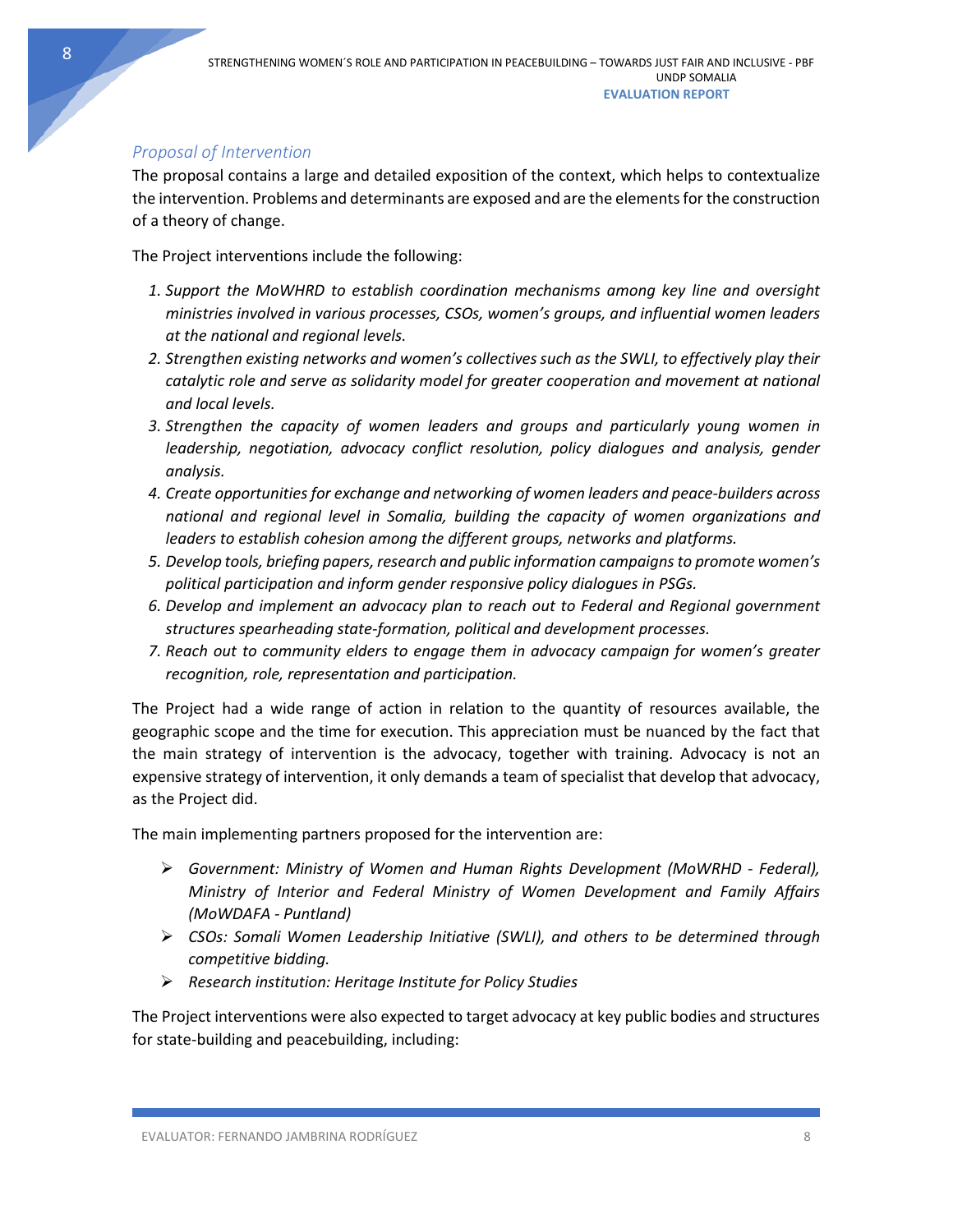# <span id="page-8-0"></span>*Proposal of Intervention*

The proposal contains a large and detailed exposition of the context, which helps to contextualize the intervention. Problems and determinants are exposed and are the elements for the construction of a theory of change.

The Project interventions include the following:

- *1. Support the MoWHRD to establish coordination mechanisms among key line and oversight ministries involved in various processes, CSOs, women's groups, and influential women leaders at the national and regional levels.*
- *2. Strengthen existing networks and women's collectives such as the SWLI, to effectively play their catalytic role and serve as solidarity model for greater cooperation and movement at national and local levels.*
- *3. Strengthen the capacity of women leaders and groups and particularly young women in leadership, negotiation, advocacy conflict resolution, policy dialogues and analysis, gender analysis.*
- *4. Create opportunities for exchange and networking of women leaders and peace-builders across national and regional level in Somalia, building the capacity of women organizations and leaders to establish cohesion among the different groups, networks and platforms.*
- *5. Develop tools, briefing papers, research and public information campaigns to promote women's political participation and inform gender responsive policy dialogues in PSGs.*
- *6. Develop and implement an advocacy plan to reach out to Federal and Regional government structures spearheading state-formation, political and development processes.*
- *7. Reach out to community elders to engage them in advocacy campaign for women's greater recognition, role, representation and participation.*

The Project had a wide range of action in relation to the quantity of resources available, the geographic scope and the time for execution. This appreciation must be nuanced by the fact that the main strategy of intervention is the advocacy, together with training. Advocacy is not an expensive strategy of intervention, it only demands a team of specialist that develop that advocacy, as the Project did.

The main implementing partners proposed for the intervention are:

- *Government: Ministry of Women and Human Rights Development (MoWRHD - Federal), Ministry of Interior and Federal Ministry of Women Development and Family Affairs (MoWDAFA - Puntland)*
- *CSOs: Somali Women Leadership Initiative (SWLI), and others to be determined through competitive bidding.*
- *Research institution: Heritage Institute for Policy Studies*

The Project interventions were also expected to target advocacy at key public bodies and structures for state-building and peacebuilding, including:

8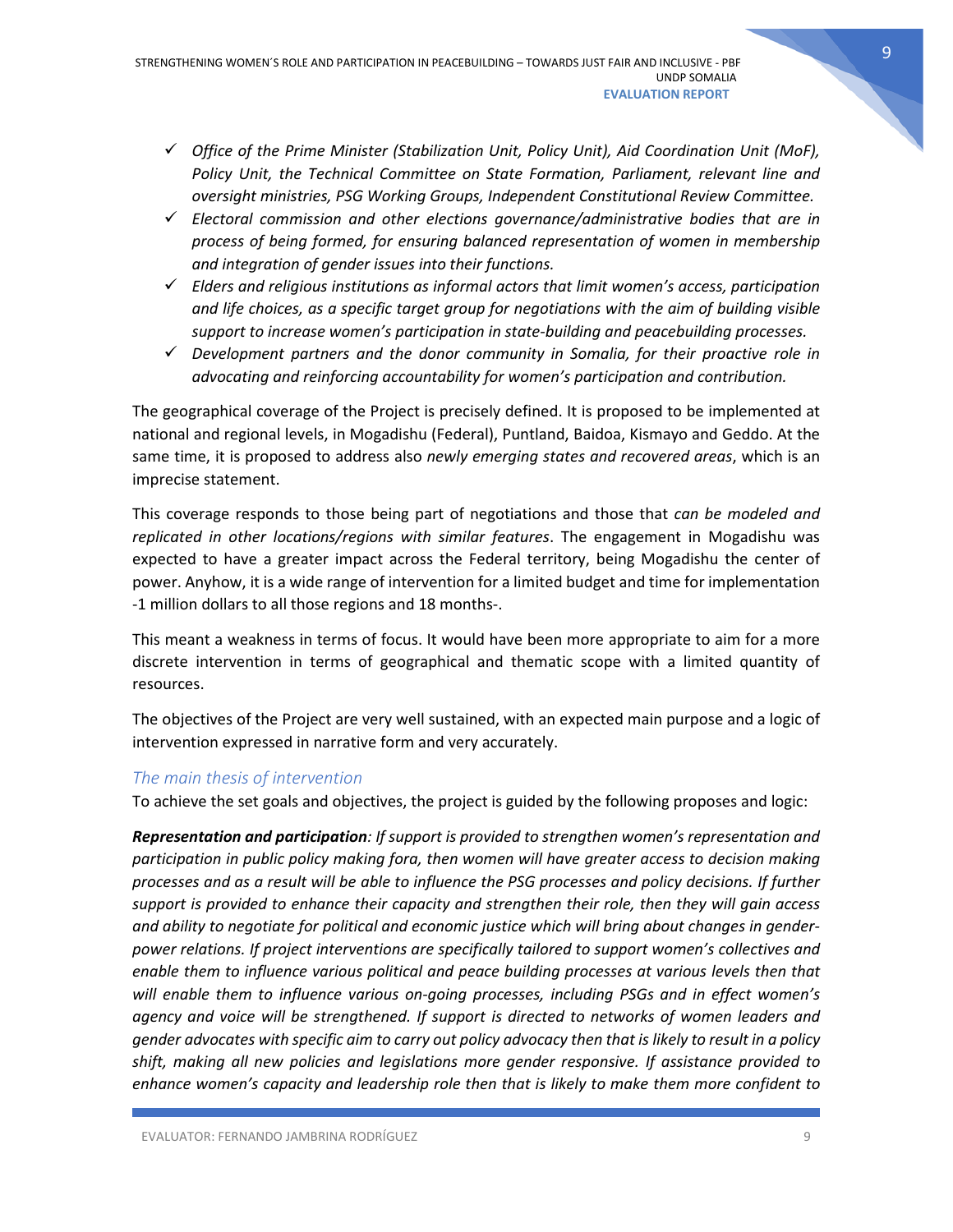- *Office of the Prime Minister (Stabilization Unit, Policy Unit), Aid Coordination Unit (MoF), Policy Unit, the Technical Committee on State Formation, Parliament, relevant line and oversight ministries, PSG Working Groups, Independent Constitutional Review Committee.*
- *Electoral commission and other elections governance/administrative bodies that are in process of being formed, for ensuring balanced representation of women in membership and integration of gender issues into their functions.*
- *Elders and religious institutions as informal actors that limit women's access, participation and life choices, as a specific target group for negotiations with the aim of building visible support to increase women's participation in state-building and peacebuilding processes.*
- *Development partners and the donor community in Somalia, for their proactive role in advocating and reinforcing accountability for women's participation and contribution.*

The geographical coverage of the Project is precisely defined. It is proposed to be implemented at national and regional levels, in Mogadishu (Federal), Puntland, Baidoa, Kismayo and Geddo. At the same time, it is proposed to address also *newly emerging states and recovered areas*, which is an imprecise statement.

This coverage responds to those being part of negotiations and those that *can be modeled and replicated in other locations/regions with similar features*. The engagement in Mogadishu was expected to have a greater impact across the Federal territory, being Mogadishu the center of power. Anyhow, it is a wide range of intervention for a limited budget and time for implementation -1 million dollars to all those regions and 18 months-.

This meant a weakness in terms of focus. It would have been more appropriate to aim for a more discrete intervention in terms of geographical and thematic scope with a limited quantity of resources.

The objectives of the Project are very well sustained, with an expected main purpose and a logic of intervention expressed in narrative form and very accurately.

### <span id="page-9-0"></span>*The main thesis of intervention*

To achieve the set goals and objectives, the project is guided by the following proposes and logic:

*Representation and participation: If support is provided to strengthen women's representation and participation in public policy making fora, then women will have greater access to decision making processes and as a result will be able to influence the PSG processes and policy decisions. If further support is provided to enhance their capacity and strengthen their role, then they will gain access and ability to negotiate for political and economic justice which will bring about changes in genderpower relations. If project interventions are specifically tailored to support women's collectives and enable them to influence various political and peace building processes at various levels then that will enable them to influence various on-going processes, including PSGs and in effect women's agency and voice will be strengthened. If support is directed to networks of women leaders and gender advocates with specific aim to carry out policy advocacy then that is likely to result in a policy shift, making all new policies and legislations more gender responsive. If assistance provided to enhance women's capacity and leadership role then that is likely to make them more confident to*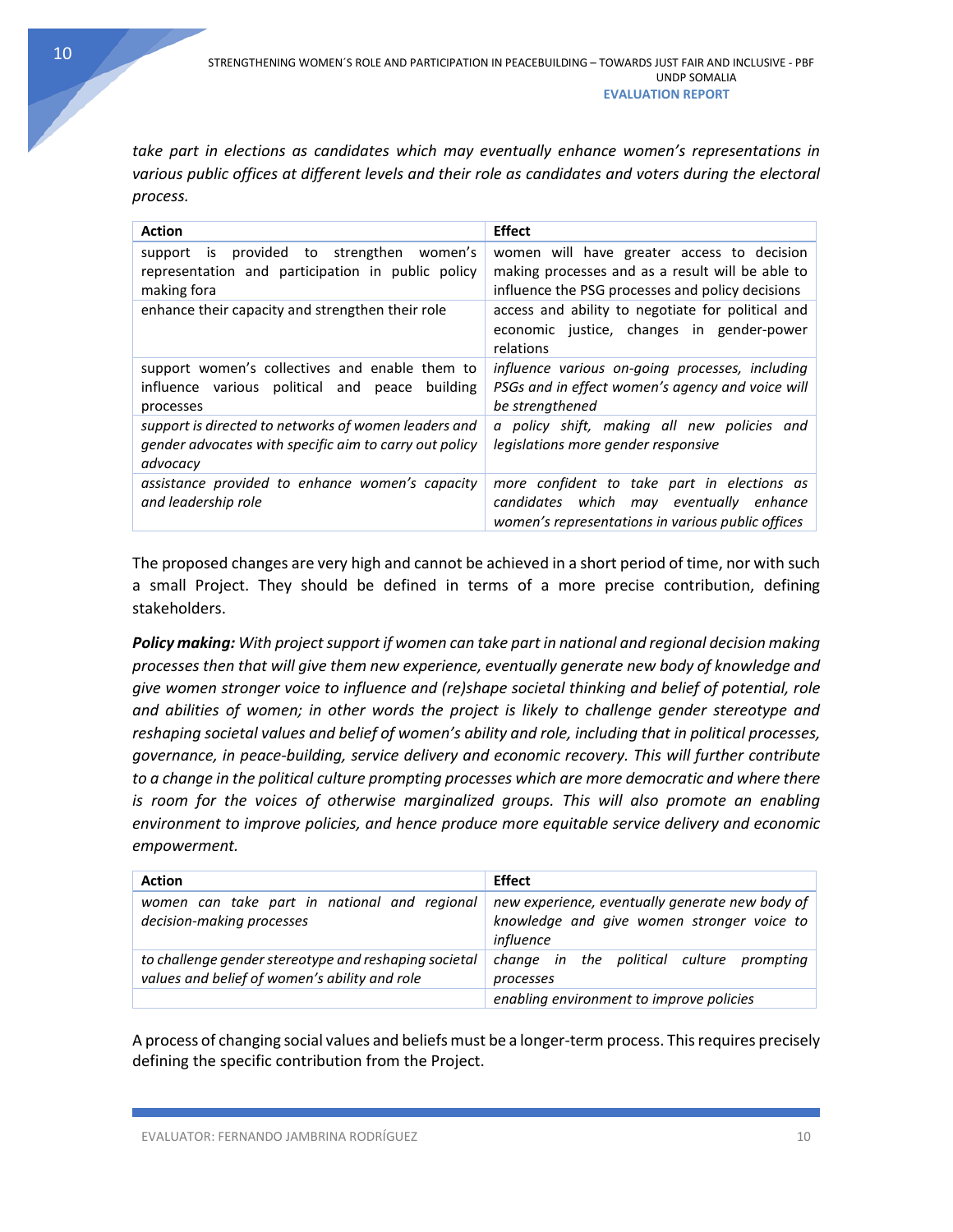*take part in elections as candidates which may eventually enhance women's representations in various public offices at different levels and their role as candidates and voters during the electoral process.*

| <b>Action</b>                                                                                                                 | <b>Effect</b>                                                                                                                                      |
|-------------------------------------------------------------------------------------------------------------------------------|----------------------------------------------------------------------------------------------------------------------------------------------------|
| provided<br>strengthen<br>to<br>women's<br>support<br>is.<br>representation and participation in public policy<br>making fora | women will have greater access to decision<br>making processes and as a result will be able to<br>influence the PSG processes and policy decisions |
| enhance their capacity and strengthen their role                                                                              | access and ability to negotiate for political and<br>economic justice, changes in gender-power<br>relations                                        |
| support women's collectives and enable them to<br>influence various political and peace<br>building<br>processes              | influence various on-going processes, including<br>PSGs and in effect women's agency and voice will<br>be strengthened                             |
| support is directed to networks of women leaders and<br>gender advocates with specific aim to carry out policy<br>advocacy    | a policy shift, making all new policies and<br>legislations more gender responsive                                                                 |
| assistance provided to enhance women's capacity<br>and leadership role                                                        | more confident to take part in elections as<br>which may eventually enhance<br>candidates<br>women's representations in various public offices     |

The proposed changes are very high and cannot be achieved in a short period of time, nor with such a small Project. They should be defined in terms of a more precise contribution, defining stakeholders.

*Policy making: With project support if women can take part in national and regional decision making processes then that will give them new experience, eventually generate new body of knowledge and give women stronger voice to influence and (re)shape societal thinking and belief of potential, role and abilities of women; in other words the project is likely to challenge gender stereotype and reshaping societal values and belief of women's ability and role, including that in political processes, governance, in peace-building, service delivery and economic recovery. This will further contribute to a change in the political culture prompting processes which are more democratic and where there is room for the voices of otherwise marginalized groups. This will also promote an enabling environment to improve policies, and hence produce more equitable service delivery and economic empowerment.*

| <b>Action</b>                                                                                          | <b>Effect</b>                                                                                              |
|--------------------------------------------------------------------------------------------------------|------------------------------------------------------------------------------------------------------------|
| women can take part in national and regional<br>decision-making processes                              | new experience, eventually generate new body of<br>knowledge and give women stronger voice to<br>influence |
| to challenge gender stereotype and reshaping societal<br>values and belief of women's ability and role | change in the political culture prompting<br>processes                                                     |
|                                                                                                        | enabling environment to improve policies                                                                   |

A process of changing social values and beliefsmust be a longer-term process. This requires precisely defining the specific contribution from the Project.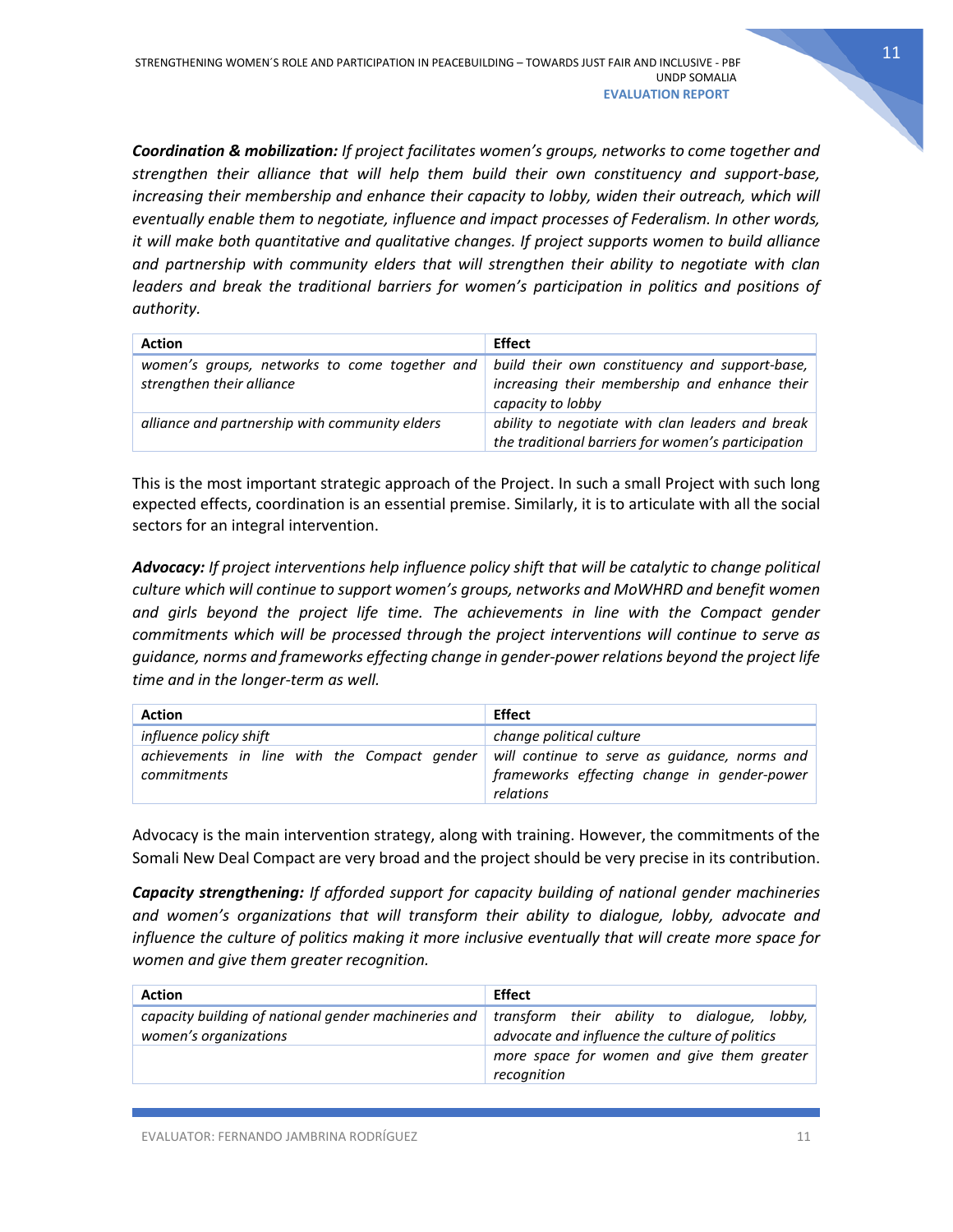*Coordination & mobilization: If project facilitates women's groups, networks to come together and strengthen their alliance that will help them build their own constituency and support-base, increasing their membership and enhance their capacity to lobby, widen their outreach, which will eventually enable them to negotiate, influence and impact processes of Federalism. In other words, it will make both quantitative and qualitative changes. If project supports women to build alliance and partnership with community elders that will strengthen their ability to negotiate with clan leaders and break the traditional barriers for women's participation in politics and positions of authority.*

| <b>Action</b>                                                              | <b>Effect</b>                                                                                                        |
|----------------------------------------------------------------------------|----------------------------------------------------------------------------------------------------------------------|
| women's groups, networks to come together and<br>strengthen their alliance | build their own constituency and support-base,<br>increasing their membership and enhance their<br>capacity to lobby |
| alliance and partnership with community elders                             | ability to negotiate with clan leaders and break<br>the traditional barriers for women's participation               |

This is the most important strategic approach of the Project. In such a small Project with such long expected effects, coordination is an essential premise. Similarly, it is to articulate with all the social sectors for an integral intervention.

*Advocacy: If project interventions help influence policy shift that will be catalytic to change political culture which will continue to support women's groups, networks and MoWHRD and benefit women*  and girls beyond the project life time. The achievements in line with the Compact gender *commitments which will be processed through the project interventions will continue to serve as guidance, norms and frameworks effecting change in gender-power relations beyond the project life time and in the longer-term as well.*

| <b>Action</b>                                | <b>Effect</b>                                            |
|----------------------------------------------|----------------------------------------------------------|
| influence policy shift                       | change political culture                                 |
| achievements in line with the Compact gender | will continue to serve as guidance, norms and            |
| commitments                                  | frameworks effecting change in gender-power<br>relations |

Advocacy is the main intervention strategy, along with training. However, the commitments of the Somali New Deal Compact are very broad and the project should be very precise in its contribution.

*Capacity strengthening: If afforded support for capacity building of national gender machineries and women's organizations that will transform their ability to dialogue, lobby, advocate and influence the culture of politics making it more inclusive eventually that will create more space for women and give them greater recognition.*

| <b>Action</b>                                                                 | Effect                                                                                        |
|-------------------------------------------------------------------------------|-----------------------------------------------------------------------------------------------|
| capacity building of national gender machineries and<br>women's organizations | transform their ability to dialogue, lobby,<br>advocate and influence the culture of politics |
|                                                                               | more space for women and give them greater<br>recognition                                     |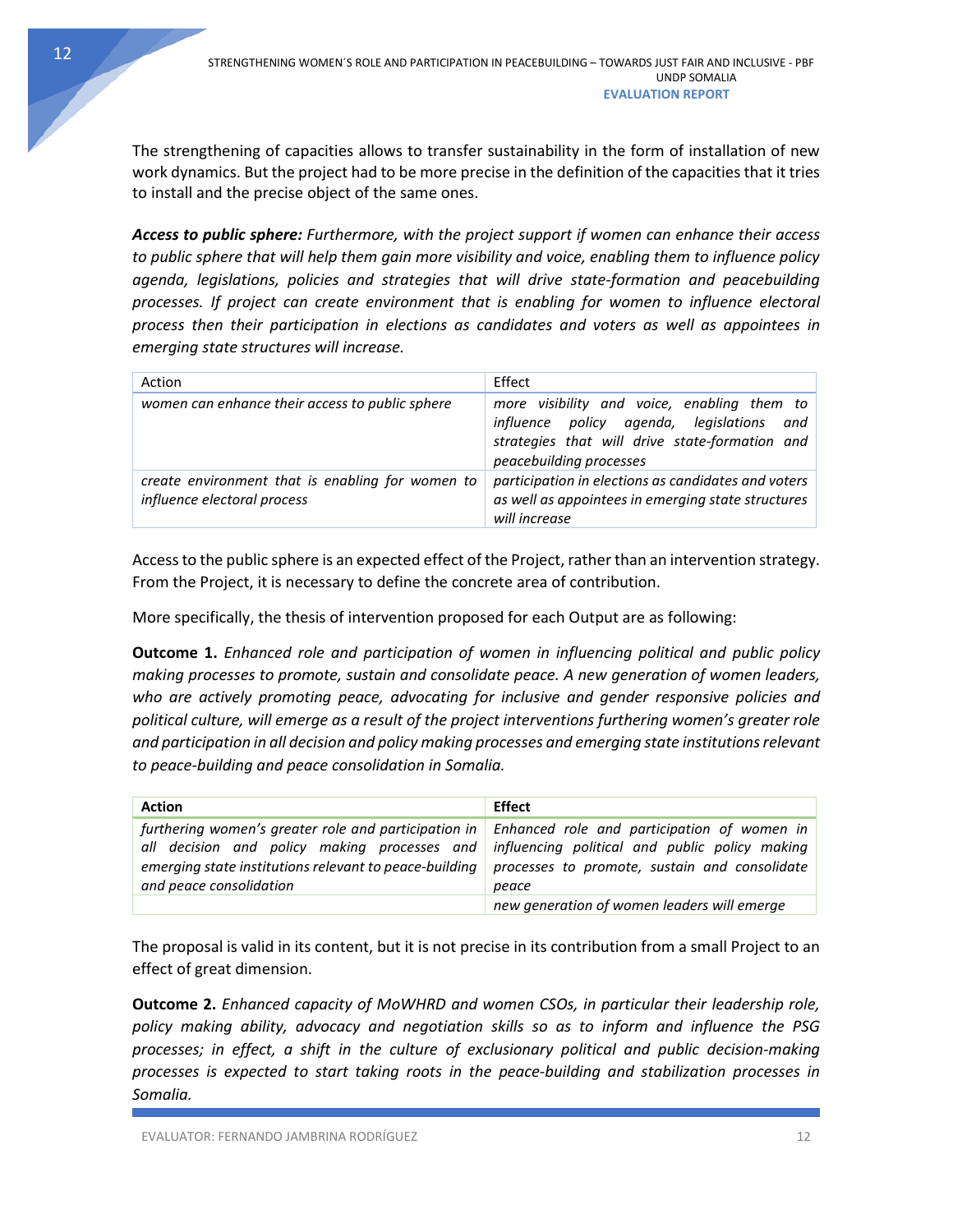UNDP SOMALIA

The strengthening of capacities allows to transfer sustainability in the form of installation of new work dynamics. But the project had to be more precise in the definition of the capacities that it tries to install and the precise object of the same ones.

*Access to public sphere: Furthermore, with the project support if women can enhance their access to public sphere that will help them gain more visibility and voice, enabling them to influence policy agenda, legislations, policies and strategies that will drive state-formation and peacebuilding processes. If project can create environment that is enabling for women to influence electoral process then their participation in elections as candidates and voters as well as appointees in emerging state structures will increase.*

| Action                                                                          | Effect                                                                                                                                                                |
|---------------------------------------------------------------------------------|-----------------------------------------------------------------------------------------------------------------------------------------------------------------------|
| women can enhance their access to public sphere                                 | more visibility and voice, enabling them to<br>influence policy agenda, legislations and<br>strategies that will drive state-formation and<br>peacebuilding processes |
| create environment that is enabling for women to<br>influence electoral process | participation in elections as candidates and voters<br>as well as appointees in emerging state structures<br>will increase                                            |

Access to the public sphere is an expected effect of the Project, rather than an intervention strategy. From the Project, it is necessary to define the concrete area of contribution.

More specifically, the thesis of intervention proposed for each Output are as following:

**Outcome 1.** *Enhanced role and participation of women in influencing political and public policy making processes to promote, sustain and consolidate peace. A new generation of women leaders, who are actively promoting peace, advocating for inclusive and gender responsive policies and political culture, will emerge as a result of the project interventions furthering women's greater role and participation in all decision and policy making processes and emerging state institutions relevant to peace-building and peace consolidation in Somalia.*

| <b>Action</b>                                                                                                                                                                                                                                                                                | <b>Effect</b>                                          |
|----------------------------------------------------------------------------------------------------------------------------------------------------------------------------------------------------------------------------------------------------------------------------------------------|--------------------------------------------------------|
| furthering women's greater role and participation in $\vert$ Enhanced role and participation of women in<br>all decision and policy making processes and influencing political and public policy making<br>emerging state institutions relevant to peace-building<br>and peace consolidation | processes to promote, sustain and consolidate<br>peace |
|                                                                                                                                                                                                                                                                                              | new generation of women leaders will emerge            |

The proposal is valid in its content, but it is not precise in its contribution from a small Project to an effect of great dimension.

**Outcome 2.** *Enhanced capacity of MoWHRD and women CSOs, in particular their leadership role, policy making ability, advocacy and negotiation skills so as to inform and influence the PSG processes; in effect, a shift in the culture of exclusionary political and public decision-making processes is expected to start taking roots in the peace-building and stabilization processes in Somalia.*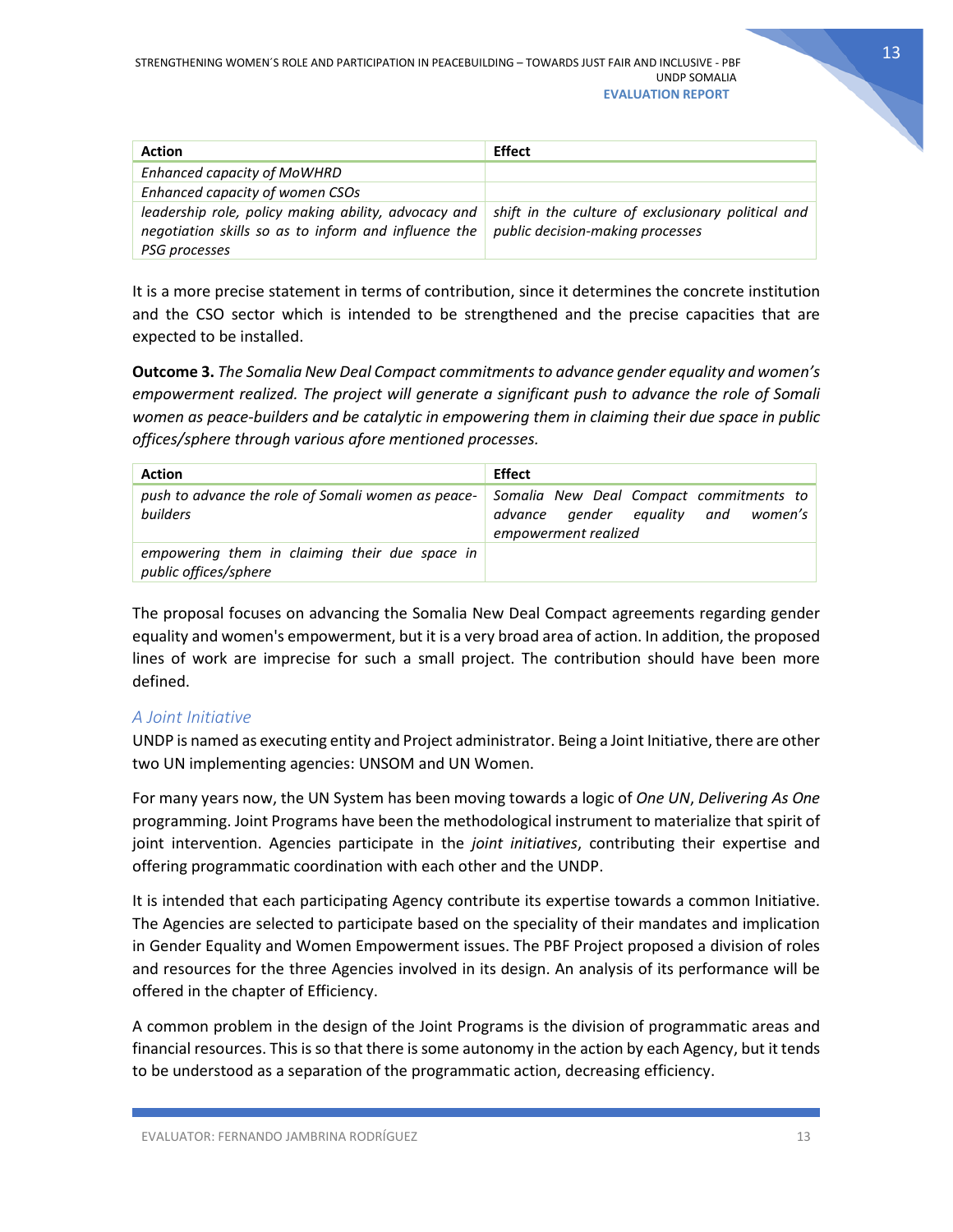| <b>Action</b>                                                                                                                 | <b>Effect</b>                                                                          |
|-------------------------------------------------------------------------------------------------------------------------------|----------------------------------------------------------------------------------------|
| Enhanced capacity of MoWHRD                                                                                                   |                                                                                        |
| Enhanced capacity of women CSOs                                                                                               |                                                                                        |
| leadership role, policy making ability, advocacy and<br>negotiation skills so as to inform and influence the<br>PSG processes | shift in the culture of exclusionary political and<br>public decision-making processes |

It is a more precise statement in terms of contribution, since it determines the concrete institution and the CSO sector which is intended to be strengthened and the precise capacities that are expected to be installed.

**Outcome 3.** *The Somalia New Deal Compact commitments to advance gender equality and women's empowerment realized. The project will generate a significant push to advance the role of Somali women as peace-builders and be catalytic in empowering them in claiming their due space in public offices/sphere through various afore mentioned processes.*

| <b>Action</b>                                                           | <b>Effect</b>                                                                                          |
|-------------------------------------------------------------------------|--------------------------------------------------------------------------------------------------------|
| push to advance the role of Somali women as peace-<br>builders          | Somalia New Deal Compact commitments to<br>advance gender equality and women's<br>empowerment realized |
| empowering them in claiming their due space in<br>public offices/sphere |                                                                                                        |

The proposal focuses on advancing the Somalia New Deal Compact agreements regarding gender equality and women's empowerment, but it is a very broad area of action. In addition, the proposed lines of work are imprecise for such a small project. The contribution should have been more defined.

### <span id="page-13-0"></span>*A Joint Initiative*

UNDP is named as executing entity and Project administrator. Being a Joint Initiative, there are other two UN implementing agencies: UNSOM and UN Women.

For many years now, the UN System has been moving towards a logic of *One UN*, *Delivering As One*  programming. Joint Programs have been the methodological instrument to materialize that spirit of joint intervention. Agencies participate in the *joint initiatives*, contributing their expertise and offering programmatic coordination with each other and the UNDP.

It is intended that each participating Agency contribute its expertise towards a common Initiative. The Agencies are selected to participate based on the speciality of their mandates and implication in Gender Equality and Women Empowerment issues. The PBF Project proposed a division of roles and resources for the three Agencies involved in its design. An analysis of its performance will be offered in the chapter of Efficiency.

A common problem in the design of the Joint Programs is the division of programmatic areas and financial resources. This is so that there is some autonomy in the action by each Agency, but it tends to be understood as a separation of the programmatic action, decreasing efficiency.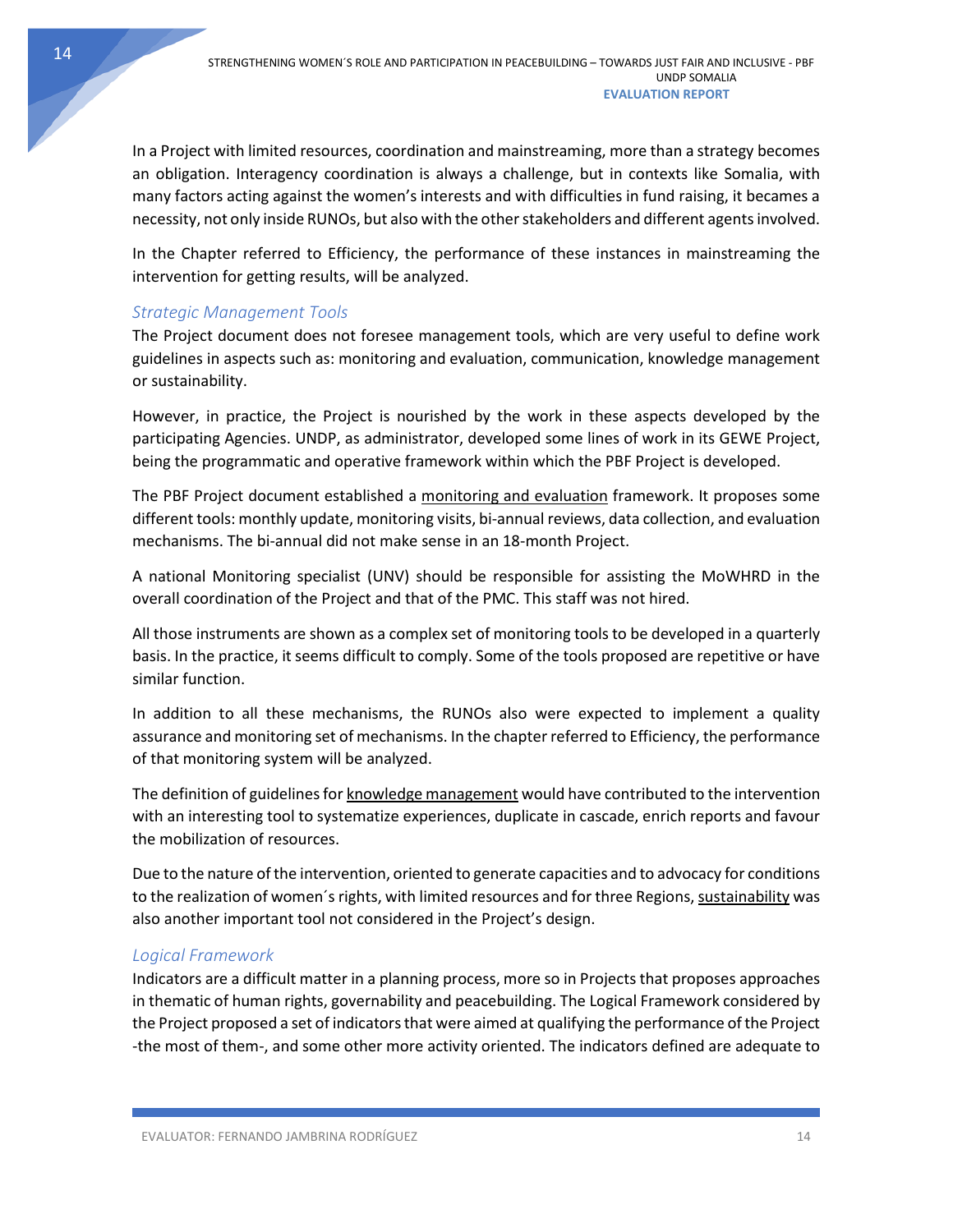#### **EVALUATION REPORT**

UNDP SOMALIA

In a Project with limited resources, coordination and mainstreaming, more than a strategy becomes an obligation. Interagency coordination is always a challenge, but in contexts like Somalia, with many factors acting against the women's interests and with difficulties in fund raising, it becames a necessity, not only inside RUNOs, but also with the other stakeholders and different agents involved.

In the Chapter referred to Efficiency, the performance of these instances in mainstreaming the intervention for getting results, will be analyzed.

### <span id="page-14-0"></span>*Strategic Management Tools*

The Project document does not foresee management tools, which are very useful to define work guidelines in aspects such as: monitoring and evaluation, communication, knowledge management or sustainability.

However, in practice, the Project is nourished by the work in these aspects developed by the participating Agencies. UNDP, as administrator, developed some lines of work in its GEWE Project, being the programmatic and operative framework within which the PBF Project is developed.

The PBF Project document established a monitoring and evaluation framework. It proposes some different tools: monthly update, monitoring visits, bi-annual reviews, data collection, and evaluation mechanisms. The bi-annual did not make sense in an 18-month Project.

A national Monitoring specialist (UNV) should be responsible for assisting the MoWHRD in the overall coordination of the Project and that of the PMC. This staff was not hired.

All those instruments are shown as a complex set of monitoring tools to be developed in a quarterly basis. In the practice, it seems difficult to comply. Some of the tools proposed are repetitive or have similar function.

In addition to all these mechanisms, the RUNOs also were expected to implement a quality assurance and monitoring set of mechanisms. In the chapter referred to Efficiency, the performance of that monitoring system will be analyzed.

The definition of guidelines for knowledge management would have contributed to the intervention with an interesting tool to systematize experiences, duplicate in cascade, enrich reports and favour the mobilization of resources.

Due to the nature of the intervention, oriented to generate capacities and to advocacy for conditions to the realization of women's rights, with limited resources and for three Regions, sustainability was also another important tool not considered in the Project's design.

### <span id="page-14-1"></span>*Logical Framework*

Indicators are a difficult matter in a planning process, more so in Projects that proposes approaches in thematic of human rights, governability and peacebuilding. The Logical Framework considered by the Project proposed a set of indicators that were aimed at qualifying the performance of the Project -the most of them-, and some other more activity oriented. The indicators defined are adequate to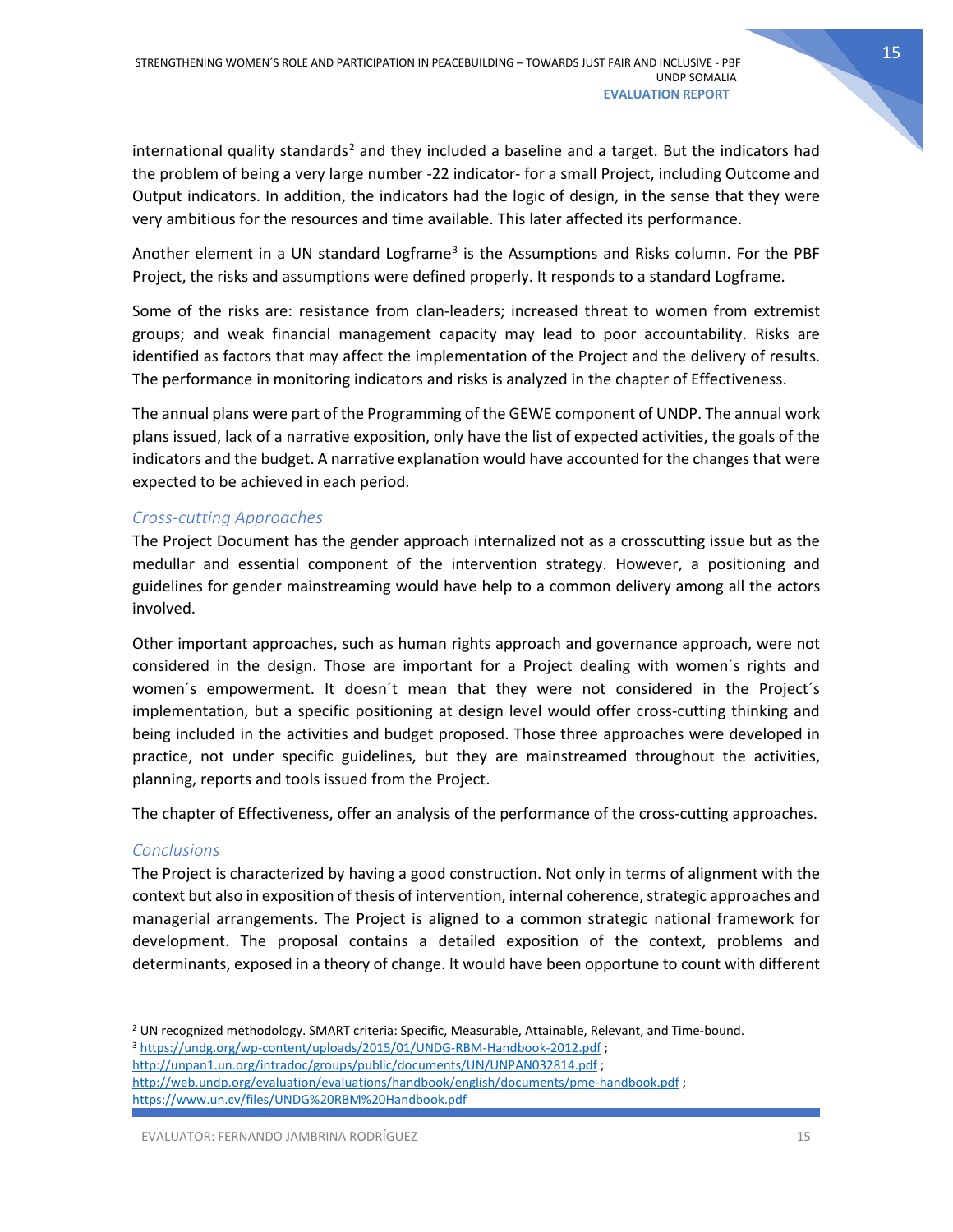international quality standards<sup>[2](#page-15-2)</sup> and they included a baseline and a target. But the indicators had the problem of being a very large number -22 indicator- for a small Project, including Outcome and Output indicators. In addition, the indicators had the logic of design, in the sense that they were very ambitious for the resources and time available. This later affected its performance.

Another element in a UN standard Logframe<sup>[3](#page-15-3)</sup> is the Assumptions and Risks column. For the PBF Project, the risks and assumptions were defined properly. It responds to a standard Logframe.

Some of the risks are: resistance from clan-leaders; increased threat to women from extremist groups; and weak financial management capacity may lead to poor accountability. Risks are identified as factors that may affect the implementation of the Project and the delivery of results. The performance in monitoring indicators and risks is analyzed in the chapter of Effectiveness.

The annual plans were part of the Programming of the GEWE component of UNDP. The annual work plans issued, lack of a narrative exposition, only have the list of expected activities, the goals of the indicators and the budget. A narrative explanation would have accounted for the changes that were expected to be achieved in each period.

### <span id="page-15-0"></span>*Cross-cutting Approaches*

The Project Document has the gender approach internalized not as a crosscutting issue but as the medullar and essential component of the intervention strategy. However, a positioning and guidelines for gender mainstreaming would have help to a common delivery among all the actors involved.

Other important approaches, such as human rights approach and governance approach, were not considered in the design. Those are important for a Project dealing with women´s rights and women´s empowerment. It doesn´t mean that they were not considered in the Project´s implementation, but a specific positioning at design level would offer cross-cutting thinking and being included in the activities and budget proposed. Those three approaches were developed in practice, not under specific guidelines, but they are mainstreamed throughout the activities, planning, reports and tools issued from the Project.

The chapter of Effectiveness, offer an analysis of the performance of the cross-cutting approaches.

### <span id="page-15-1"></span>*Conclusions*

The Project is characterized by having a good construction. Not only in terms of alignment with the context but also in exposition of thesis of intervention, internal coherence, strategic approaches and managerial arrangements. The Project is aligned to a common strategic national framework for development. The proposal contains a detailed exposition of the context, problems and determinants, exposed in a theory of change. It would have been opportune to count with different

<span id="page-15-3"></span><http://unpan1.un.org/intradoc/groups/public/documents/UN/UNPAN032814.pdf>;

<span id="page-15-2"></span><sup>&</sup>lt;sup>2</sup> UN recognized methodology. SMART criteria: Specific, Measurable, Attainable, Relevant, and Time-bound. 3 <https://undg.org/wp-content/uploads/2015/01/UNDG-RBM-Handbook-2012.pdf> ;

<http://web.undp.org/evaluation/evaluations/handbook/english/documents/pme-handbook.pdf> ; <https://www.un.cv/files/UNDG%20RBM%20Handbook.pdf>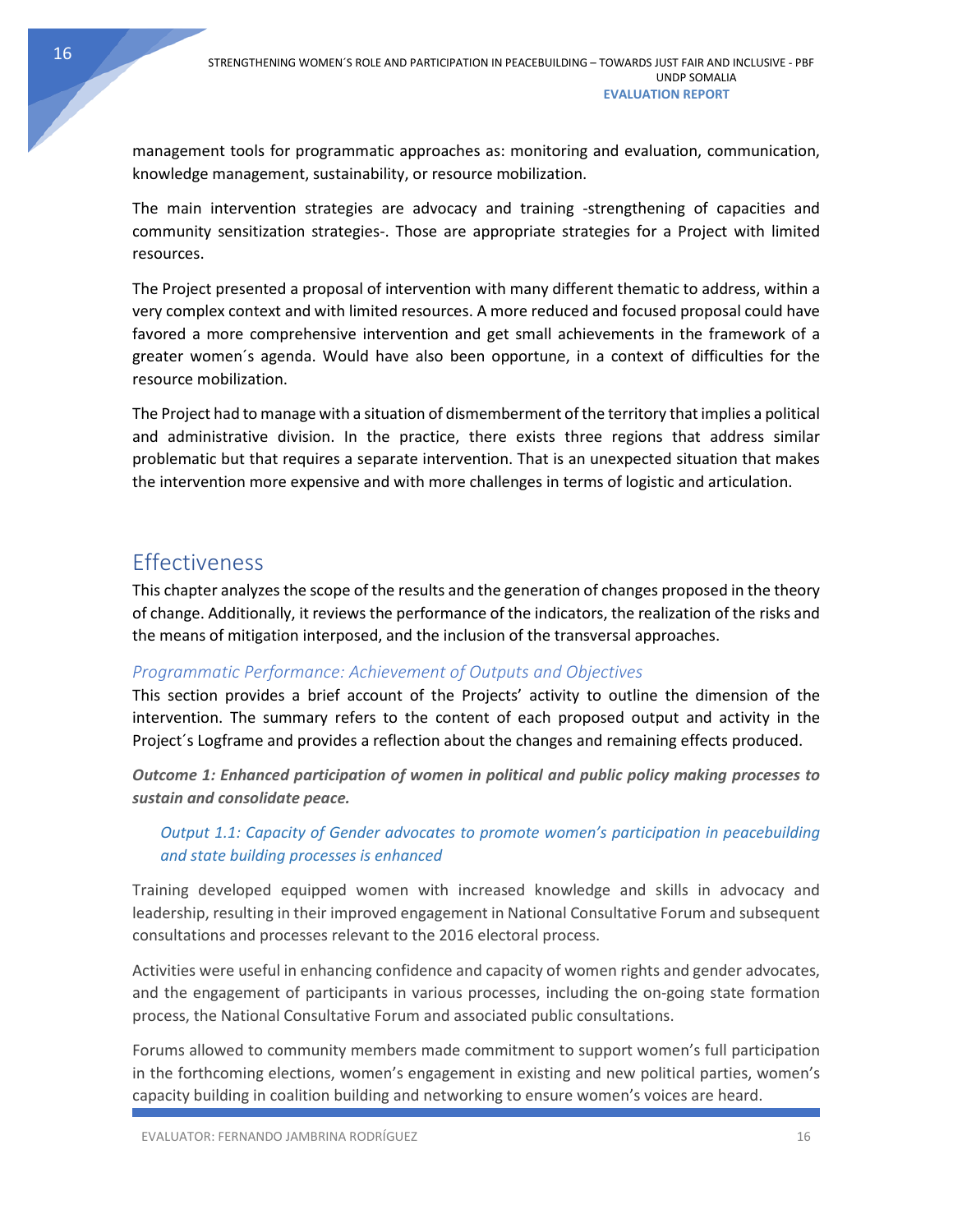management tools for programmatic approaches as: monitoring and evaluation, communication, knowledge management, sustainability, or resource mobilization.

The main intervention strategies are advocacy and training -strengthening of capacities and community sensitization strategies-. Those are appropriate strategies for a Project with limited resources.

The Project presented a proposal of intervention with many different thematic to address, within a very complex context and with limited resources. A more reduced and focused proposal could have favored a more comprehensive intervention and get small achievements in the framework of a greater women´s agenda. Would have also been opportune, in a context of difficulties for the resource mobilization.

The Project had to manage with a situation of dismemberment of the territory that implies a political and administrative division. In the practice, there exists three regions that address similar problematic but that requires a separate intervention. That is an unexpected situation that makes the intervention more expensive and with more challenges in terms of logistic and articulation.

# <span id="page-16-0"></span>Effectiveness

This chapter analyzes the scope of the results and the generation of changes proposed in the theory of change. Additionally, it reviews the performance of the indicators, the realization of the risks and the means of mitigation interposed, and the inclusion of the transversal approaches.

### <span id="page-16-1"></span>*Programmatic Performance: Achievement of Outputs and Objectives*

This section provides a brief account of the Projects' activity to outline the dimension of the intervention. The summary refers to the content of each proposed output and activity in the Project´s Logframe and provides a reflection about the changes and remaining effects produced.

*Outcome 1: Enhanced participation of women in political and public policy making processes to sustain and consolidate peace.*

### *Output 1.1: Capacity of Gender advocates to promote women's participation in peacebuilding and state building processes is enhanced*

Training developed equipped women with increased knowledge and skills in advocacy and leadership, resulting in their improved engagement in National Consultative Forum and subsequent consultations and processes relevant to the 2016 electoral process.

Activities were useful in enhancing confidence and capacity of women rights and gender advocates, and the engagement of participants in various processes, including the on-going state formation process, the National Consultative Forum and associated public consultations.

Forums allowed to community members made commitment to support women's full participation in the forthcoming elections, women's engagement in existing and new political parties, women's capacity building in coalition building and networking to ensure women's voices are heard.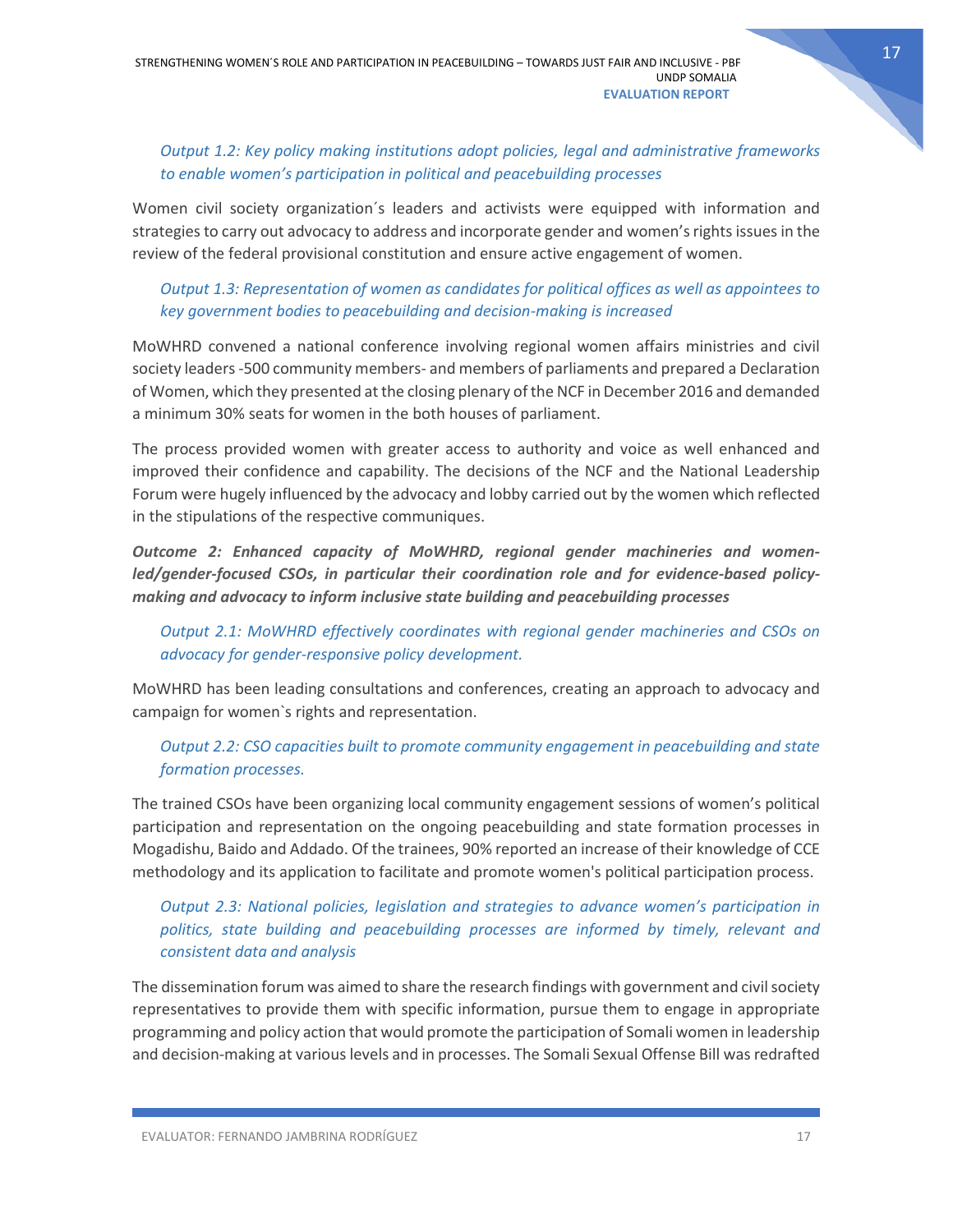# *Output 1.2: Key policy making institutions adopt policies, legal and administrative frameworks to enable women's participation in political and peacebuilding processes*

Women civil society organization´s leaders and activists were equipped with information and strategies to carry out advocacy to address and incorporate gender and women's rights issues in the review of the federal provisional constitution and ensure active engagement of women.

# *Output 1.3: Representation of women as candidates for political offices as well as appointees to key government bodies to peacebuilding and decision-making is increased*

MoWHRD convened a national conference involving regional women affairs ministries and civil society leaders -500 community members- and members of parliaments and prepared a Declaration of Women, which they presented at the closing plenary of the NCF in December 2016 and demanded a minimum 30% seats for women in the both houses of parliament.

The process provided women with greater access to authority and voice as well enhanced and improved their confidence and capability. The decisions of the NCF and the National Leadership Forum were hugely influenced by the advocacy and lobby carried out by the women which reflected in the stipulations of the respective communiques.

*Outcome 2: Enhanced capacity of MoWHRD, regional gender machineries and womenled/gender-focused CSOs, in particular their coordination role and for evidence-based policymaking and advocacy to inform inclusive state building and peacebuilding processes*

*Output 2.1: MoWHRD effectively coordinates with regional gender machineries and CSOs on advocacy for gender-responsive policy development.*

MoWHRD has been leading consultations and conferences, creating an approach to advocacy and campaign for women`s rights and representation.

# *Output 2.2: CSO capacities built to promote community engagement in peacebuilding and state formation processes.*

The trained CSOs have been organizing local community engagement sessions of women's political participation and representation on the ongoing peacebuilding and state formation processes in Mogadishu, Baido and Addado. Of the trainees, 90% reported an increase of their knowledge of CCE methodology and its application to facilitate and promote women's political participation process.

# *Output 2.3: National policies, legislation and strategies to advance women's participation in politics, state building and peacebuilding processes are informed by timely, relevant and consistent data and analysis*

The dissemination forum was aimed to share the research findings with government and civil society representatives to provide them with specific information, pursue them to engage in appropriate programming and policy action that would promote the participation of Somali women in leadership and decision-making at various levels and in processes. The Somali Sexual Offense Bill was redrafted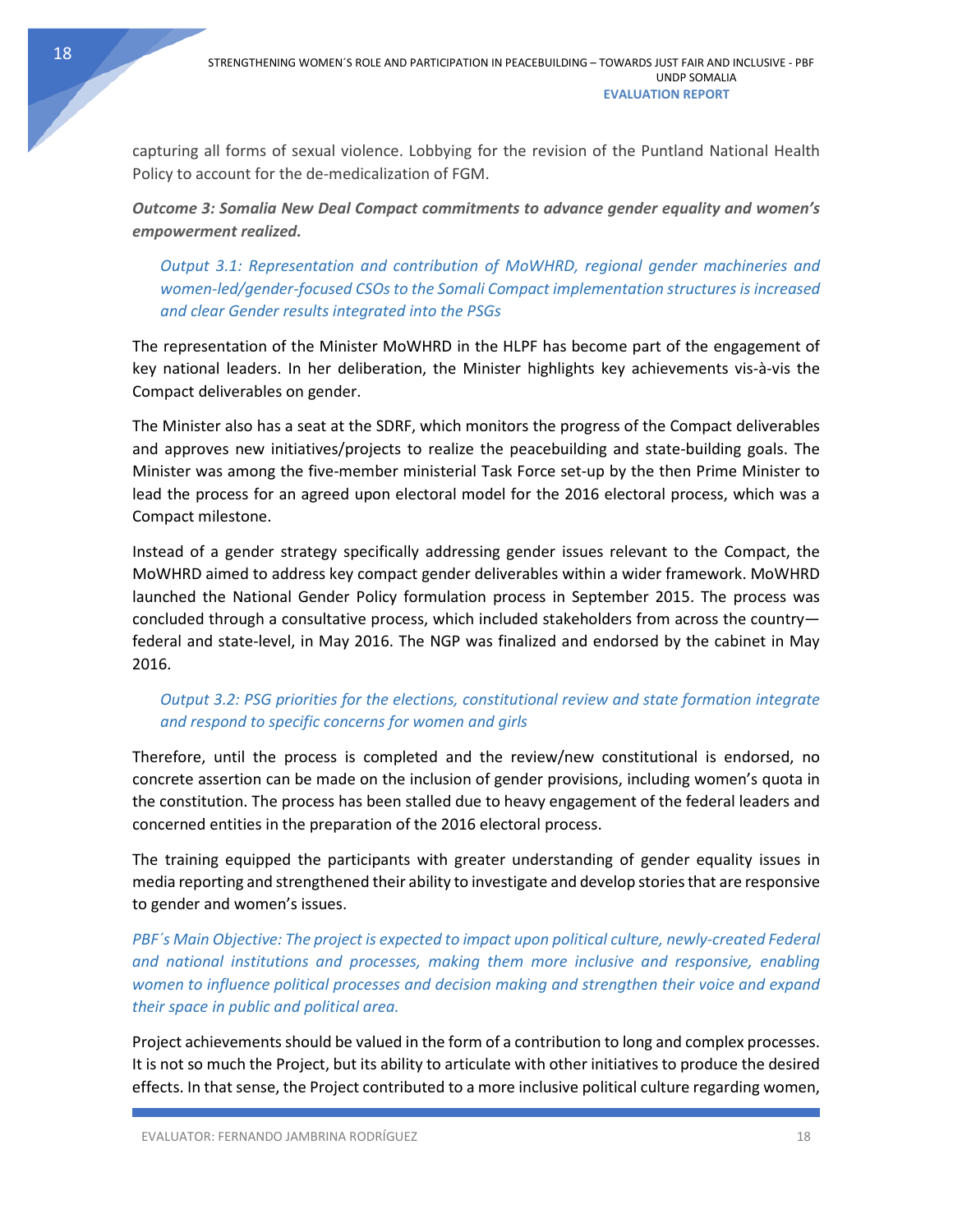capturing all forms of sexual violence. Lobbying for the revision of the Puntland National Health Policy to account for the de-medicalization of FGM.

*Outcome 3: Somalia New Deal Compact commitments to advance gender equality and women's empowerment realized.*

*Output 3.1: Representation and contribution of MoWHRD, regional gender machineries and women-led/gender-focused CSOs to the Somali Compact implementation structures is increased and clear Gender results integrated into the PSGs*

The representation of the Minister MoWHRD in the HLPF has become part of the engagement of key national leaders. In her deliberation, the Minister highlights key achievements vis-à-vis the Compact deliverables on gender.

The Minister also has a seat at the SDRF, which monitors the progress of the Compact deliverables and approves new initiatives/projects to realize the peacebuilding and state-building goals. The Minister was among the five-member ministerial Task Force set-up by the then Prime Minister to lead the process for an agreed upon electoral model for the 2016 electoral process, which was a Compact milestone.

Instead of a gender strategy specifically addressing gender issues relevant to the Compact, the MoWHRD aimed to address key compact gender deliverables within a wider framework. MoWHRD launched the National Gender Policy formulation process in September 2015. The process was concluded through a consultative process, which included stakeholders from across the country federal and state-level, in May 2016. The NGP was finalized and endorsed by the cabinet in May 2016.

# *Output 3.2: PSG priorities for the elections, constitutional review and state formation integrate and respond to specific concerns for women and girls*

Therefore, until the process is completed and the review/new constitutional is endorsed, no concrete assertion can be made on the inclusion of gender provisions, including women's quota in the constitution. The process has been stalled due to heavy engagement of the federal leaders and concerned entities in the preparation of the 2016 electoral process.

The training equipped the participants with greater understanding of gender equality issues in media reporting and strengthened their ability to investigate and develop stories that are responsive to gender and women's issues.

*PBF´s Main Objective: The project is expected to impact upon political culture, newly-created Federal and national institutions and processes, making them more inclusive and responsive, enabling women to influence political processes and decision making and strengthen their voice and expand their space in public and political area.*

Project achievements should be valued in the form of a contribution to long and complex processes. It is not so much the Project, but its ability to articulate with other initiatives to produce the desired effects. In that sense, the Project contributed to a more inclusive political culture regarding women,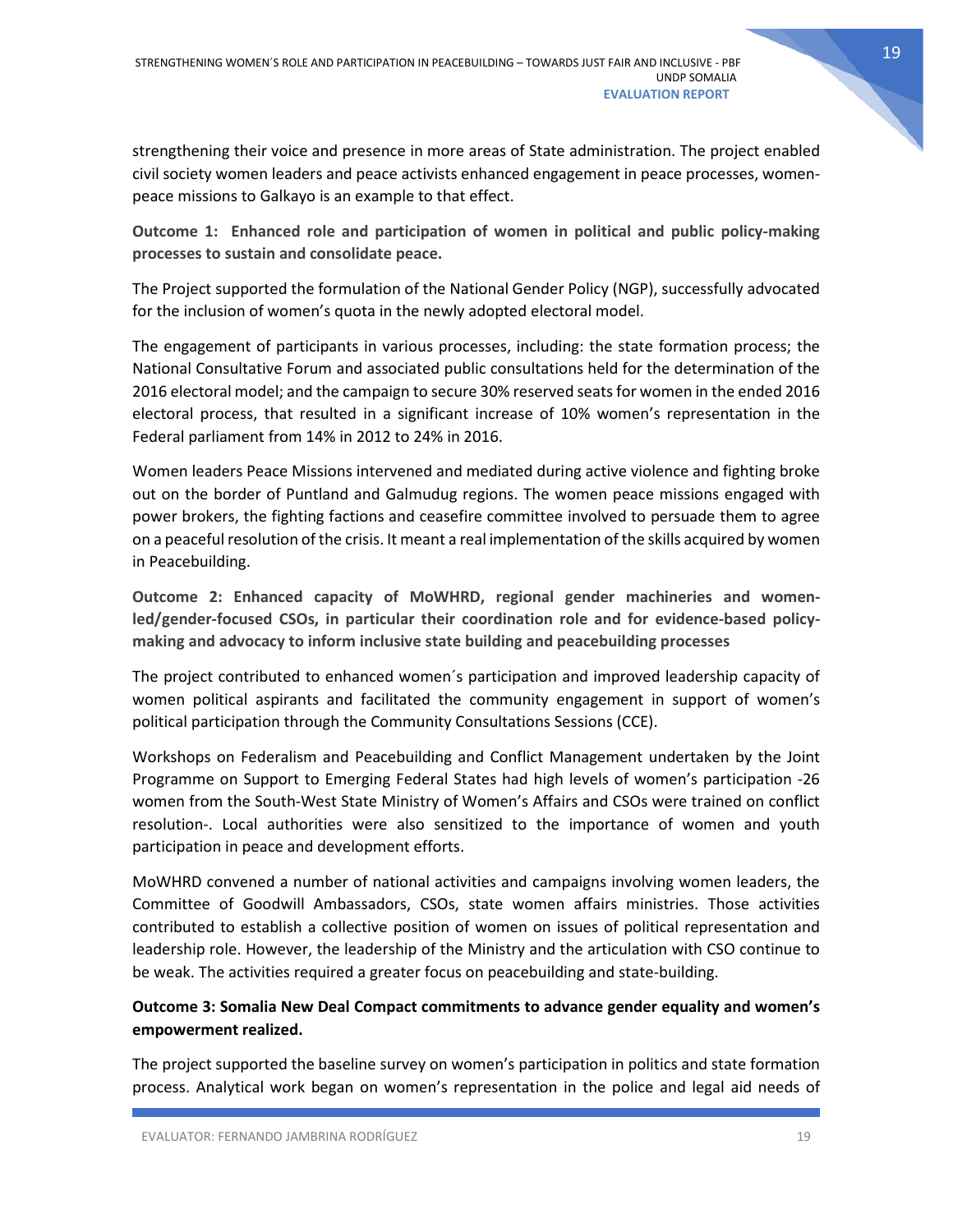strengthening their voice and presence in more areas of State administration. The project enabled civil society women leaders and peace activists enhanced engagement in peace processes, womenpeace missions to Galkayo is an example to that effect.

**Outcome 1: Enhanced role and participation of women in political and public policy-making processes to sustain and consolidate peace.**

The Project supported the formulation of the National Gender Policy (NGP), successfully advocated for the inclusion of women's quota in the newly adopted electoral model.

The engagement of participants in various processes, including: the state formation process; the National Consultative Forum and associated public consultations held for the determination of the 2016 electoral model; and the campaign to secure 30% reserved seats for women in the ended 2016 electoral process, that resulted in a significant increase of 10% women's representation in the Federal parliament from 14% in 2012 to 24% in 2016.

Women leaders Peace Missions intervened and mediated during active violence and fighting broke out on the border of Puntland and Galmudug regions. The women peace missions engaged with power brokers, the fighting factions and ceasefire committee involved to persuade them to agree on a peaceful resolution of the crisis. It meant a real implementation of the skills acquired by women in Peacebuilding.

**Outcome 2: Enhanced capacity of MoWHRD, regional gender machineries and womenled/gender-focused CSOs, in particular their coordination role and for evidence-based policymaking and advocacy to inform inclusive state building and peacebuilding processes**

The project contributed to enhanced women´s participation and improved leadership capacity of women political aspirants and facilitated the community engagement in support of women's political participation through the Community Consultations Sessions (CCE).

Workshops on Federalism and Peacebuilding and Conflict Management undertaken by the Joint Programme on Support to Emerging Federal States had high levels of women's participation -26 women from the South-West State Ministry of Women's Affairs and CSOs were trained on conflict resolution-. Local authorities were also sensitized to the importance of women and youth participation in peace and development efforts.

MoWHRD convened a number of national activities and campaigns involving women leaders, the Committee of Goodwill Ambassadors, CSOs, state women affairs ministries. Those activities contributed to establish a collective position of women on issues of political representation and leadership role. However, the leadership of the Ministry and the articulation with CSO continue to be weak. The activities required a greater focus on peacebuilding and state-building.

### **Outcome 3: Somalia New Deal Compact commitments to advance gender equality and women's empowerment realized.**

The project supported the baseline survey on women's participation in politics and state formation process. Analytical work began on women's representation in the police and legal aid needs of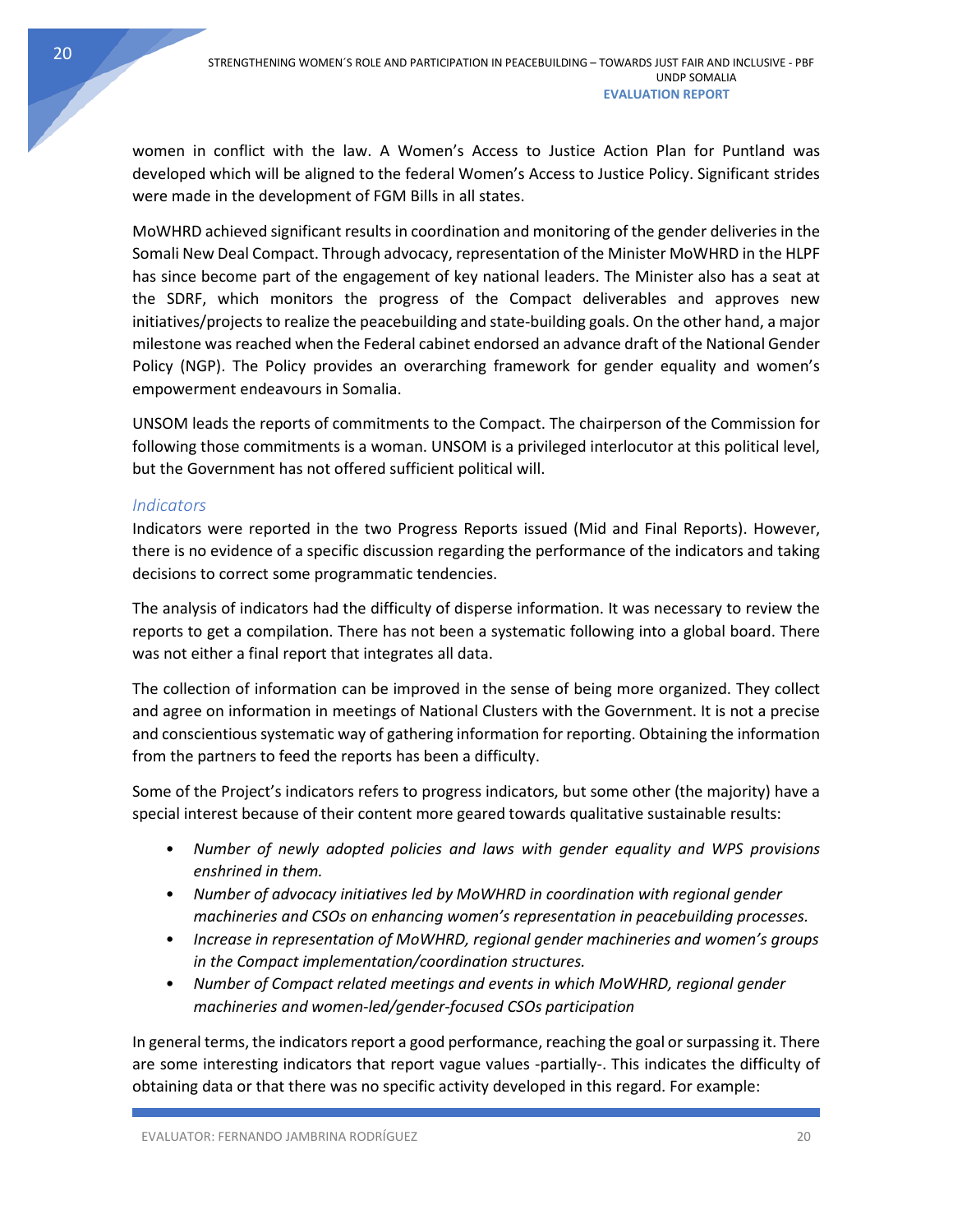women in conflict with the law. A Women's Access to Justice Action Plan for Puntland was developed which will be aligned to the federal Women's Access to Justice Policy. Significant strides were made in the development of FGM Bills in all states.

MoWHRD achieved significant results in coordination and monitoring of the gender deliveries in the Somali New Deal Compact. Through advocacy, representation of the Minister MoWHRD in the HLPF has since become part of the engagement of key national leaders. The Minister also has a seat at the SDRF, which monitors the progress of the Compact deliverables and approves new initiatives/projects to realize the peacebuilding and state-building goals. On the other hand, a major milestone was reached when the Federal cabinet endorsed an advance draft of the National Gender Policy (NGP). The Policy provides an overarching framework for gender equality and women's empowerment endeavours in Somalia.

UNSOM leads the reports of commitments to the Compact. The chairperson of the Commission for following those commitments is a woman. UNSOM is a privileged interlocutor at this political level, but the Government has not offered sufficient political will.

### <span id="page-20-0"></span>*Indicators*

Indicators were reported in the two Progress Reports issued (Mid and Final Reports). However, there is no evidence of a specific discussion regarding the performance of the indicators and taking decisions to correct some programmatic tendencies.

The analysis of indicators had the difficulty of disperse information. It was necessary to review the reports to get a compilation. There has not been a systematic following into a global board. There was not either a final report that integrates all data.

The collection of information can be improved in the sense of being more organized. They collect and agree on information in meetings of National Clusters with the Government. It is not a precise and conscientious systematic way of gathering information for reporting. Obtaining the information from the partners to feed the reports has been a difficulty.

Some of the Project's indicators refers to progress indicators, but some other (the majority) have a special interest because of their content more geared towards qualitative sustainable results:

- *Number of newly adopted policies and laws with gender equality and WPS provisions enshrined in them.*
- *Number of advocacy initiatives led by MoWHRD in coordination with regional gender machineries and CSOs on enhancing women's representation in peacebuilding processes.*
- *Increase in representation of MoWHRD, regional gender machineries and women's groups in the Compact implementation/coordination structures.*
- *Number of Compact related meetings and events in which MoWHRD, regional gender machineries and women-led/gender-focused CSOs participation*

In general terms, the indicators report a good performance, reaching the goal or surpassing it. There are some interesting indicators that report vague values -partially-. This indicates the difficulty of obtaining data or that there was no specific activity developed in this regard. For example: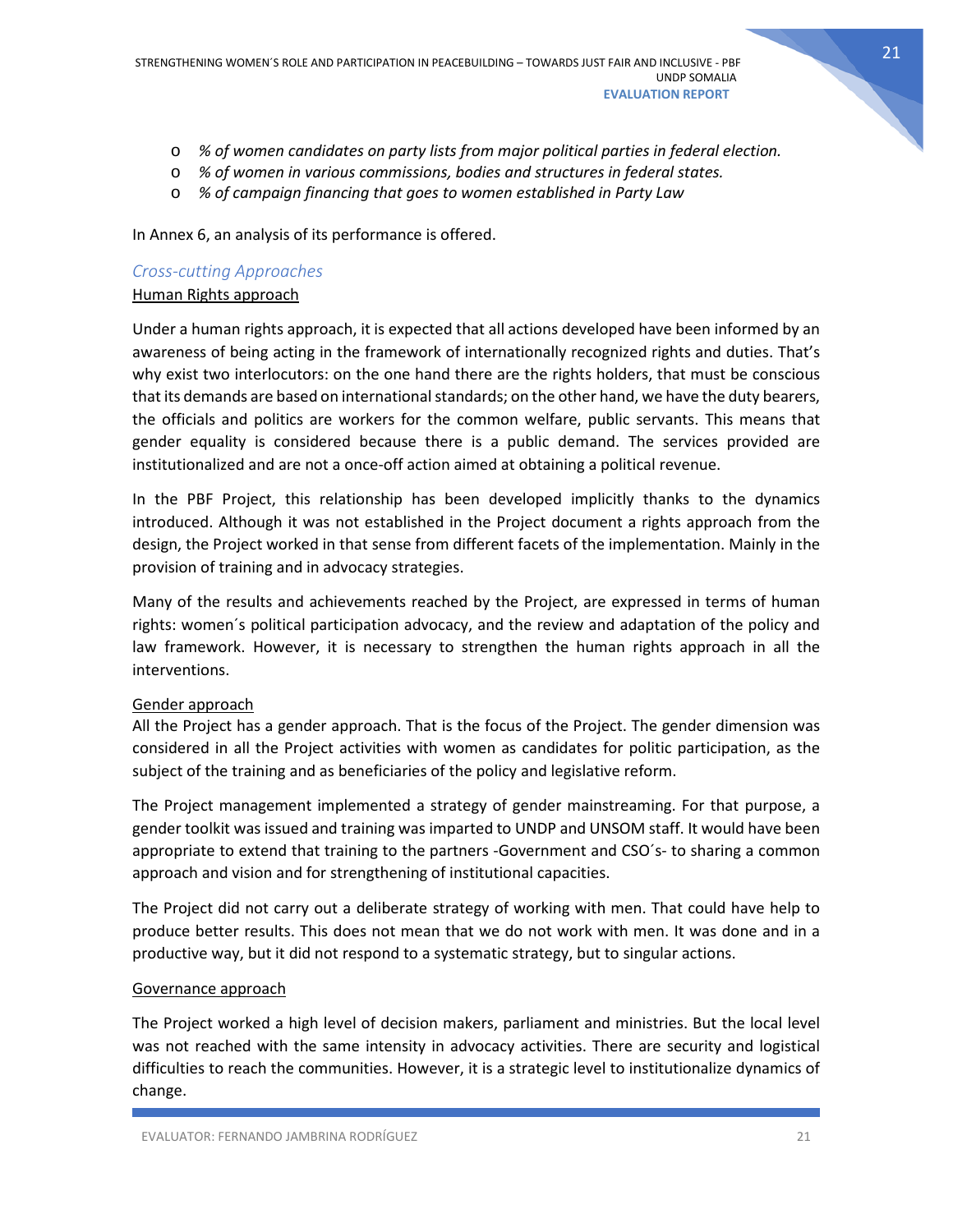- o *% of women candidates on party lists from major political parties in federal election.*
- o *% of women in various commissions, bodies and structures in federal states.*
- o *% of campaign financing that goes to women established in Party Law*

In Annex 6, an analysis of its performance is offered.

#### <span id="page-21-0"></span>*Cross-cutting Approaches*

#### Human Rights approach

Under a human rights approach, it is expected that all actions developed have been informed by an awareness of being acting in the framework of internationally recognized rights and duties. That's why exist two interlocutors: on the one hand there are the rights holders, that must be conscious that its demands are based on international standards; on the other hand, we have the duty bearers, the officials and politics are workers for the common welfare, public servants. This means that gender equality is considered because there is a public demand. The services provided are institutionalized and are not a once-off action aimed at obtaining a political revenue.

In the PBF Project, this relationship has been developed implicitly thanks to the dynamics introduced. Although it was not established in the Project document a rights approach from the design, the Project worked in that sense from different facets of the implementation. Mainly in the provision of training and in advocacy strategies.

Many of the results and achievements reached by the Project, are expressed in terms of human rights: women´s political participation advocacy, and the review and adaptation of the policy and law framework. However, it is necessary to strengthen the human rights approach in all the interventions.

### Gender approach

All the Project has a gender approach. That is the focus of the Project. The gender dimension was considered in all the Project activities with women as candidates for politic participation, as the subject of the training and as beneficiaries of the policy and legislative reform.

The Project management implemented a strategy of gender mainstreaming. For that purpose, a gender toolkit was issued and training was imparted to UNDP and UNSOM staff. It would have been appropriate to extend that training to the partners -Government and CSO´s- to sharing a common approach and vision and for strengthening of institutional capacities.

The Project did not carry out a deliberate strategy of working with men. That could have help to produce better results. This does not mean that we do not work with men. It was done and in a productive way, but it did not respond to a systematic strategy, but to singular actions.

#### Governance approach

The Project worked a high level of decision makers, parliament and ministries. But the local level was not reached with the same intensity in advocacy activities. There are security and logistical difficulties to reach the communities. However, it is a strategic level to institutionalize dynamics of change.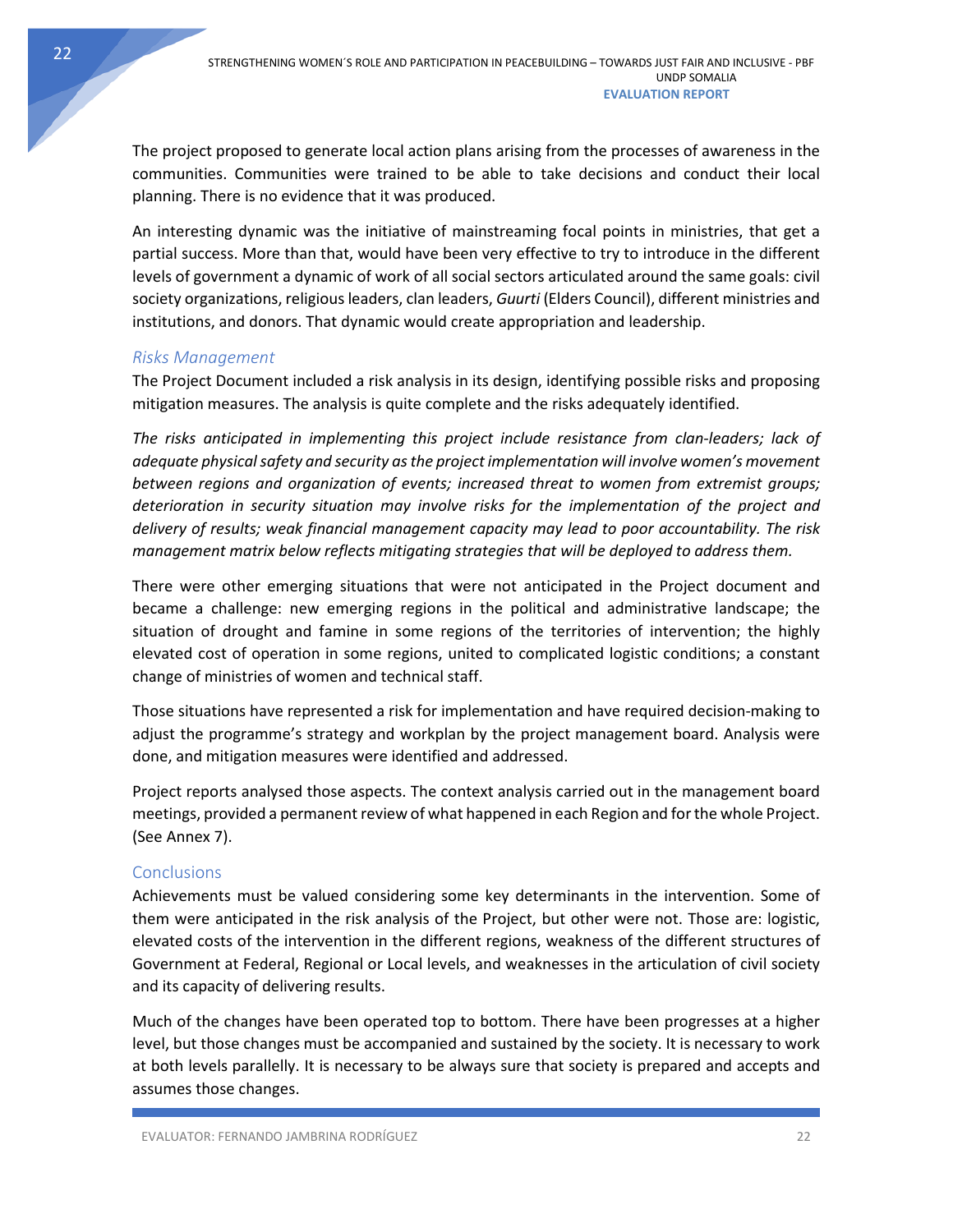The project proposed to generate local action plans arising from the processes of awareness in the communities. Communities were trained to be able to take decisions and conduct their local planning. There is no evidence that it was produced.

An interesting dynamic was the initiative of mainstreaming focal points in ministries, that get a partial success. More than that, would have been very effective to try to introduce in the different levels of government a dynamic of work of all social sectors articulated around the same goals: civil society organizations, religious leaders, clan leaders, *Guurti* (Elders Council), different ministries and institutions, and donors. That dynamic would create appropriation and leadership.

### <span id="page-22-0"></span>*Risks Management*

The Project Document included a risk analysis in its design, identifying possible risks and proposing mitigation measures. The analysis is quite complete and the risks adequately identified.

*The risks anticipated in implementing this project include resistance from clan-leaders; lack of adequate physical safety and security as the project implementation will involve women's movement between regions and organization of events; increased threat to women from extremist groups; deterioration in security situation may involve risks for the implementation of the project and delivery of results; weak financial management capacity may lead to poor accountability. The risk management matrix below reflects mitigating strategies that will be deployed to address them.*

There were other emerging situations that were not anticipated in the Project document and became a challenge: new emerging regions in the political and administrative landscape; the situation of drought and famine in some regions of the territories of intervention; the highly elevated cost of operation in some regions, united to complicated logistic conditions; a constant change of ministries of women and technical staff.

Those situations have represented a risk for implementation and have required decision-making to adjust the programme's strategy and workplan by the project management board. Analysis were done, and mitigation measures were identified and addressed.

Project reports analysed those aspects. The context analysis carried out in the management board meetings, provided a permanent review of what happened in each Region and for the whole Project. (See Annex 7).

# <span id="page-22-1"></span>**Conclusions**

Achievements must be valued considering some key determinants in the intervention. Some of them were anticipated in the risk analysis of the Project, but other were not. Those are: logistic, elevated costs of the intervention in the different regions, weakness of the different structures of Government at Federal, Regional or Local levels, and weaknesses in the articulation of civil society and its capacity of delivering results.

Much of the changes have been operated top to bottom. There have been progresses at a higher level, but those changes must be accompanied and sustained by the society. It is necessary to work at both levels parallelly. It is necessary to be always sure that society is prepared and accepts and assumes those changes.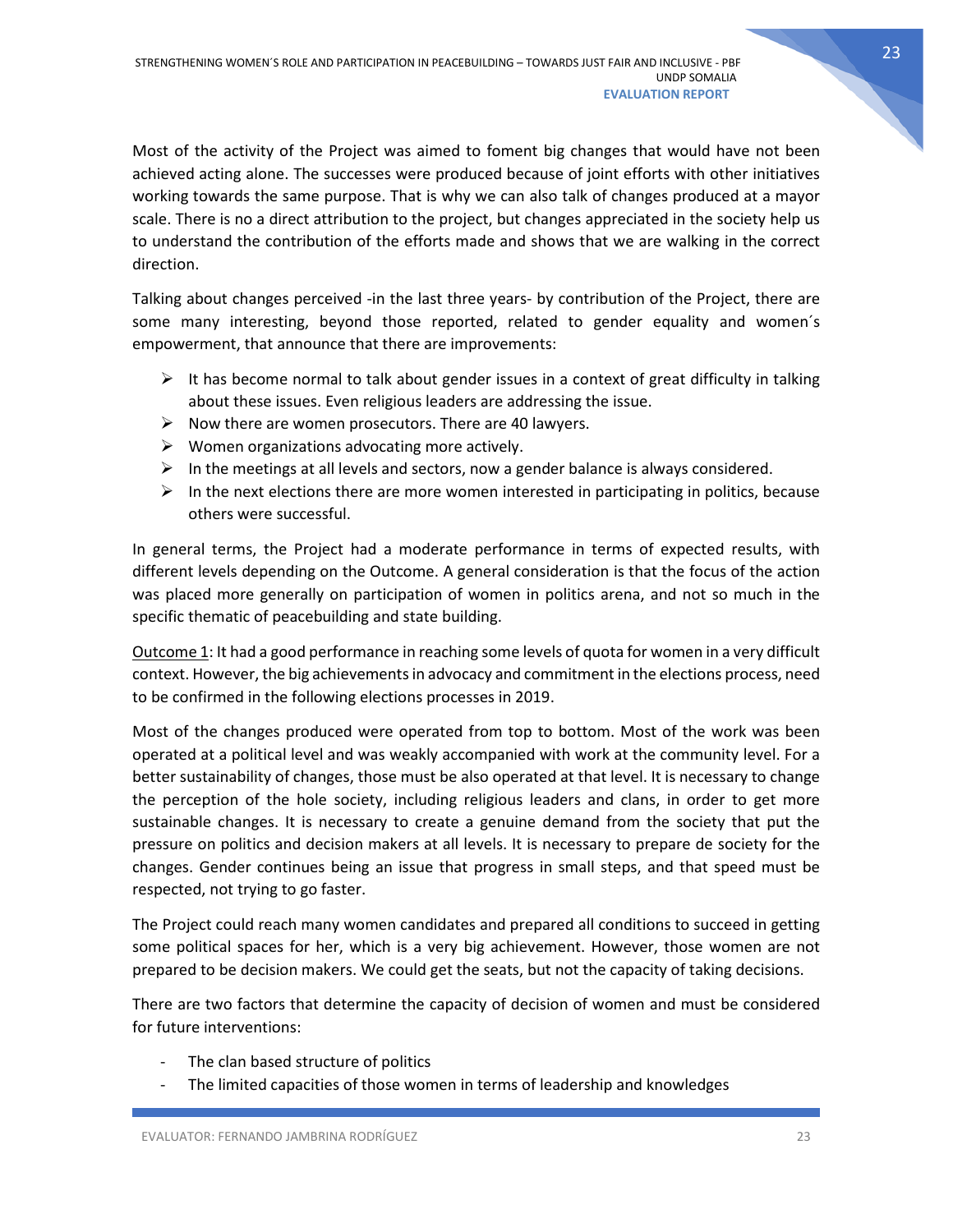Most of the activity of the Project was aimed to foment big changes that would have not been achieved acting alone. The successes were produced because of joint efforts with other initiatives working towards the same purpose. That is why we can also talk of changes produced at a mayor scale. There is no a direct attribution to the project, but changes appreciated in the society help us to understand the contribution of the efforts made and shows that we are walking in the correct direction.

Talking about changes perceived -in the last three years- by contribution of the Project, there are some many interesting, beyond those reported, related to gender equality and women´s empowerment, that announce that there are improvements:

- $\triangleright$  It has become normal to talk about gender issues in a context of great difficulty in talking about these issues. Even religious leaders are addressing the issue.
- $\triangleright$  Now there are women prosecutors. There are 40 lawyers.
- $\triangleright$  Women organizations advocating more actively.
- $\triangleright$  In the meetings at all levels and sectors, now a gender balance is always considered.
- $\triangleright$  In the next elections there are more women interested in participating in politics, because others were successful.

In general terms, the Project had a moderate performance in terms of expected results, with different levels depending on the Outcome. A general consideration is that the focus of the action was placed more generally on participation of women in politics arena, and not so much in the specific thematic of peacebuilding and state building.

Outcome 1: It had a good performance in reaching some levels of quota for women in a very difficult context. However, the big achievements in advocacy and commitment in the elections process, need to be confirmed in the following elections processes in 2019.

Most of the changes produced were operated from top to bottom. Most of the work was been operated at a political level and was weakly accompanied with work at the community level. For a better sustainability of changes, those must be also operated at that level. It is necessary to change the perception of the hole society, including religious leaders and clans, in order to get more sustainable changes. It is necessary to create a genuine demand from the society that put the pressure on politics and decision makers at all levels. It is necessary to prepare de society for the changes. Gender continues being an issue that progress in small steps, and that speed must be respected, not trying to go faster.

The Project could reach many women candidates and prepared all conditions to succeed in getting some political spaces for her, which is a very big achievement. However, those women are not prepared to be decision makers. We could get the seats, but not the capacity of taking decisions.

There are two factors that determine the capacity of decision of women and must be considered for future interventions:

- The clan based structure of politics
- The limited capacities of those women in terms of leadership and knowledges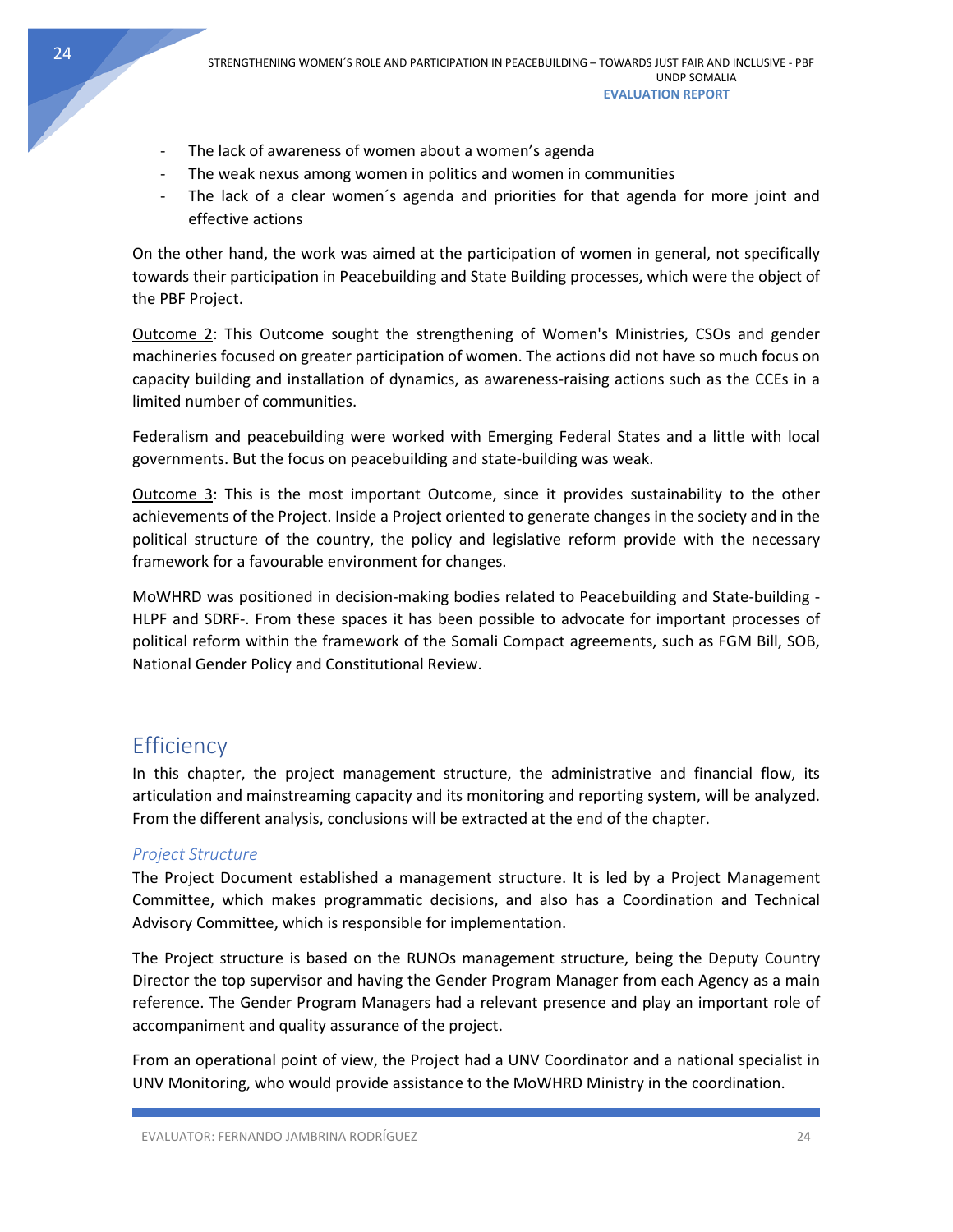- The lack of awareness of women about a women's agenda
- The weak nexus among women in politics and women in communities
- The lack of a clear women's agenda and priorities for that agenda for more joint and effective actions

On the other hand, the work was aimed at the participation of women in general, not specifically towards their participation in Peacebuilding and State Building processes, which were the object of the PBF Project.

Outcome 2: This Outcome sought the strengthening of Women's Ministries, CSOs and gender machineries focused on greater participation of women. The actions did not have so much focus on capacity building and installation of dynamics, as awareness-raising actions such as the CCEs in a limited number of communities.

Federalism and peacebuilding were worked with Emerging Federal States and a little with local governments. But the focus on peacebuilding and state-building was weak.

Outcome 3: This is the most important Outcome, since it provides sustainability to the other achievements of the Project. Inside a Project oriented to generate changes in the society and in the political structure of the country, the policy and legislative reform provide with the necessary framework for a favourable environment for changes.

MoWHRD was positioned in decision-making bodies related to Peacebuilding and State-building - HLPF and SDRF-. From these spaces it has been possible to advocate for important processes of political reform within the framework of the Somali Compact agreements, such as FGM Bill, SOB, National Gender Policy and Constitutional Review.

# <span id="page-24-0"></span>**Efficiency**

In this chapter, the project management structure, the administrative and financial flow, its articulation and mainstreaming capacity and its monitoring and reporting system, will be analyzed. From the different analysis, conclusions will be extracted at the end of the chapter.

### <span id="page-24-1"></span>*Project Structure*

The Project Document established a management structure. It is led by a Project Management Committee, which makes programmatic decisions, and also has a Coordination and Technical Advisory Committee, which is responsible for implementation.

The Project structure is based on the RUNOs management structure, being the Deputy Country Director the top supervisor and having the Gender Program Manager from each Agency as a main reference. The Gender Program Managers had a relevant presence and play an important role of accompaniment and quality assurance of the project.

From an operational point of view, the Project had a UNV Coordinator and a national specialist in UNV Monitoring, who would provide assistance to the MoWHRD Ministry in the coordination.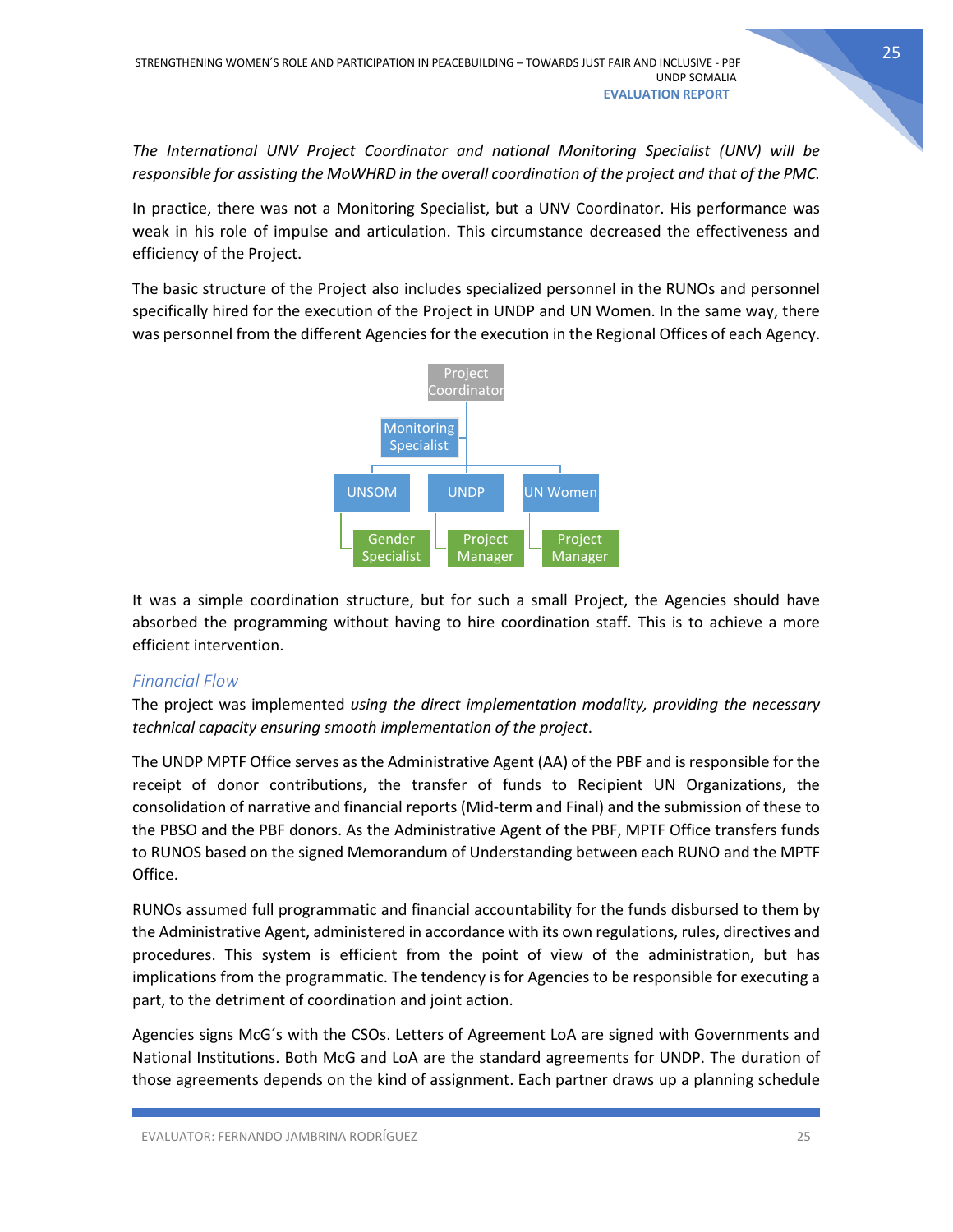*The International UNV Project Coordinator and national Monitoring Specialist (UNV) will be responsible for assisting the MoWHRD in the overall coordination of the project and that of the PMC.*

In practice, there was not a Monitoring Specialist, but a UNV Coordinator. His performance was weak in his role of impulse and articulation. This circumstance decreased the effectiveness and efficiency of the Project.

The basic structure of the Project also includes specialized personnel in the RUNOs and personnel specifically hired for the execution of the Project in UNDP and UN Women. In the same way, there was personnel from the different Agencies for the execution in the Regional Offices of each Agency.



It was a simple coordination structure, but for such a small Project, the Agencies should have absorbed the programming without having to hire coordination staff. This is to achieve a more efficient intervention.

### <span id="page-25-0"></span>*Financial Flow*

The project was implemented *using the direct implementation modality, providing the necessary technical capacity ensuring smooth implementation of the project*.

The UNDP MPTF Office serves as the Administrative Agent (AA) of the PBF and is responsible for the receipt of donor contributions, the transfer of funds to Recipient UN Organizations, the consolidation of narrative and financial reports (Mid-term and Final) and the submission of these to the PBSO and the PBF donors. As the Administrative Agent of the PBF, MPTF Office transfers funds to RUNOS based on the signed Memorandum of Understanding between each RUNO and the MPTF Office.

RUNOs assumed full programmatic and financial accountability for the funds disbursed to them by the Administrative Agent, administered in accordance with its own regulations, rules, directives and procedures. This system is efficient from the point of view of the administration, but has implications from the programmatic. The tendency is for Agencies to be responsible for executing a part, to the detriment of coordination and joint action.

Agencies signs McG´s with the CSOs. Letters of Agreement LoA are signed with Governments and National Institutions. Both McG and LoA are the standard agreements for UNDP. The duration of those agreements depends on the kind of assignment. Each partner draws up a planning schedule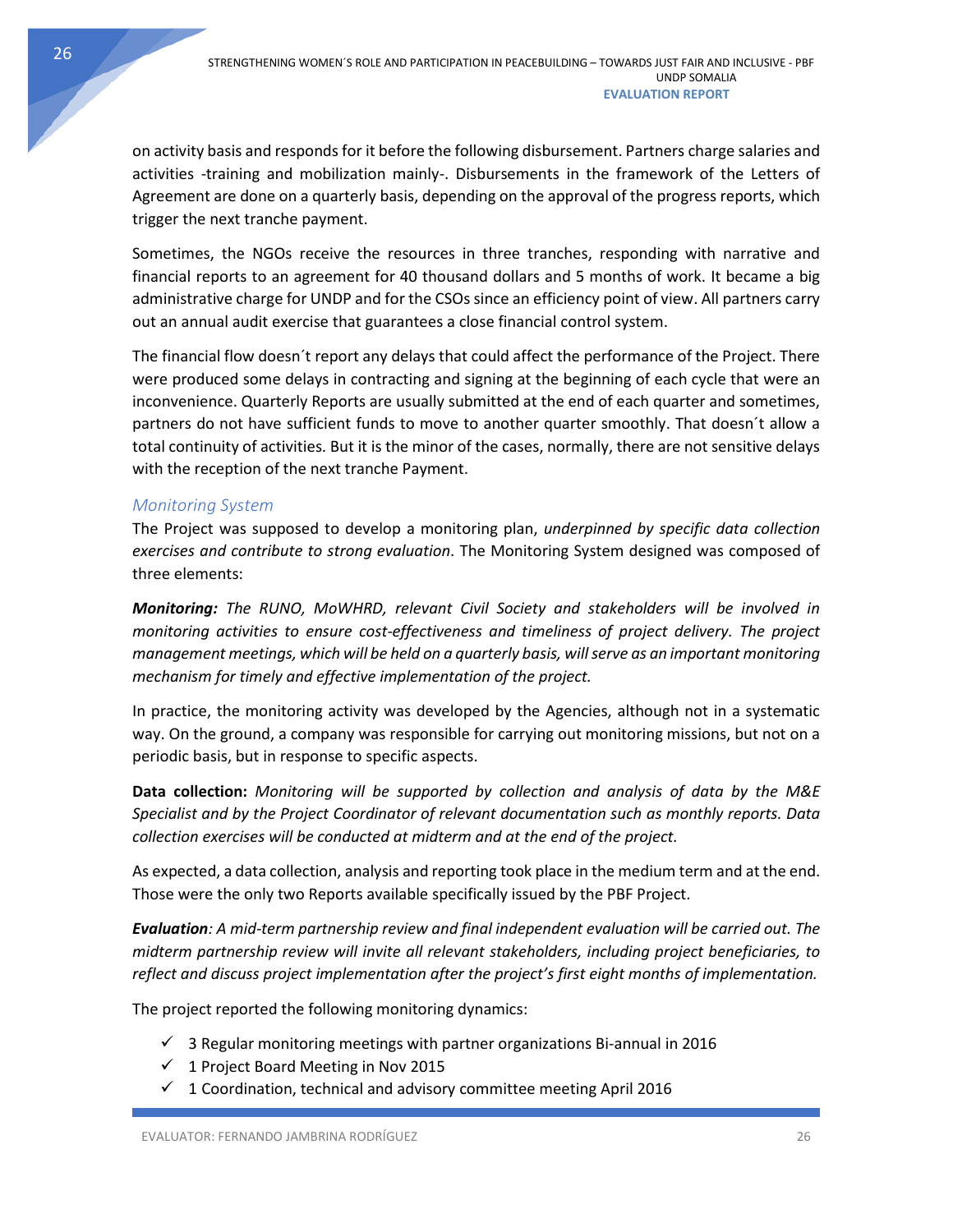on activity basis and responds for it before the following disbursement. Partners charge salaries and activities -training and mobilization mainly-. Disbursements in the framework of the Letters of Agreement are done on a quarterly basis, depending on the approval of the progress reports, which trigger the next tranche payment.

Sometimes, the NGOs receive the resources in three tranches, responding with narrative and financial reports to an agreement for 40 thousand dollars and 5 months of work. It became a big administrative charge for UNDP and for the CSOs since an efficiency point of view. All partners carry out an annual audit exercise that guarantees a close financial control system.

The financial flow doesn´t report any delays that could affect the performance of the Project. There were produced some delays in contracting and signing at the beginning of each cycle that were an inconvenience. Quarterly Reports are usually submitted at the end of each quarter and sometimes, partners do not have sufficient funds to move to another quarter smoothly. That doesn´t allow a total continuity of activities. But it is the minor of the cases, normally, there are not sensitive delays with the reception of the next tranche Payment.

# <span id="page-26-0"></span>*Monitoring System*

The Project was supposed to develop a monitoring plan, *underpinned by specific data collection exercises and contribute to strong evaluation*. The Monitoring System designed was composed of three elements:

*Monitoring: The RUNO, MoWHRD, relevant Civil Society and stakeholders will be involved in monitoring activities to ensure cost-effectiveness and timeliness of project delivery. The project management meetings, which will be held on a quarterly basis, will serve as an important monitoring mechanism for timely and effective implementation of the project.* 

In practice, the monitoring activity was developed by the Agencies, although not in a systematic way. On the ground, a company was responsible for carrying out monitoring missions, but not on a periodic basis, but in response to specific aspects.

**Data collection:** *Monitoring will be supported by collection and analysis of data by the M&E Specialist and by the Project Coordinator of relevant documentation such as monthly reports. Data collection exercises will be conducted at midterm and at the end of the project.*

As expected, a data collection, analysis and reporting took place in the medium term and at the end. Those were the only two Reports available specifically issued by the PBF Project.

*Evaluation: A mid-term partnership review and final independent evaluation will be carried out. The midterm partnership review will invite all relevant stakeholders, including project beneficiaries, to reflect and discuss project implementation after the project's first eight months of implementation.* 

The project reported the following monitoring dynamics:

- $\checkmark$  3 Regular monitoring meetings with partner organizations Bi-annual in 2016
- $\checkmark$  1 Project Board Meeting in Nov 2015
- $\checkmark$  1 Coordination, technical and advisory committee meeting April 2016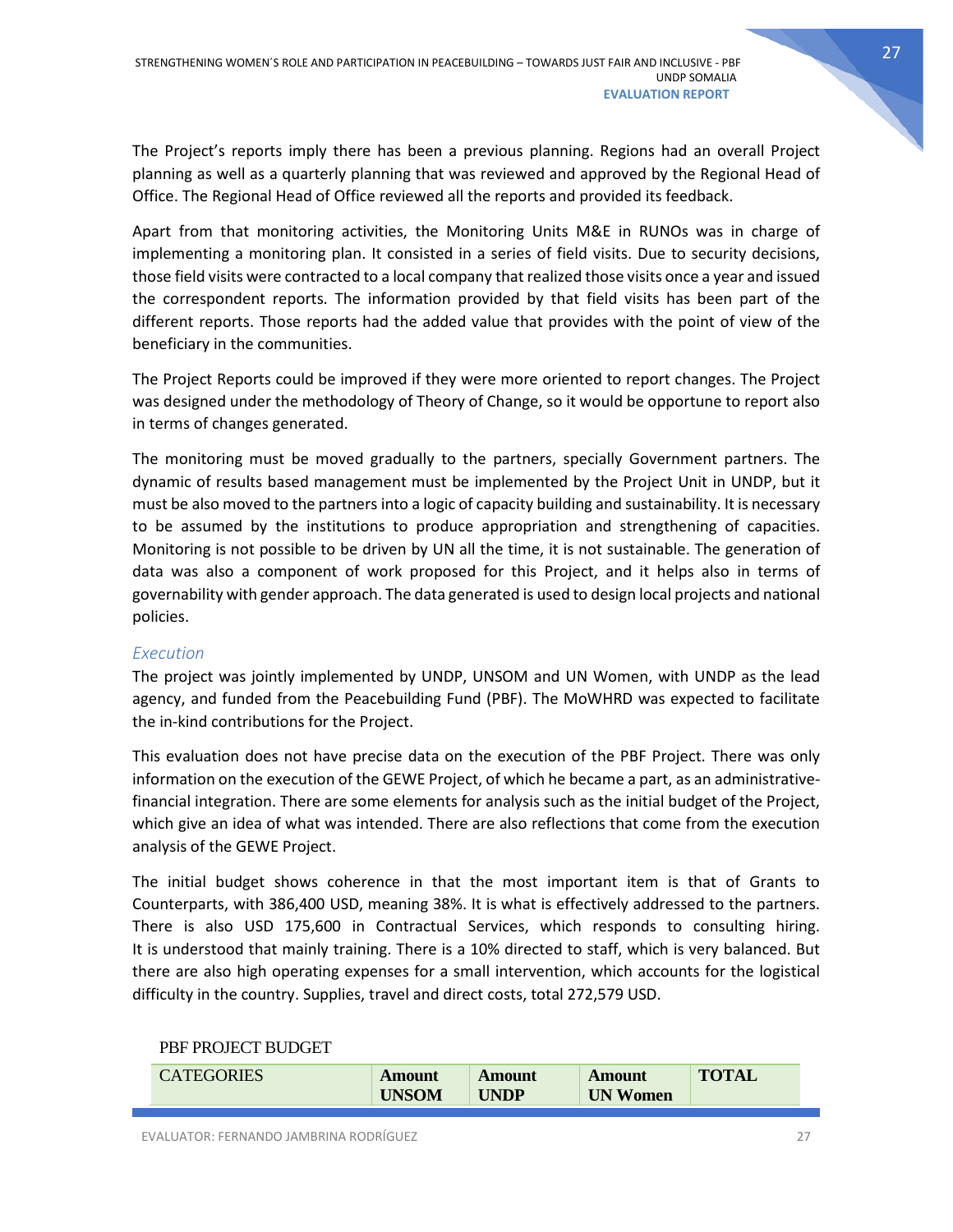The Project's reports imply there has been a previous planning. Regions had an overall Project planning as well as a quarterly planning that was reviewed and approved by the Regional Head of Office. The Regional Head of Office reviewed all the reports and provided its feedback.

Apart from that monitoring activities, the Monitoring Units M&E in RUNOs was in charge of implementing a monitoring plan. It consisted in a series of field visits. Due to security decisions, those field visits were contracted to a local company that realized those visits once a year and issued the correspondent reports. The information provided by that field visits has been part of the different reports. Those reports had the added value that provides with the point of view of the beneficiary in the communities.

The Project Reports could be improved if they were more oriented to report changes. The Project was designed under the methodology of Theory of Change, so it would be opportune to report also in terms of changes generated.

The monitoring must be moved gradually to the partners, specially Government partners. The dynamic of results based management must be implemented by the Project Unit in UNDP, but it must be also moved to the partners into a logic of capacity building and sustainability. It is necessary to be assumed by the institutions to produce appropriation and strengthening of capacities. Monitoring is not possible to be driven by UN all the time, it is not sustainable. The generation of data was also a component of work proposed for this Project, and it helps also in terms of governability with gender approach. The data generated is used to design local projects and national policies.

### <span id="page-27-0"></span>*Execution*

The project was jointly implemented by UNDP, UNSOM and UN Women, with UNDP as the lead agency, and funded from the Peacebuilding Fund (PBF). The MoWHRD was expected to facilitate the in-kind contributions for the Project.

This evaluation does not have precise data on the execution of the PBF Project. There was only information on the execution of the GEWE Project, of which he became a part, as an administrativefinancial integration. There are some elements for analysis such as the initial budget of the Project, which give an idea of what was intended. There are also reflections that come from the execution analysis of the GEWE Project.

The initial budget shows coherence in that the most important item is that of Grants to Counterparts, with 386,400 USD, meaning 38%. It is what is effectively addressed to the partners. There is also USD 175,600 in Contractual Services, which responds to consulting hiring. It is understood that mainly training. There is a 10% directed to staff, which is very balanced. But there are also high operating expenses for a small intervention, which accounts for the logistical difficulty in the country. Supplies, travel and direct costs, total 272,579 USD.

### PBF PROJECT BUDGET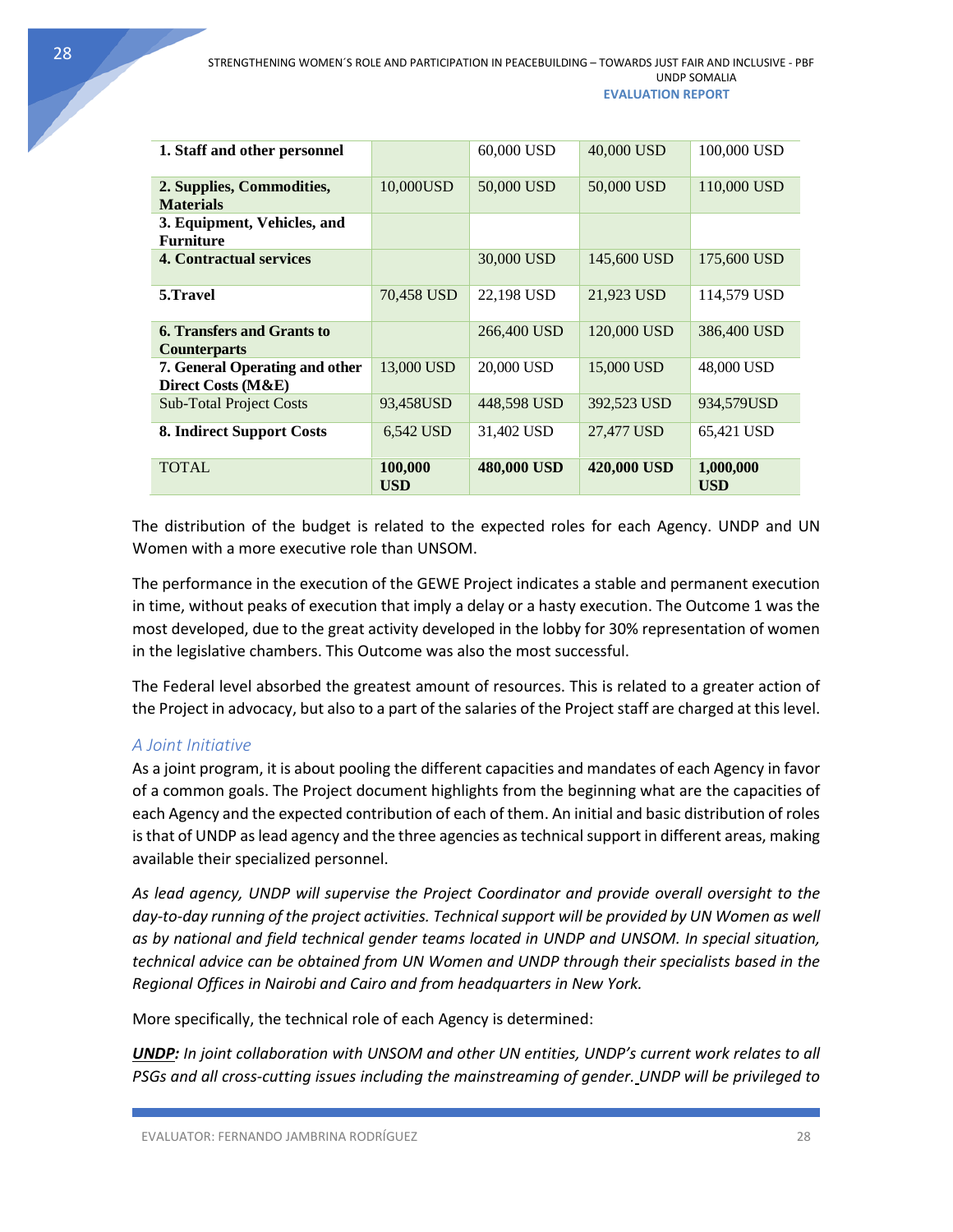| 1. Staff and other personnel                             |                       | 60,000 USD  | 40,000 USD  | 100,000 USD             |
|----------------------------------------------------------|-----------------------|-------------|-------------|-------------------------|
| 2. Supplies, Commodities,<br><b>Materials</b>            | 10,000USD             | 50,000 USD  | 50,000 USD  | 110,000 USD             |
| 3. Equipment, Vehicles, and<br><b>Furniture</b>          |                       |             |             |                         |
| <b>4. Contractual services</b>                           |                       | 30,000 USD  | 145,600 USD | 175,600 USD             |
| 5.Travel                                                 | 70,458 USD            | 22,198 USD  | 21,923 USD  | 114.579 USD             |
| <b>6. Transfers and Grants to</b><br><b>Counterparts</b> |                       | 266,400 USD | 120,000 USD | 386,400 USD             |
| 7. General Operating and other<br>Direct Costs (M&E)     | 13,000 USD            | 20,000 USD  | 15,000 USD  | 48,000 USD              |
| <b>Sub-Total Project Costs</b>                           | 93,458USD             | 448,598 USD | 392,523 USD | 934,579USD              |
| 8. Indirect Support Costs                                | 6,542 USD             | 31,402 USD  | 27,477 USD  | 65,421 USD              |
| <b>TOTAL</b>                                             | 100,000<br><b>USD</b> | 480,000 USD | 420,000 USD | 1,000,000<br><b>USD</b> |

The distribution of the budget is related to the expected roles for each Agency. UNDP and UN Women with a more executive role than UNSOM.

The performance in the execution of the GEWE Project indicates a stable and permanent execution in time, without peaks of execution that imply a delay or a hasty execution. The Outcome 1 was the most developed, due to the great activity developed in the lobby for 30% representation of women in the legislative chambers. This Outcome was also the most successful.

The Federal level absorbed the greatest amount of resources. This is related to a greater action of the Project in advocacy, but also to a part of the salaries of the Project staff are charged at this level.

### <span id="page-28-0"></span>*A Joint Initiative*

As a joint program, it is about pooling the different capacities and mandates of each Agency in favor of a common goals. The Project document highlights from the beginning what are the capacities of each Agency and the expected contribution of each of them. An initial and basic distribution of roles is that of UNDP as lead agency and the three agencies as technical support in different areas, making available their specialized personnel.

*As lead agency, UNDP will supervise the Project Coordinator and provide overall oversight to the*  day-to-day running of the project activities. Technical support will be provided by UN Women as well *as by national and field technical gender teams located in UNDP and UNSOM. In special situation, technical advice can be obtained from UN Women and UNDP through their specialists based in the Regional Offices in Nairobi and Cairo and from headquarters in New York.* 

More specifically, the technical role of each Agency is determined:

*UNDP: In joint collaboration with UNSOM and other UN entities, UNDP's current work relates to all PSGs and all cross-cutting issues including the mainstreaming of gender. UNDP will be privileged to*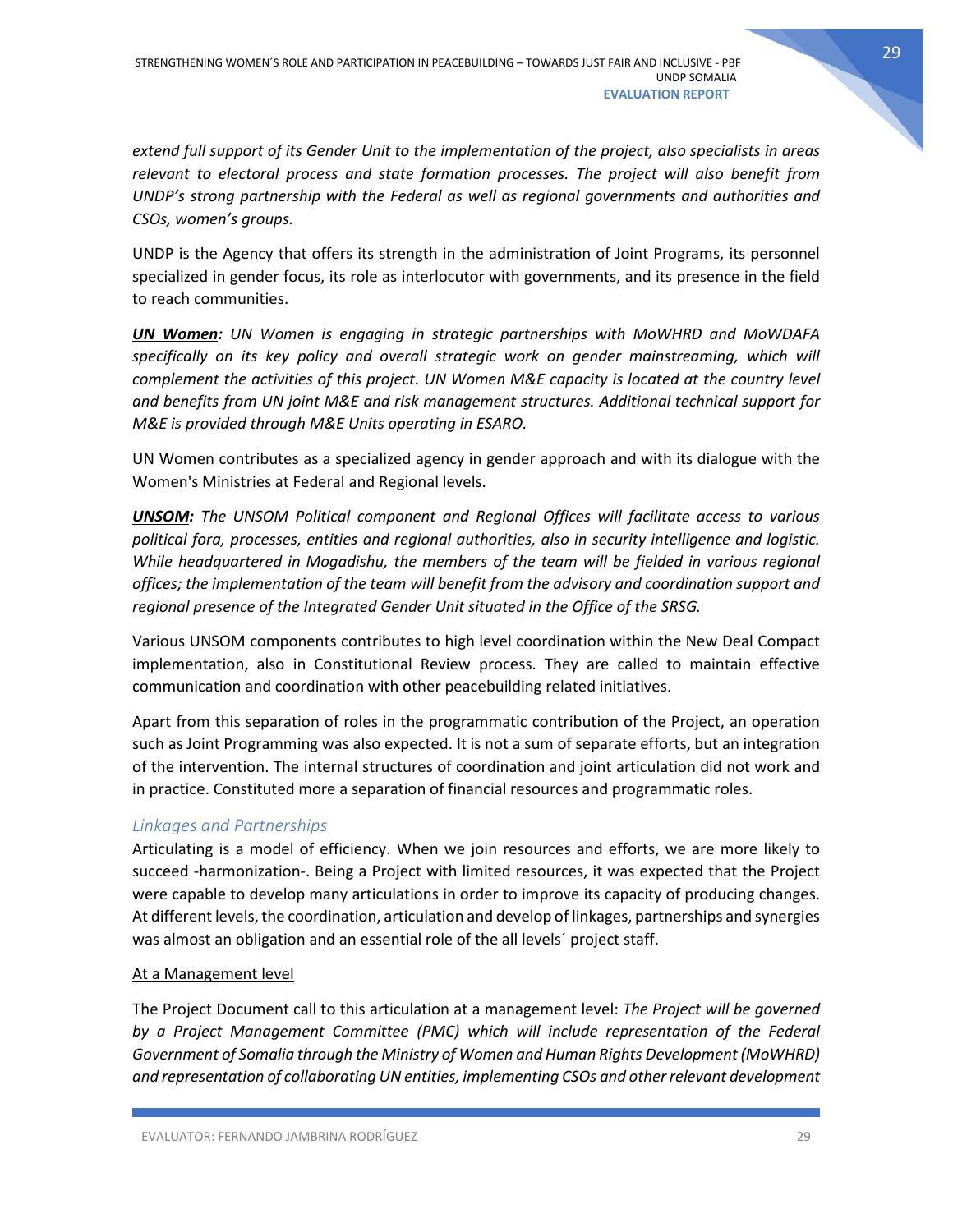*extend full support of its Gender Unit to the implementation of the project, also specialists in areas relevant to electoral process and state formation processes. The project will also benefit from UNDP's strong partnership with the Federal as well as regional governments and authorities and CSOs, women's groups.* 

UNDP is the Agency that offers its strength in the administration of Joint Programs, its personnel specialized in gender focus, its role as interlocutor with governments, and its presence in the field to reach communities.

*UN Women: UN Women is engaging in strategic partnerships with MoWHRD and MoWDAFA specifically on its key policy and overall strategic work on gender mainstreaming, which will complement the activities of this project. UN Women M&E capacity is located at the country level and benefits from UN joint M&E and risk management structures. Additional technical support for M&E is provided through M&E Units operating in ESARO.* 

UN Women contributes as a specialized agency in gender approach and with its dialogue with the Women's Ministries at Federal and Regional levels.

*UNSOM: The UNSOM Political component and Regional Offices will facilitate access to various political fora, processes, entities and regional authorities, also in security intelligence and logistic. While headquartered in Mogadishu, the members of the team will be fielded in various regional offices; the implementation of the team will benefit from the advisory and coordination support and regional presence of the Integrated Gender Unit situated in the Office of the SRSG.* 

Various UNSOM components contributes to high level coordination within the New Deal Compact implementation, also in Constitutional Review process. They are called to maintain effective communication and coordination with other peacebuilding related initiatives.

Apart from this separation of roles in the programmatic contribution of the Project, an operation such as Joint Programming was also expected. It is not a sum of separate efforts, but an integration of the intervention. The internal structures of coordination and joint articulation did not work and in practice. Constituted more a separation of financial resources and programmatic roles.

### <span id="page-29-0"></span>*Linkages and Partnerships*

Articulating is a model of efficiency. When we join resources and efforts, we are more likely to succeed -harmonization-. Being a Project with limited resources, it was expected that the Project were capable to develop many articulations in order to improve its capacity of producing changes. At different levels, the coordination, articulation and develop of linkages, partnerships and synergies was almost an obligation and an essential role of the all levels´ project staff.

### At a Management level

The Project Document call to this articulation at a management level: *The Project will be governed by a Project Management Committee (PMC) which will include representation of the Federal Government of Somalia through the Ministry of Women and Human Rights Development (MoWHRD) and representation of collaborating UN entities, implementing CSOs and other relevant development*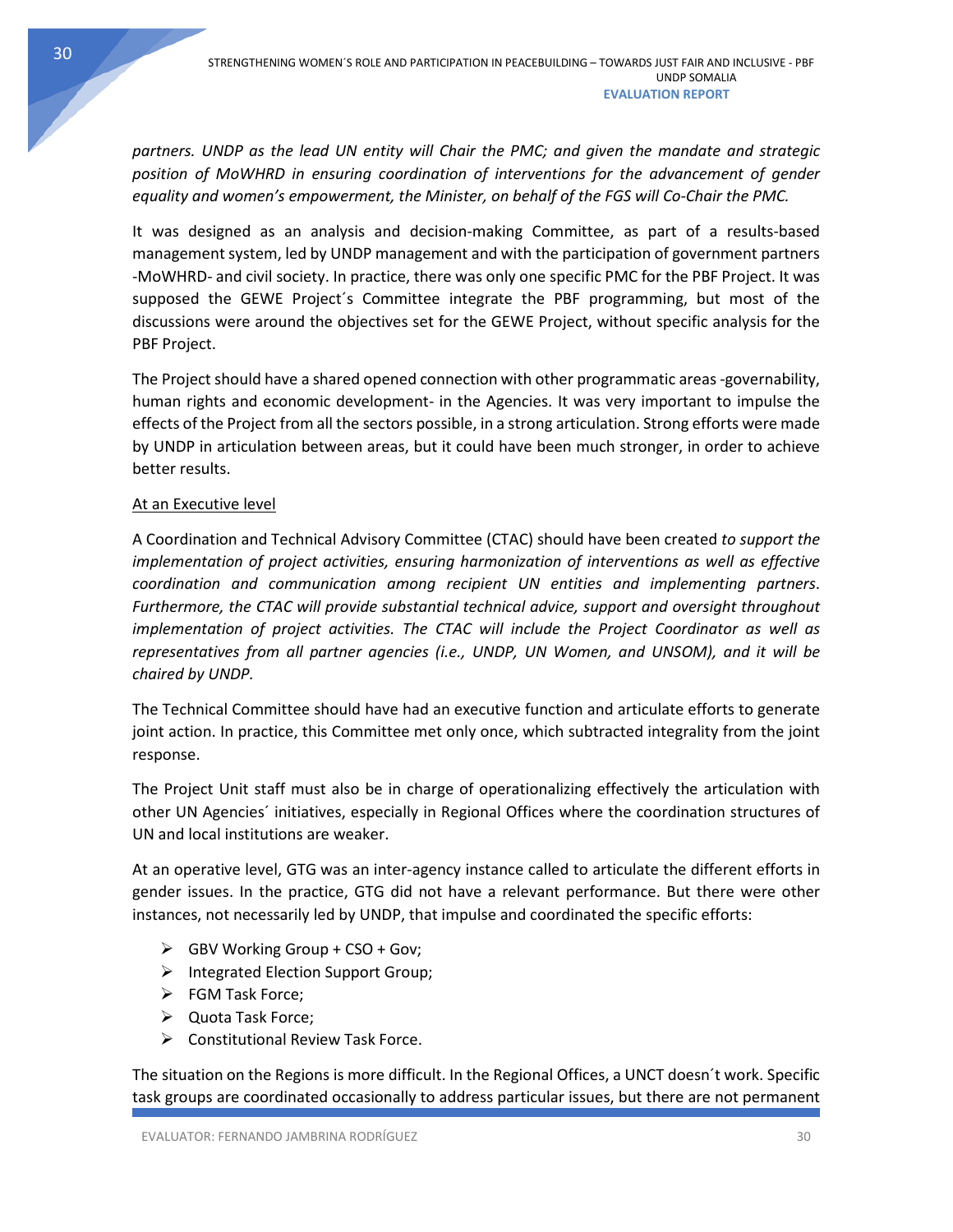30

*partners. UNDP as the lead UN entity will Chair the PMC; and given the mandate and strategic*  position of MoWHRD in ensuring coordination of interventions for the advancement of gender *equality and women's empowerment, the Minister, on behalf of the FGS will Co-Chair the PMC.* 

It was designed as an analysis and decision-making Committee, as part of a results-based management system, led by UNDP management and with the participation of government partners -MoWHRD- and civil society. In practice, there was only one specific PMC for the PBF Project. It was supposed the GEWE Project´s Committee integrate the PBF programming, but most of the discussions were around the objectives set for the GEWE Project, without specific analysis for the PBF Project.

The Project should have a shared opened connection with other programmatic areas -governability, human rights and economic development- in the Agencies. It was very important to impulse the effects of the Project from all the sectors possible, in a strong articulation. Strong efforts were made by UNDP in articulation between areas, but it could have been much stronger, in order to achieve better results.

# At an Executive level

A Coordination and Technical Advisory Committee (CTAC) should have been created *to support the implementation of project activities, ensuring harmonization of interventions as well as effective coordination and communication among recipient UN entities and implementing partners*. *Furthermore, the CTAC will provide substantial technical advice, support and oversight throughout implementation of project activities. The CTAC will include the Project Coordinator as well as representatives from all partner agencies (i.e., UNDP, UN Women, and UNSOM), and it will be chaired by UNDP.*

The Technical Committee should have had an executive function and articulate efforts to generate joint action. In practice, this Committee met only once, which subtracted integrality from the joint response.

The Project Unit staff must also be in charge of operationalizing effectively the articulation with other UN Agencies´ initiatives, especially in Regional Offices where the coordination structures of UN and local institutions are weaker.

At an operative level, GTG was an inter-agency instance called to articulate the different efforts in gender issues. In the practice, GTG did not have a relevant performance. But there were other instances, not necessarily led by UNDP, that impulse and coordinated the specific efforts:

- $\triangleright$  GBV Working Group + CSO + Gov;
- $\triangleright$  Integrated Election Support Group;
- > FGM Task Force;
- Quota Task Force;
- ▶ Constitutional Review Task Force.

The situation on the Regions is more difficult. In the Regional Offices, a UNCT doesn´t work. Specific task groups are coordinated occasionally to address particular issues, but there are not permanent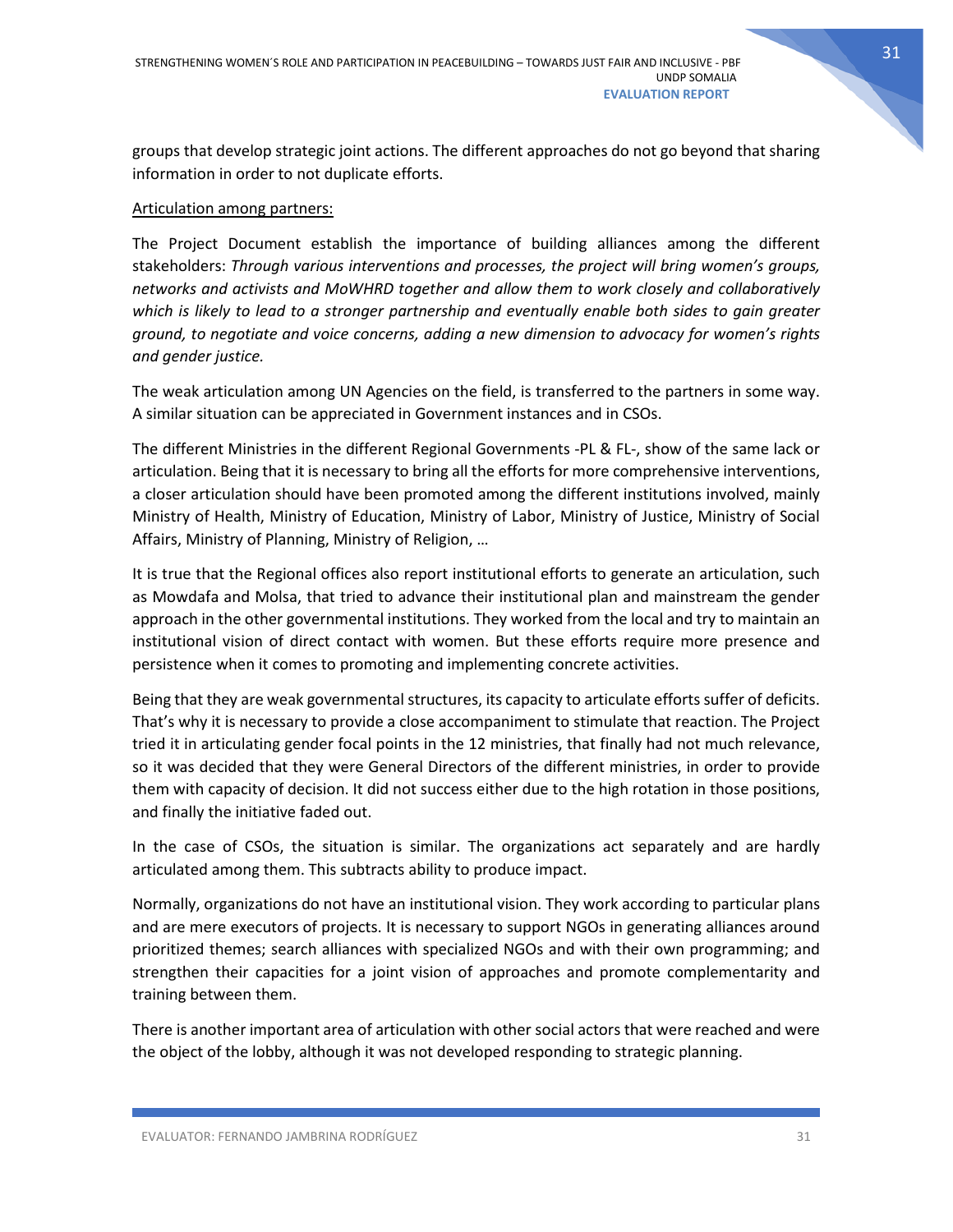groups that develop strategic joint actions. The different approaches do not go beyond that sharing information in order to not duplicate efforts.

#### Articulation among partners:

The Project Document establish the importance of building alliances among the different stakeholders: *Through various interventions and processes, the project will bring women's groups, networks and activists and MoWHRD together and allow them to work closely and collaboratively which is likely to lead to a stronger partnership and eventually enable both sides to gain greater ground, to negotiate and voice concerns, adding a new dimension to advocacy for women's rights and gender justice.*

The weak articulation among UN Agencies on the field, is transferred to the partners in some way. A similar situation can be appreciated in Government instances and in CSOs.

The different Ministries in the different Regional Governments -PL & FL-, show of the same lack or articulation. Being that it is necessary to bring all the efforts for more comprehensive interventions, a closer articulation should have been promoted among the different institutions involved, mainly Ministry of Health, Ministry of Education, Ministry of Labor, Ministry of Justice, Ministry of Social Affairs, Ministry of Planning, Ministry of Religion, …

It is true that the Regional offices also report institutional efforts to generate an articulation, such as Mowdafa and Molsa, that tried to advance their institutional plan and mainstream the gender approach in the other governmental institutions. They worked from the local and try to maintain an institutional vision of direct contact with women. But these efforts require more presence and persistence when it comes to promoting and implementing concrete activities.

Being that they are weak governmental structures, its capacity to articulate efforts suffer of deficits. That's why it is necessary to provide a close accompaniment to stimulate that reaction. The Project tried it in articulating gender focal points in the 12 ministries, that finally had not much relevance, so it was decided that they were General Directors of the different ministries, in order to provide them with capacity of decision. It did not success either due to the high rotation in those positions, and finally the initiative faded out.

In the case of CSOs, the situation is similar. The organizations act separately and are hardly articulated among them. This subtracts ability to produce impact.

Normally, organizations do not have an institutional vision. They work according to particular plans and are mere executors of projects. It is necessary to support NGOs in generating alliances around prioritized themes; search alliances with specialized NGOs and with their own programming; and strengthen their capacities for a joint vision of approaches and promote complementarity and training between them.

There is another important area of articulation with other social actors that were reached and were the object of the lobby, although it was not developed responding to strategic planning.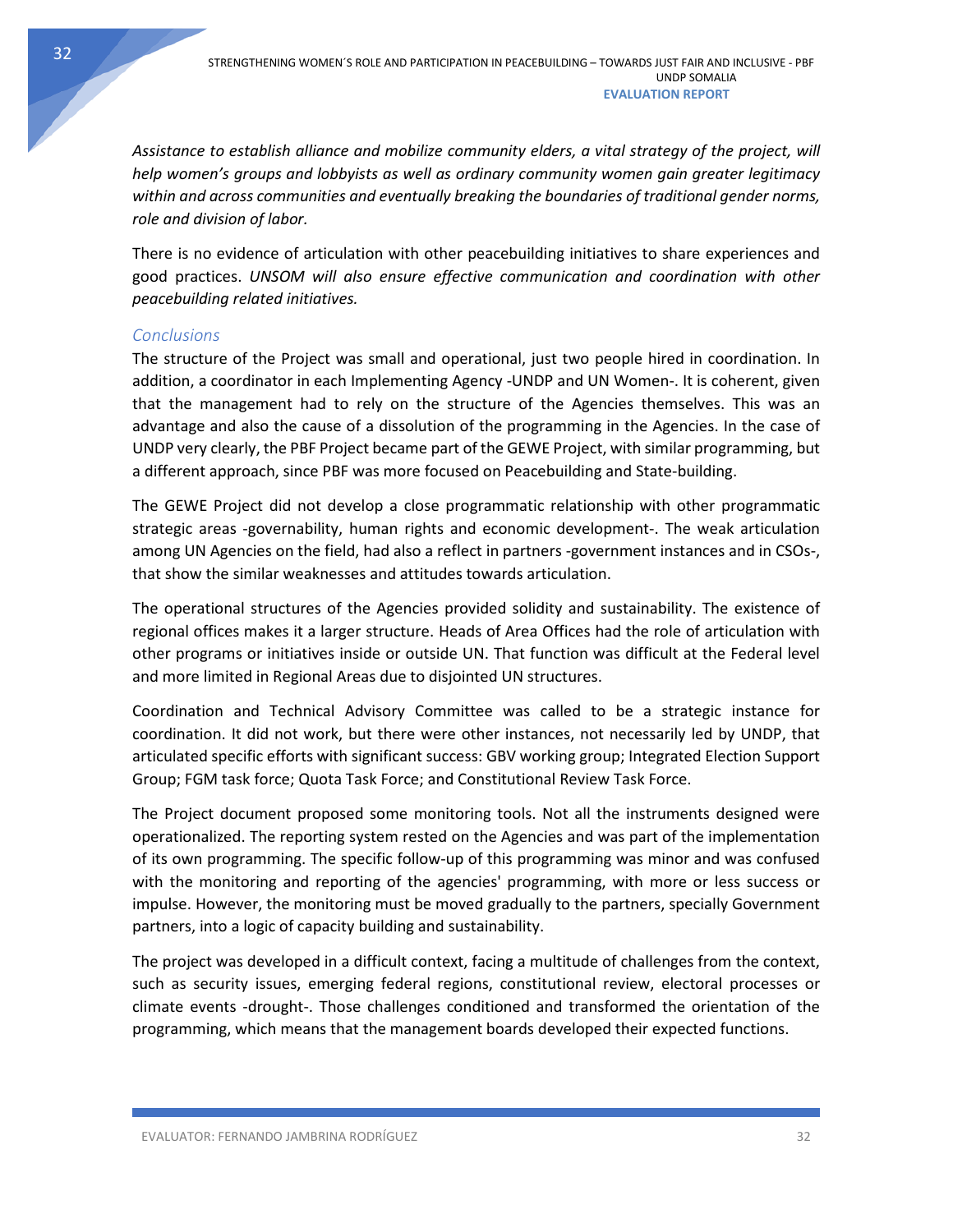*Assistance to establish alliance and mobilize community elders, a vital strategy of the project, will help women's groups and lobbyists as well as ordinary community women gain greater legitimacy within and across communities and eventually breaking the boundaries of traditional gender norms, role and division of labor.*

There is no evidence of articulation with other peacebuilding initiatives to share experiences and good practices. *UNSOM will also ensure effective communication and coordination with other peacebuilding related initiatives.*

### <span id="page-32-0"></span>*Conclusions*

The structure of the Project was small and operational, just two people hired in coordination. In addition, a coordinator in each Implementing Agency -UNDP and UN Women-. It is coherent, given that the management had to rely on the structure of the Agencies themselves. This was an advantage and also the cause of a dissolution of the programming in the Agencies. In the case of UNDP very clearly, the PBF Project became part of the GEWE Project, with similar programming, but a different approach, since PBF was more focused on Peacebuilding and State-building.

The GEWE Project did not develop a close programmatic relationship with other programmatic strategic areas -governability, human rights and economic development-. The weak articulation among UN Agencies on the field, had also a reflect in partners -government instances and in CSOs-, that show the similar weaknesses and attitudes towards articulation.

The operational structures of the Agencies provided solidity and sustainability. The existence of regional offices makes it a larger structure. Heads of Area Offices had the role of articulation with other programs or initiatives inside or outside UN. That function was difficult at the Federal level and more limited in Regional Areas due to disjointed UN structures.

Coordination and Technical Advisory Committee was called to be a strategic instance for coordination. It did not work, but there were other instances, not necessarily led by UNDP, that articulated specific efforts with significant success: GBV working group; Integrated Election Support Group; FGM task force; Quota Task Force; and Constitutional Review Task Force.

The Project document proposed some monitoring tools. Not all the instruments designed were operationalized. The reporting system rested on the Agencies and was part of the implementation of its own programming. The specific follow-up of this programming was minor and was confused with the monitoring and reporting of the agencies' programming, with more or less success or impulse. However, the monitoring must be moved gradually to the partners, specially Government partners, into a logic of capacity building and sustainability.

The project was developed in a difficult context, facing a multitude of challenges from the context, such as security issues, emerging federal regions, constitutional review, electoral processes or climate events -drought-. Those challenges conditioned and transformed the orientation of the programming, which means that the management boards developed their expected functions.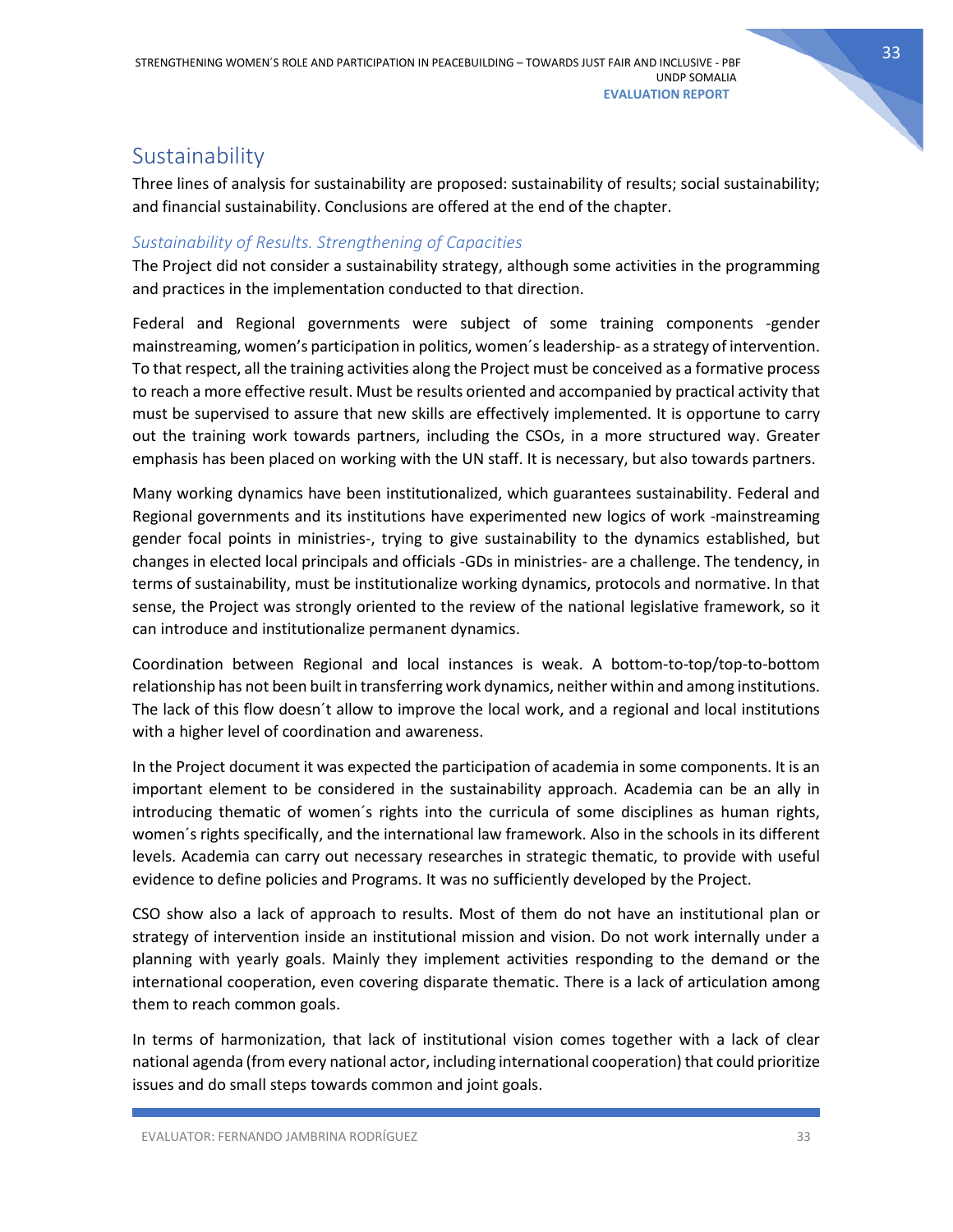# <span id="page-33-0"></span>**Sustainability**

Three lines of analysis for sustainability are proposed: sustainability of results; social sustainability; and financial sustainability. Conclusions are offered at the end of the chapter.

# <span id="page-33-1"></span>*Sustainability of Results. Strengthening of Capacities*

The Project did not consider a sustainability strategy, although some activities in the programming and practices in the implementation conducted to that direction.

Federal and Regional governments were subject of some training components -gender mainstreaming, women's participation in politics, women´s leadership- as a strategy of intervention. To that respect, all the training activities along the Project must be conceived as a formative process to reach a more effective result. Must be results oriented and accompanied by practical activity that must be supervised to assure that new skills are effectively implemented. It is opportune to carry out the training work towards partners, including the CSOs, in a more structured way. Greater emphasis has been placed on working with the UN staff. It is necessary, but also towards partners.

Many working dynamics have been institutionalized, which guarantees sustainability. Federal and Regional governments and its institutions have experimented new logics of work -mainstreaming gender focal points in ministries-, trying to give sustainability to the dynamics established, but changes in elected local principals and officials -GDs in ministries- are a challenge. The tendency, in terms of sustainability, must be institutionalize working dynamics, protocols and normative. In that sense, the Project was strongly oriented to the review of the national legislative framework, so it can introduce and institutionalize permanent dynamics.

Coordination between Regional and local instances is weak. A bottom-to-top/top-to-bottom relationship has not been built in transferring work dynamics, neither within and among institutions. The lack of this flow doesn´t allow to improve the local work, and a regional and local institutions with a higher level of coordination and awareness.

In the Project document it was expected the participation of academia in some components. It is an important element to be considered in the sustainability approach. Academia can be an ally in introducing thematic of women´s rights into the curricula of some disciplines as human rights, women´s rights specifically, and the international law framework. Also in the schools in its different levels. Academia can carry out necessary researches in strategic thematic, to provide with useful evidence to define policies and Programs. It was no sufficiently developed by the Project.

CSO show also a lack of approach to results. Most of them do not have an institutional plan or strategy of intervention inside an institutional mission and vision. Do not work internally under a planning with yearly goals. Mainly they implement activities responding to the demand or the international cooperation, even covering disparate thematic. There is a lack of articulation among them to reach common goals.

In terms of harmonization, that lack of institutional vision comes together with a lack of clear national agenda (from every national actor, including international cooperation) that could prioritize issues and do small steps towards common and joint goals.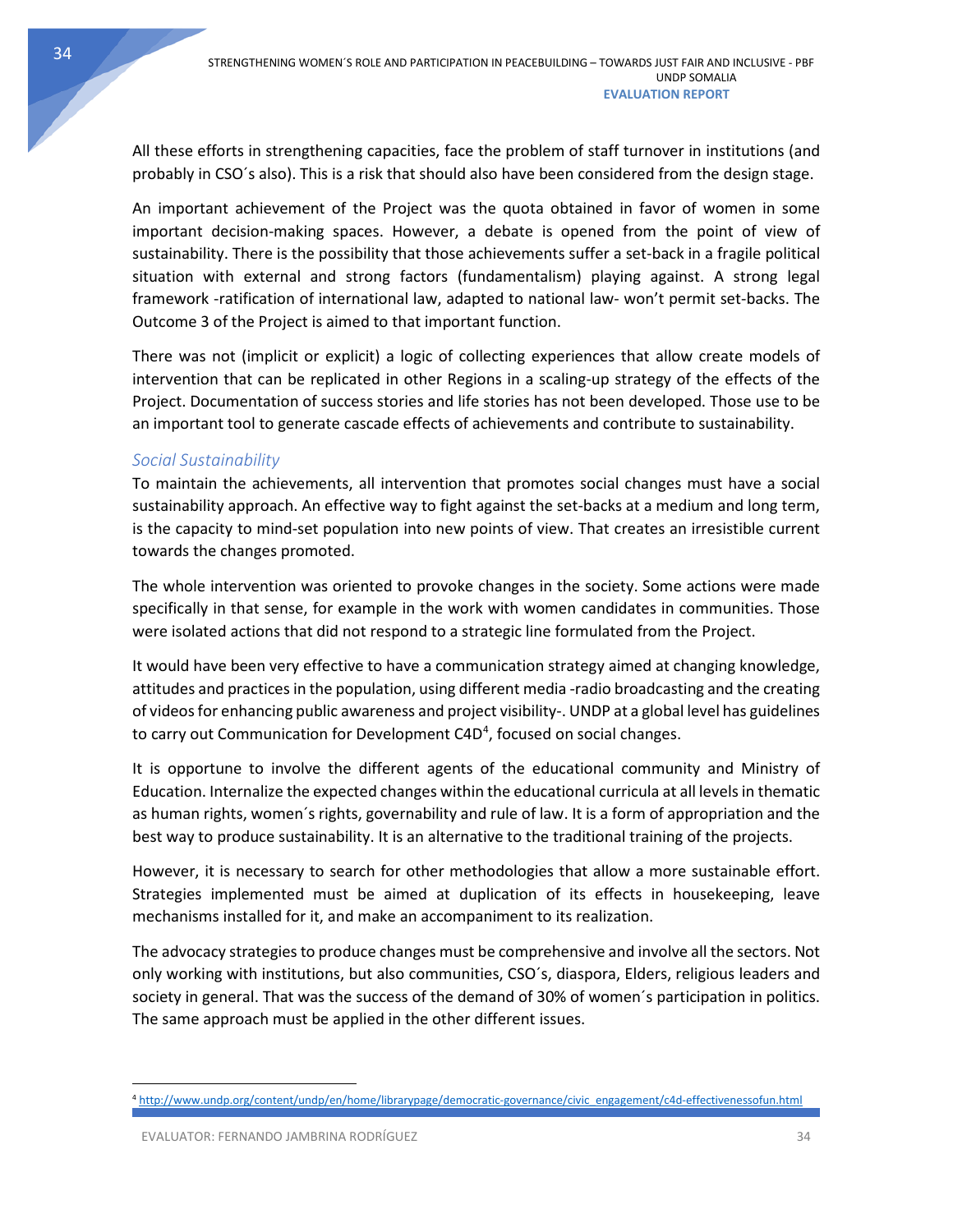All these efforts in strengthening capacities, face the problem of staff turnover in institutions (and probably in CSO´s also). This is a risk that should also have been considered from the design stage.

An important achievement of the Project was the quota obtained in favor of women in some important decision-making spaces. However, a debate is opened from the point of view of sustainability. There is the possibility that those achievements suffer a set-back in a fragile political situation with external and strong factors (fundamentalism) playing against. A strong legal framework -ratification of international law, adapted to national law- won't permit set-backs. The Outcome 3 of the Project is aimed to that important function.

There was not (implicit or explicit) a logic of collecting experiences that allow create models of intervention that can be replicated in other Regions in a scaling-up strategy of the effects of the Project. Documentation of success stories and life stories has not been developed. Those use to be an important tool to generate cascade effects of achievements and contribute to sustainability.

# <span id="page-34-0"></span>*Social Sustainability*

To maintain the achievements, all intervention that promotes social changes must have a social sustainability approach. An effective way to fight against the set-backs at a medium and long term, is the capacity to mind-set population into new points of view. That creates an irresistible current towards the changes promoted.

The whole intervention was oriented to provoke changes in the society. Some actions were made specifically in that sense, for example in the work with women candidates in communities. Those were isolated actions that did not respond to a strategic line formulated from the Project.

It would have been very effective to have a communication strategy aimed at changing knowledge, attitudes and practices in the population, using different media -radio broadcasting and the creating of videos for enhancing public awareness and project visibility-. UNDP at a global level has guidelines to carry out Communication for Development C[4](#page-34-1)D<sup>4</sup>, focused on social changes.

It is opportune to involve the different agents of the educational community and Ministry of Education. Internalize the expected changes within the educational curricula at all levelsin thematic as human rights, women´s rights, governability and rule of law. It is a form of appropriation and the best way to produce sustainability. It is an alternative to the traditional training of the projects.

However, it is necessary to search for other methodologies that allow a more sustainable effort. Strategies implemented must be aimed at duplication of its effects in housekeeping, leave mechanisms installed for it, and make an accompaniment to its realization.

The advocacy strategies to produce changes must be comprehensive and involve all the sectors. Not only working with institutions, but also communities, CSO´s, diaspora, Elders, religious leaders and society in general. That was the success of the demand of 30% of women´s participation in politics. The same approach must be applied in the other different issues.

<span id="page-34-1"></span> <sup>4</sup> [http://www.undp.org/content/undp/en/home/librarypage/democratic-governance/civic\\_engagement/c4d-effectivenessofun.html](http://www.undp.org/content/undp/en/home/librarypage/democratic-governance/civic_engagement/c4d-effectivenessofun.html)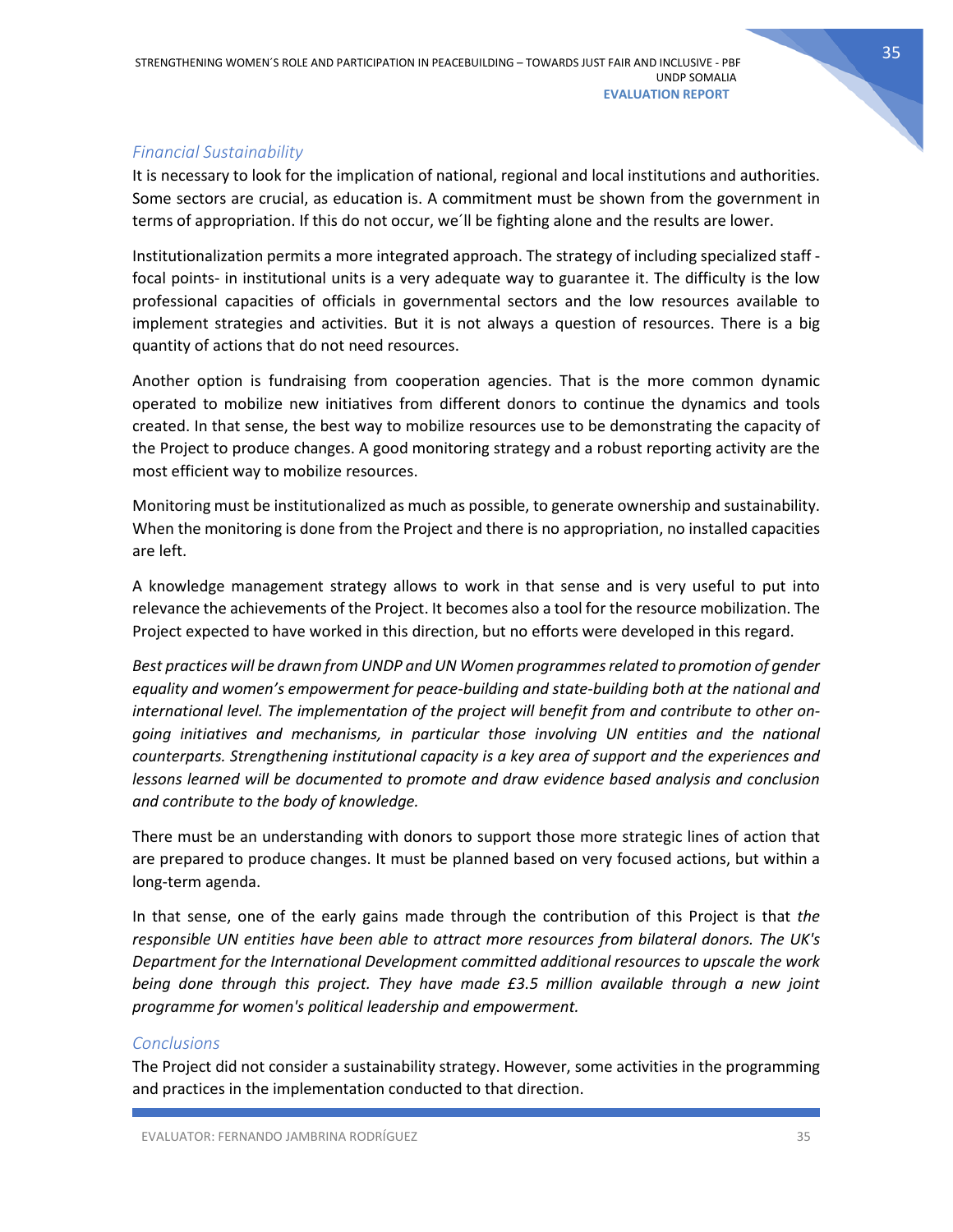### <span id="page-35-0"></span>*Financial Sustainability*

It is necessary to look for the implication of national, regional and local institutions and authorities. Some sectors are crucial, as education is. A commitment must be shown from the government in terms of appropriation. If this do not occur, we´ll be fighting alone and the results are lower.

Institutionalization permits a more integrated approach. The strategy of including specialized staff focal points- in institutional units is a very adequate way to guarantee it. The difficulty is the low professional capacities of officials in governmental sectors and the low resources available to implement strategies and activities. But it is not always a question of resources. There is a big quantity of actions that do not need resources.

Another option is fundraising from cooperation agencies. That is the more common dynamic operated to mobilize new initiatives from different donors to continue the dynamics and tools created. In that sense, the best way to mobilize resources use to be demonstrating the capacity of the Project to produce changes. A good monitoring strategy and a robust reporting activity are the most efficient way to mobilize resources.

Monitoring must be institutionalized as much as possible, to generate ownership and sustainability. When the monitoring is done from the Project and there is no appropriation, no installed capacities are left.

A knowledge management strategy allows to work in that sense and is very useful to put into relevance the achievements of the Project. It becomes also a tool for the resource mobilization. The Project expected to have worked in this direction, but no efforts were developed in this regard.

*Best practices will be drawn from UNDP and UN Women programmes related to promotion of gender equality and women's empowerment for peace-building and state-building both at the national and international level. The implementation of the project will benefit from and contribute to other ongoing initiatives and mechanisms, in particular those involving UN entities and the national counterparts. Strengthening institutional capacity is a key area of support and the experiences and lessons learned will be documented to promote and draw evidence based analysis and conclusion and contribute to the body of knowledge.*

There must be an understanding with donors to support those more strategic lines of action that are prepared to produce changes. It must be planned based on very focused actions, but within a long-term agenda.

In that sense, one of the early gains made through the contribution of this Project is that *the responsible UN entities have been able to attract more resources from bilateral donors. The UK's Department for the International Development committed additional resources to upscale the work being done through this project. They have made £3.5 million available through a new joint programme for women's political leadership and empowerment.*

### <span id="page-35-1"></span>*Conclusions*

The Project did not consider a sustainability strategy. However, some activities in the programming and practices in the implementation conducted to that direction.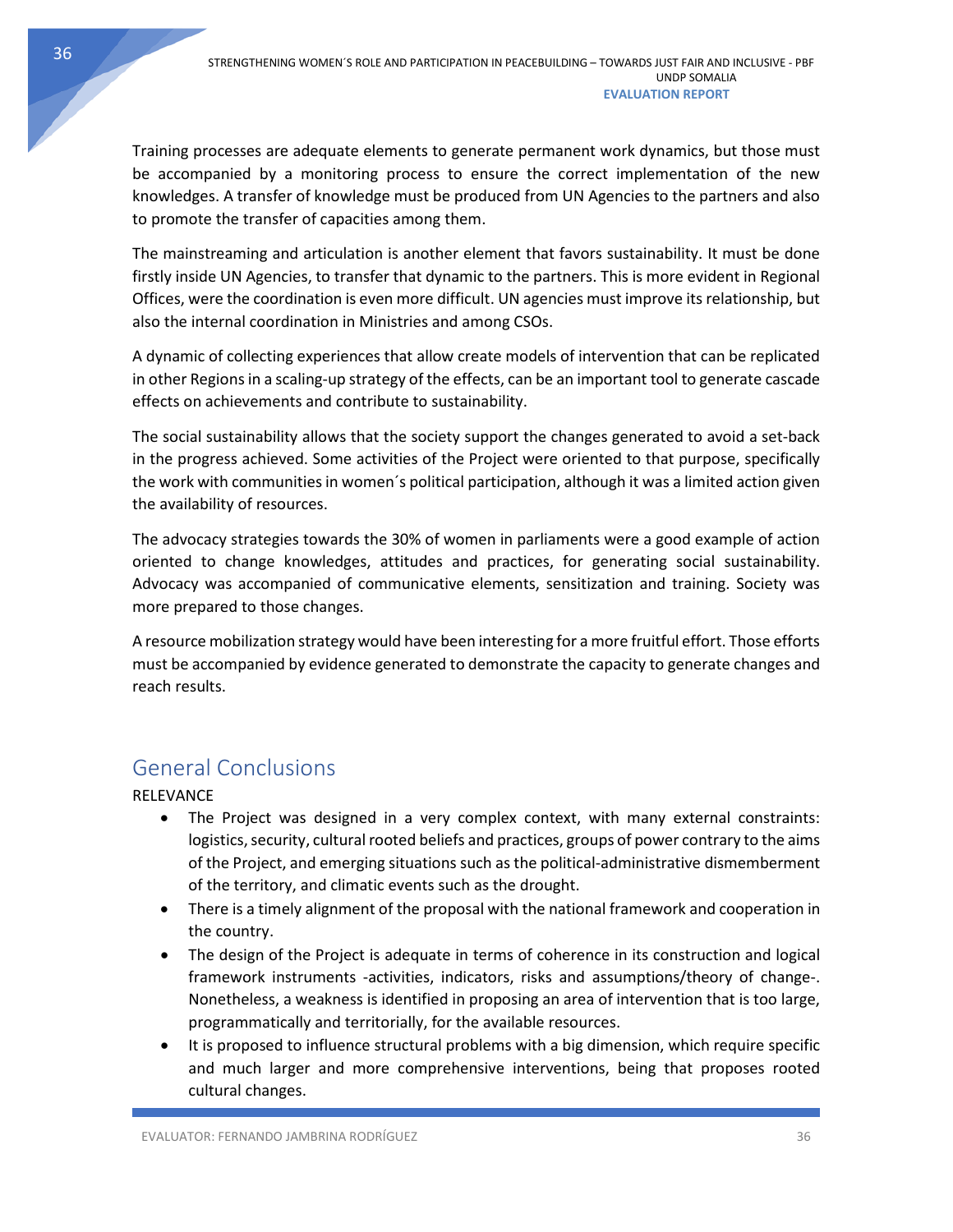Training processes are adequate elements to generate permanent work dynamics, but those must be accompanied by a monitoring process to ensure the correct implementation of the new knowledges. A transfer of knowledge must be produced from UN Agencies to the partners and also to promote the transfer of capacities among them.

The mainstreaming and articulation is another element that favors sustainability. It must be done firstly inside UN Agencies, to transfer that dynamic to the partners. This is more evident in Regional Offices, were the coordination is even more difficult. UN agencies must improve its relationship, but also the internal coordination in Ministries and among CSOs.

A dynamic of collecting experiences that allow create models of intervention that can be replicated in other Regions in a scaling-up strategy of the effects, can be an important tool to generate cascade effects on achievements and contribute to sustainability.

The social sustainability allows that the society support the changes generated to avoid a set-back in the progress achieved. Some activities of the Project were oriented to that purpose, specifically the work with communities in women´s political participation, although it was a limited action given the availability of resources.

The advocacy strategies towards the 30% of women in parliaments were a good example of action oriented to change knowledges, attitudes and practices, for generating social sustainability. Advocacy was accompanied of communicative elements, sensitization and training. Society was more prepared to those changes.

A resource mobilization strategy would have been interesting for a more fruitful effort. Those efforts must be accompanied by evidence generated to demonstrate the capacity to generate changes and reach results.

# <span id="page-36-0"></span>General Conclusions

RELEVANCE

- The Project was designed in a very complex context, with many external constraints: logistics, security, cultural rooted beliefs and practices, groups of power contrary to the aims of the Project, and emerging situations such as the political-administrative dismemberment of the territory, and climatic events such as the drought.
- There is a timely alignment of the proposal with the national framework and cooperation in the country.
- The design of the Project is adequate in terms of coherence in its construction and logical framework instruments -activities, indicators, risks and assumptions/theory of change-. Nonetheless, a weakness is identified in proposing an area of intervention that is too large, programmatically and territorially, for the available resources.
- It is proposed to influence structural problems with a big dimension, which require specific and much larger and more comprehensive interventions, being that proposes rooted cultural changes.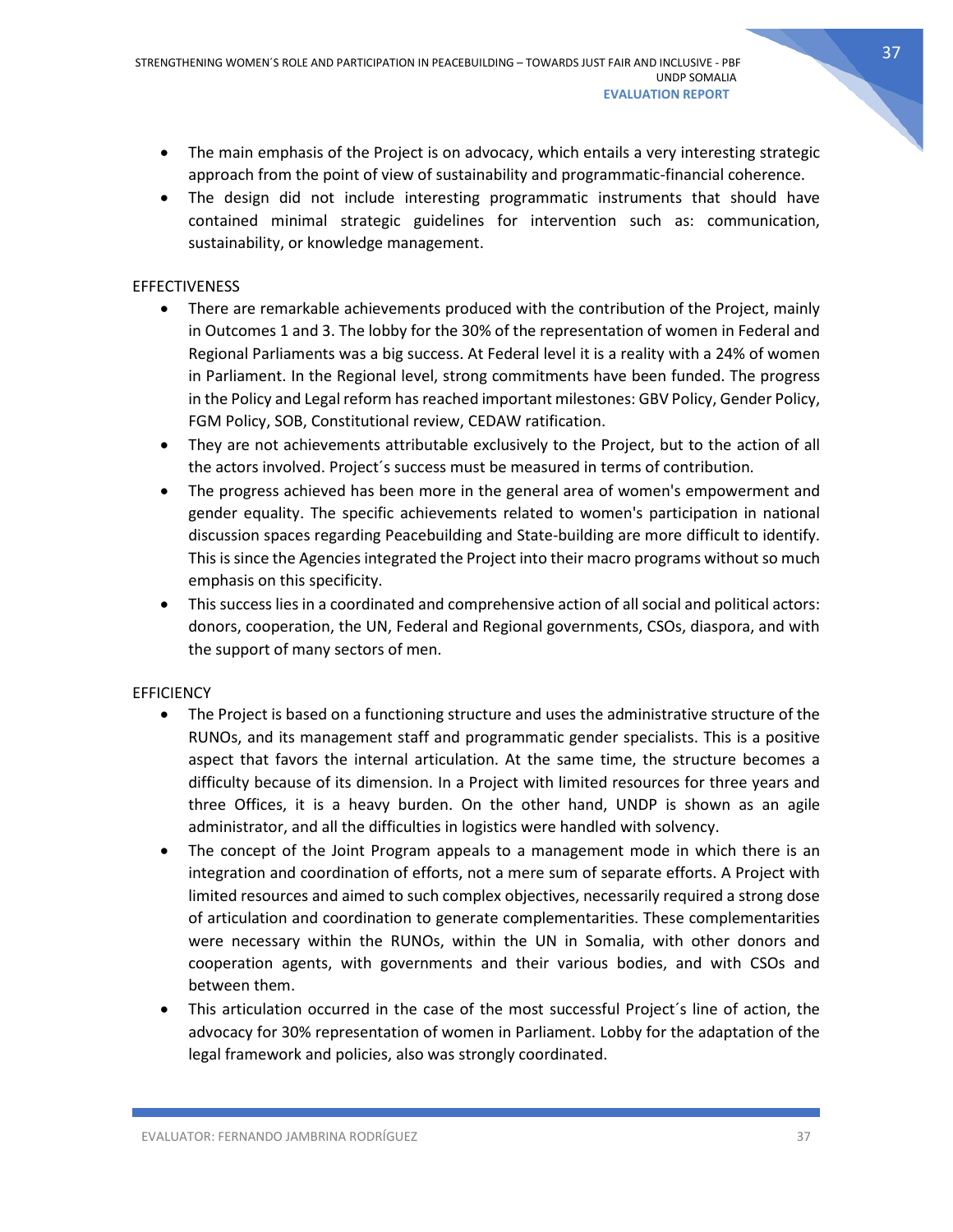- The main emphasis of the Project is on advocacy, which entails a very interesting strategic approach from the point of view of sustainability and programmatic-financial coherence.
- The design did not include interesting programmatic instruments that should have contained minimal strategic guidelines for intervention such as: communication, sustainability, or knowledge management.

### **EFFECTIVENESS**

- There are remarkable achievements produced with the contribution of the Project, mainly in Outcomes 1 and 3. The lobby for the 30% of the representation of women in Federal and Regional Parliaments was a big success. At Federal level it is a reality with a 24% of women in Parliament. In the Regional level, strong commitments have been funded. The progress in the Policy and Legal reform has reached important milestones: GBV Policy, Gender Policy, FGM Policy, SOB, Constitutional review, CEDAW ratification.
- They are not achievements attributable exclusively to the Project, but to the action of all the actors involved. Project´s success must be measured in terms of contribution.
- The progress achieved has been more in the general area of women's empowerment and gender equality. The specific achievements related to women's participation in national discussion spaces regarding Peacebuilding and State-building are more difficult to identify. This is since the Agencies integrated the Project into their macro programs without so much emphasis on this specificity.
- This success lies in a coordinated and comprehensive action of all social and political actors: donors, cooperation, the UN, Federal and Regional governments, CSOs, diaspora, and with the support of many sectors of men.

### **EFFICIENCY**

- The Project is based on a functioning structure and uses the administrative structure of the RUNOs, and its management staff and programmatic gender specialists. This is a positive aspect that favors the internal articulation. At the same time, the structure becomes a difficulty because of its dimension. In a Project with limited resources for three years and three Offices, it is a heavy burden. On the other hand, UNDP is shown as an agile administrator, and all the difficulties in logistics were handled with solvency.
- The concept of the Joint Program appeals to a management mode in which there is an integration and coordination of efforts, not a mere sum of separate efforts. A Project with limited resources and aimed to such complex objectives, necessarily required a strong dose of articulation and coordination to generate complementarities. These complementarities were necessary within the RUNOs, within the UN in Somalia, with other donors and cooperation agents, with governments and their various bodies, and with CSOs and between them.
- This articulation occurred in the case of the most successful Project's line of action, the advocacy for 30% representation of women in Parliament. Lobby for the adaptation of the legal framework and policies, also was strongly coordinated.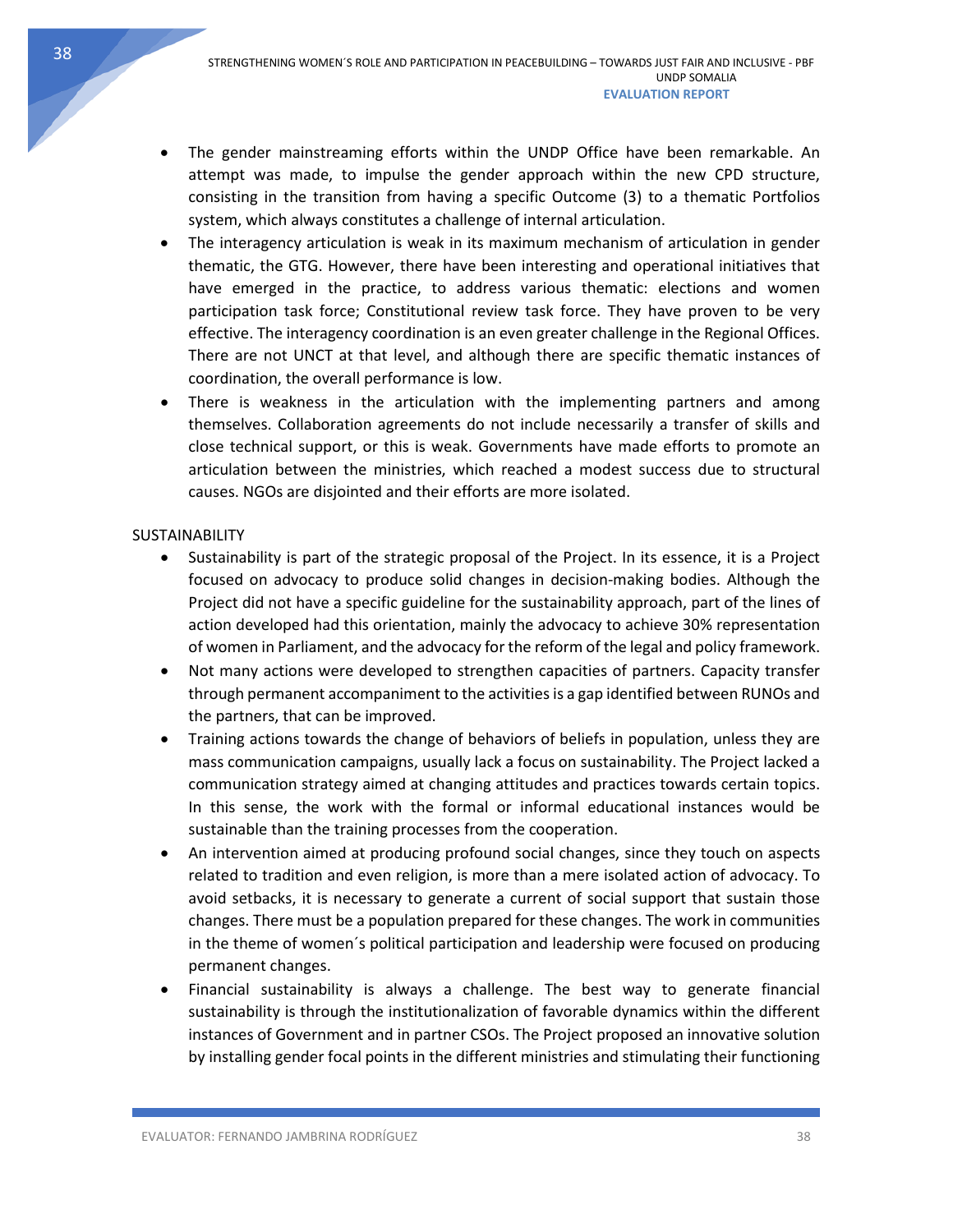- The gender mainstreaming efforts within the UNDP Office have been remarkable. An attempt was made, to impulse the gender approach within the new CPD structure, consisting in the transition from having a specific Outcome (3) to a thematic Portfolios system, which always constitutes a challenge of internal articulation.
- The interagency articulation is weak in its maximum mechanism of articulation in gender thematic, the GTG. However, there have been interesting and operational initiatives that have emerged in the practice, to address various thematic: elections and women participation task force; Constitutional review task force. They have proven to be very effective. The interagency coordination is an even greater challenge in the Regional Offices. There are not UNCT at that level, and although there are specific thematic instances of coordination, the overall performance is low.
- There is weakness in the articulation with the implementing partners and among themselves. Collaboration agreements do not include necessarily a transfer of skills and close technical support, or this is weak. Governments have made efforts to promote an articulation between the ministries, which reached a modest success due to structural causes. NGOs are disjointed and their efforts are more isolated.

### **SUSTAINABILITY**

- Sustainability is part of the strategic proposal of the Project. In its essence, it is a Project focused on advocacy to produce solid changes in decision-making bodies. Although the Project did not have a specific guideline for the sustainability approach, part of the lines of action developed had this orientation, mainly the advocacy to achieve 30% representation of women in Parliament, and the advocacy for the reform of the legal and policy framework.
- Not many actions were developed to strengthen capacities of partners. Capacity transfer through permanent accompaniment to the activities is a gap identified between RUNOs and the partners, that can be improved.
- Training actions towards the change of behaviors of beliefs in population, unless they are mass communication campaigns, usually lack a focus on sustainability. The Project lacked a communication strategy aimed at changing attitudes and practices towards certain topics. In this sense, the work with the formal or informal educational instances would be sustainable than the training processes from the cooperation.
- An intervention aimed at producing profound social changes, since they touch on aspects related to tradition and even religion, is more than a mere isolated action of advocacy. To avoid setbacks, it is necessary to generate a current of social support that sustain those changes. There must be a population prepared for these changes. The work in communities in the theme of women´s political participation and leadership were focused on producing permanent changes.
- Financial sustainability is always a challenge. The best way to generate financial sustainability is through the institutionalization of favorable dynamics within the different instances of Government and in partner CSOs. The Project proposed an innovative solution by installing gender focal points in the different ministries and stimulating their functioning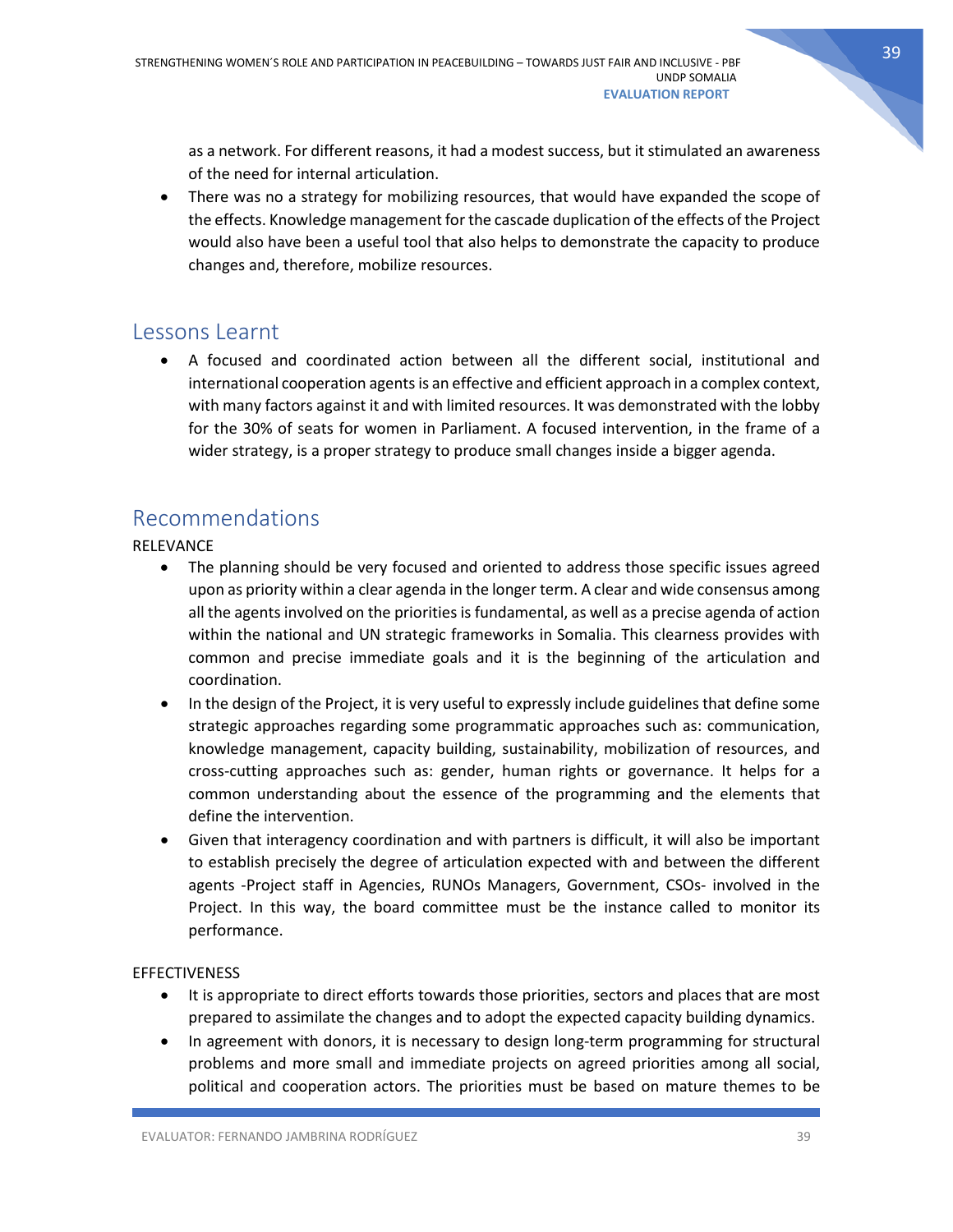as a network. For different reasons, it had a modest success, but it stimulated an awareness of the need for internal articulation.

• There was no a strategy for mobilizing resources, that would have expanded the scope of the effects. Knowledge management for the cascade duplication of the effects of the Project would also have been a useful tool that also helps to demonstrate the capacity to produce changes and, therefore, mobilize resources.

# <span id="page-39-0"></span>Lessons Learnt

• A focused and coordinated action between all the different social, institutional and international cooperation agents is an effective and efficient approach in a complex context, with many factors against it and with limited resources. It was demonstrated with the lobby for the 30% of seats for women in Parliament. A focused intervention, in the frame of a wider strategy, is a proper strategy to produce small changes inside a bigger agenda.

# <span id="page-39-1"></span>Recommendations

RELEVANCE

- The planning should be very focused and oriented to address those specific issues agreed upon as priority within a clear agenda in the longer term. A clear and wide consensus among all the agents involved on the priorities is fundamental, as well as a precise agenda of action within the national and UN strategic frameworks in Somalia. This clearness provides with common and precise immediate goals and it is the beginning of the articulation and coordination.
- In the design of the Project, it is very useful to expressly include guidelines that define some strategic approaches regarding some programmatic approaches such as: communication, knowledge management, capacity building, sustainability, mobilization of resources, and cross-cutting approaches such as: gender, human rights or governance. It helps for a common understanding about the essence of the programming and the elements that define the intervention.
- Given that interagency coordination and with partners is difficult, it will also be important to establish precisely the degree of articulation expected with and between the different agents -Project staff in Agencies, RUNOs Managers, Government, CSOs- involved in the Project. In this way, the board committee must be the instance called to monitor its performance.

### **EFFECTIVENESS**

- It is appropriate to direct efforts towards those priorities, sectors and places that are most prepared to assimilate the changes and to adopt the expected capacity building dynamics.
- In agreement with donors, it is necessary to design long-term programming for structural problems and more small and immediate projects on agreed priorities among all social, political and cooperation actors. The priorities must be based on mature themes to be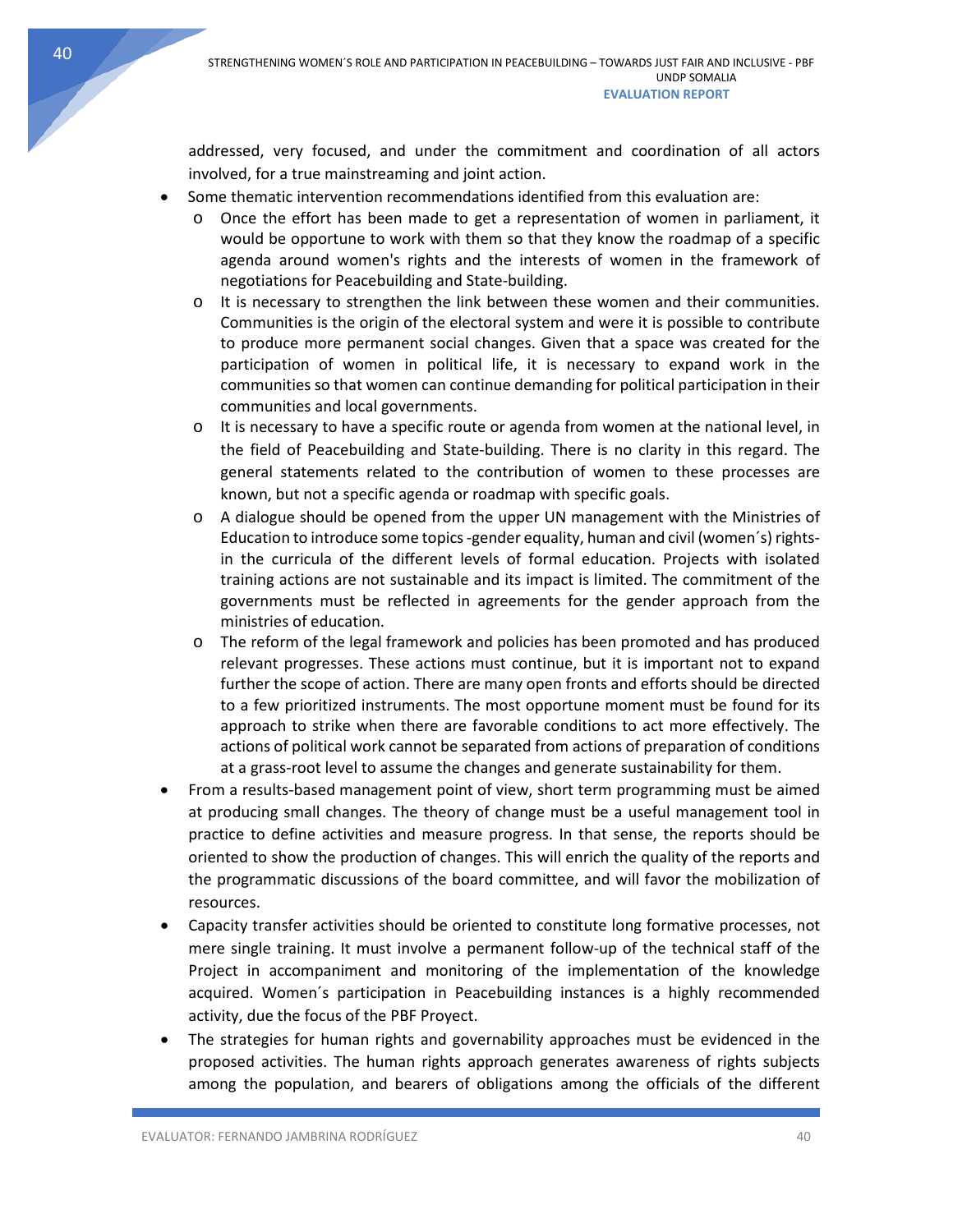addressed, very focused, and under the commitment and coordination of all actors involved, for a true mainstreaming and joint action.

- Some thematic intervention recommendations identified from this evaluation are:
	- o Once the effort has been made to get a representation of women in parliament, it would be opportune to work with them so that they know the roadmap of a specific agenda around women's rights and the interests of women in the framework of negotiations for Peacebuilding and State-building.
	- o It is necessary to strengthen the link between these women and their communities. Communities is the origin of the electoral system and were it is possible to contribute to produce more permanent social changes. Given that a space was created for the participation of women in political life, it is necessary to expand work in the communities so that women can continue demanding for political participation in their communities and local governments.
	- o It is necessary to have a specific route or agenda from women at the national level, in the field of Peacebuilding and State-building. There is no clarity in this regard. The general statements related to the contribution of women to these processes are known, but not a specific agenda or roadmap with specific goals.
	- $\circ$  A dialogue should be opened from the upper UN management with the Ministries of Education to introduce some topics -gender equality, human and civil (women´s) rightsin the curricula of the different levels of formal education. Projects with isolated training actions are not sustainable and its impact is limited. The commitment of the governments must be reflected in agreements for the gender approach from the ministries of education.
	- o The reform of the legal framework and policies has been promoted and has produced relevant progresses. These actions must continue, but it is important not to expand further the scope of action. There are many open fronts and efforts should be directed to a few prioritized instruments. The most opportune moment must be found for its approach to strike when there are favorable conditions to act more effectively. The actions of political work cannot be separated from actions of preparation of conditions at a grass-root level to assume the changes and generate sustainability for them.
- From a results-based management point of view, short term programming must be aimed at producing small changes. The theory of change must be a useful management tool in practice to define activities and measure progress. In that sense, the reports should be oriented to show the production of changes. This will enrich the quality of the reports and the programmatic discussions of the board committee, and will favor the mobilization of resources.
- Capacity transfer activities should be oriented to constitute long formative processes, not mere single training. It must involve a permanent follow-up of the technical staff of the Project in accompaniment and monitoring of the implementation of the knowledge acquired. Women´s participation in Peacebuilding instances is a highly recommended activity, due the focus of the PBF Proyect.
- The strategies for human rights and governability approaches must be evidenced in the proposed activities. The human rights approach generates awareness of rights subjects among the population, and bearers of obligations among the officials of the different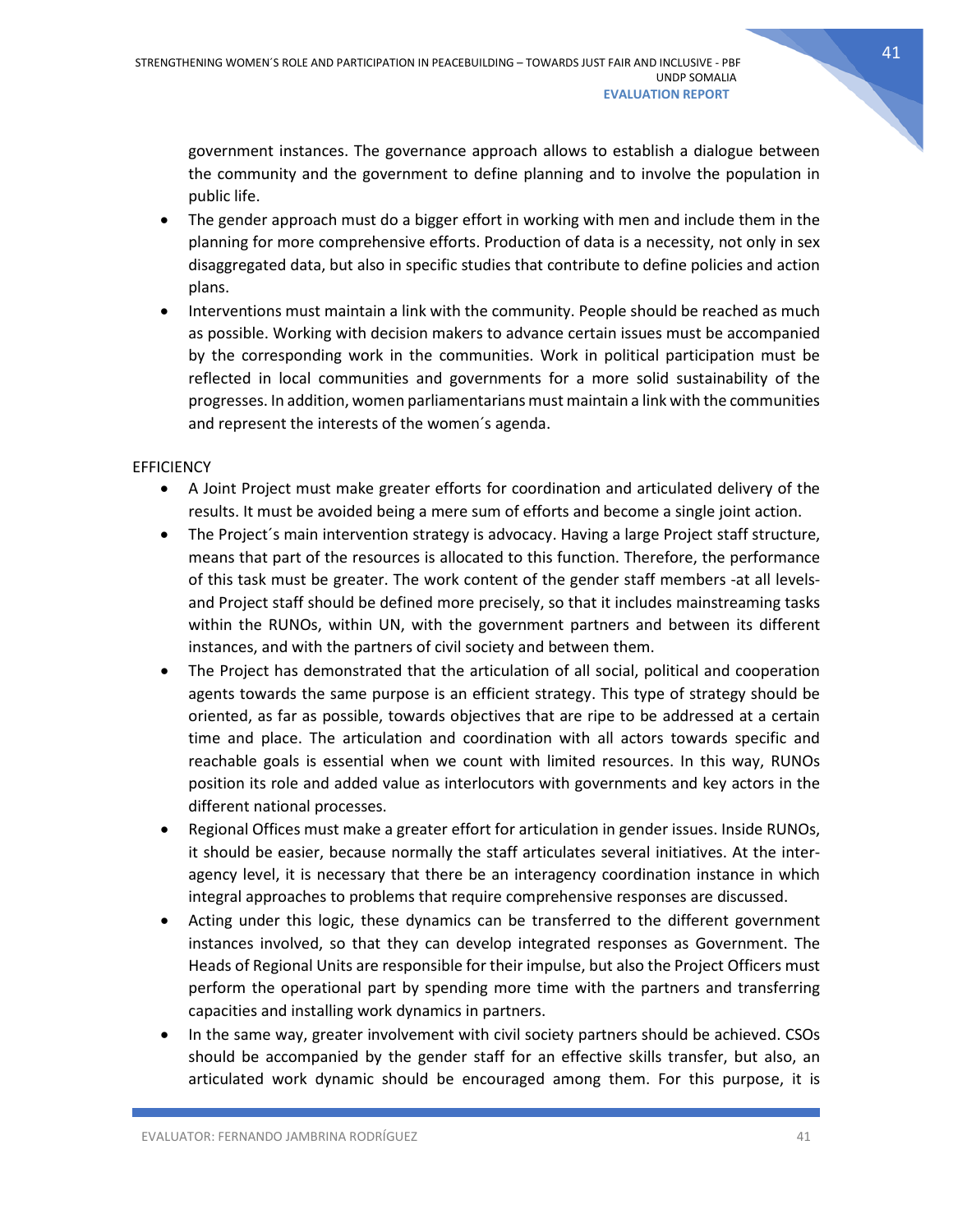government instances. The governance approach allows to establish a dialogue between the community and the government to define planning and to involve the population in public life.

- The gender approach must do a bigger effort in working with men and include them in the planning for more comprehensive efforts. Production of data is a necessity, not only in sex disaggregated data, but also in specific studies that contribute to define policies and action plans.
- Interventions must maintain a link with the community. People should be reached as much as possible. Working with decision makers to advance certain issues must be accompanied by the corresponding work in the communities. Work in political participation must be reflected in local communities and governments for a more solid sustainability of the progresses. In addition, women parliamentarians must maintain a link with the communities and represent the interests of the women´s agenda.

### **EFFICIENCY**

- A Joint Project must make greater efforts for coordination and articulated delivery of the results. It must be avoided being a mere sum of efforts and become a single joint action.
- The Project's main intervention strategy is advocacy. Having a large Project staff structure, means that part of the resources is allocated to this function. Therefore, the performance of this task must be greater. The work content of the gender staff members -at all levelsand Project staff should be defined more precisely, so that it includes mainstreaming tasks within the RUNOs, within UN, with the government partners and between its different instances, and with the partners of civil society and between them.
- The Project has demonstrated that the articulation of all social, political and cooperation agents towards the same purpose is an efficient strategy. This type of strategy should be oriented, as far as possible, towards objectives that are ripe to be addressed at a certain time and place. The articulation and coordination with all actors towards specific and reachable goals is essential when we count with limited resources. In this way, RUNOs position its role and added value as interlocutors with governments and key actors in the different national processes.
- Regional Offices must make a greater effort for articulation in gender issues. Inside RUNOs, it should be easier, because normally the staff articulates several initiatives. At the interagency level, it is necessary that there be an interagency coordination instance in which integral approaches to problems that require comprehensive responses are discussed.
- Acting under this logic, these dynamics can be transferred to the different government instances involved, so that they can develop integrated responses as Government. The Heads of Regional Units are responsible for their impulse, but also the Project Officers must perform the operational part by spending more time with the partners and transferring capacities and installing work dynamics in partners.
- In the same way, greater involvement with civil society partners should be achieved. CSOs should be accompanied by the gender staff for an effective skills transfer, but also, an articulated work dynamic should be encouraged among them. For this purpose, it is